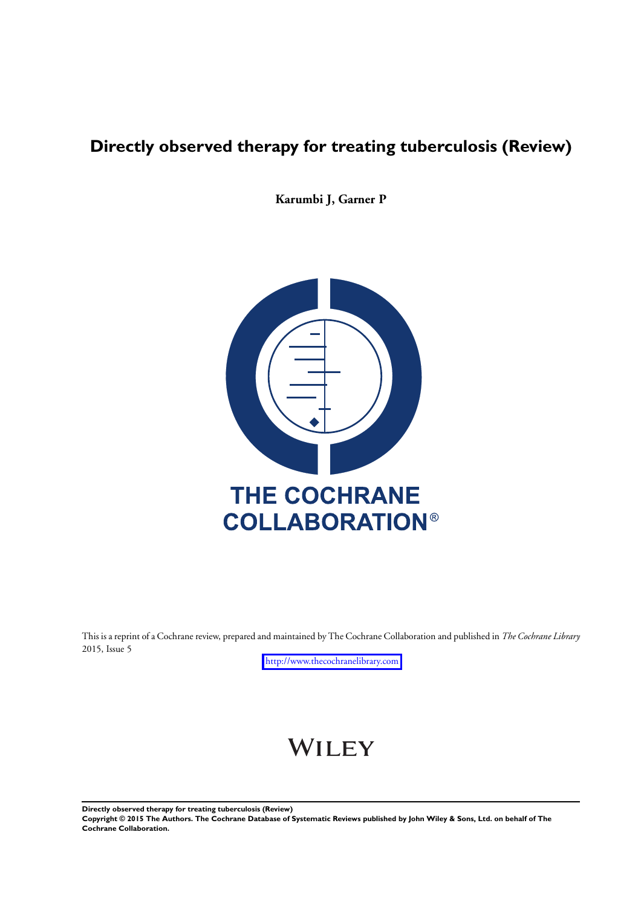## **Directly observed therapy for treating tuberculosis (Review)**

**Karumbi J, Garner P**



This is a reprint of a Cochrane review, prepared and maintained by The Cochrane Collaboration and published in *The Cochrane Library* 2015, Issue 5

<http://www.thecochranelibrary.com>

# WILEY

**Directly observed therapy for treating tuberculosis (Review)**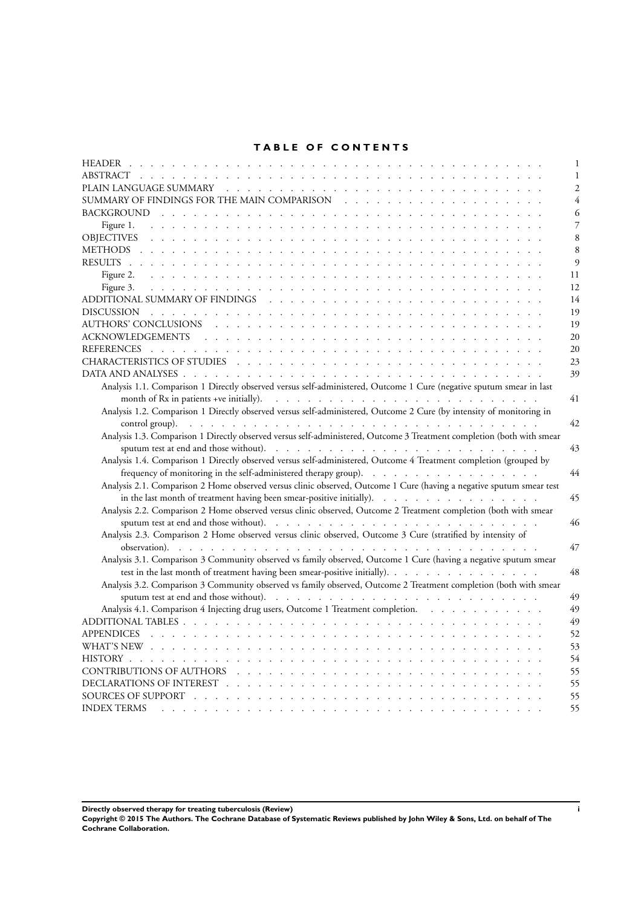## **TABLE OF CONTENTS**

|                                                                                                                                                                                                                                | 1              |
|--------------------------------------------------------------------------------------------------------------------------------------------------------------------------------------------------------------------------------|----------------|
|                                                                                                                                                                                                                                | 1              |
|                                                                                                                                                                                                                                | $\overline{c}$ |
| SUMMARY OF FINDINGS FOR THE MAIN COMPARISON (ed. a) and a contract the contract of the contract of the contract of the contract of the contract of the contract of the contract of the contract of the contract of the contrac | 4              |
|                                                                                                                                                                                                                                | 6              |
|                                                                                                                                                                                                                                |                |
|                                                                                                                                                                                                                                | 8              |
|                                                                                                                                                                                                                                | 8              |
|                                                                                                                                                                                                                                | 9              |
|                                                                                                                                                                                                                                | 11             |
|                                                                                                                                                                                                                                | 12             |
|                                                                                                                                                                                                                                | 14             |
|                                                                                                                                                                                                                                | 19             |
|                                                                                                                                                                                                                                | 19             |
|                                                                                                                                                                                                                                | 20             |
|                                                                                                                                                                                                                                | 20             |
|                                                                                                                                                                                                                                | 23             |
|                                                                                                                                                                                                                                | 39             |
| Analysis 1.1. Comparison 1 Directly observed versus self-administered, Outcome 1 Cure (negative sputum smear in last                                                                                                           |                |
|                                                                                                                                                                                                                                | 41             |
| Analysis 1.2. Comparison 1 Directly observed versus self-administered, Outcome 2 Cure (by intensity of monitoring in                                                                                                           |                |
|                                                                                                                                                                                                                                | 42             |
| Analysis 1.3. Comparison 1 Directly observed versus self-administered, Outcome 3 Treatment completion (both with smear                                                                                                         |                |
|                                                                                                                                                                                                                                | 43             |
| Analysis 1.4. Comparison 1 Directly observed versus self-administered, Outcome 4 Treatment completion (grouped by                                                                                                              |                |
|                                                                                                                                                                                                                                |                |
|                                                                                                                                                                                                                                | 44             |
| frequency of monitoring in the self-administered therapy group).                                                                                                                                                               |                |
| Analysis 2.1. Comparison 2 Home observed versus clinic observed, Outcome 1 Cure (having a negative sputum smear test                                                                                                           | 45             |
| in the last month of treatment having been smear-positive initially).                                                                                                                                                          |                |
| Analysis 2.2. Comparison 2 Home observed versus clinic observed, Outcome 2 Treatment completion (both with smear                                                                                                               | 46             |
|                                                                                                                                                                                                                                |                |
| Analysis 2.3. Comparison 2 Home observed versus clinic observed, Outcome 3 Cure (stratified by intensity of                                                                                                                    | 47             |
|                                                                                                                                                                                                                                |                |
| Analysis 3.1. Comparison 3 Community observed vs family observed, Outcome 1 Cure (having a negative sputum smear                                                                                                               | 48             |
| test in the last month of treatment having been smear-positive initially).                                                                                                                                                     |                |
| Analysis 3.2. Comparison 3 Community observed vs family observed, Outcome 2 Treatment completion (both with smear                                                                                                              | 49             |
|                                                                                                                                                                                                                                | 49             |
| Analysis 4.1. Comparison 4 Injecting drug users, Outcome 1 Treatment completion.                                                                                                                                               | 49             |
|                                                                                                                                                                                                                                |                |
|                                                                                                                                                                                                                                | 52             |
|                                                                                                                                                                                                                                | 53<br>54       |
|                                                                                                                                                                                                                                |                |
|                                                                                                                                                                                                                                | 55<br>55       |
|                                                                                                                                                                                                                                |                |
|                                                                                                                                                                                                                                | 55<br>55       |

**Directly observed therapy for treating tuberculosis (Review) i**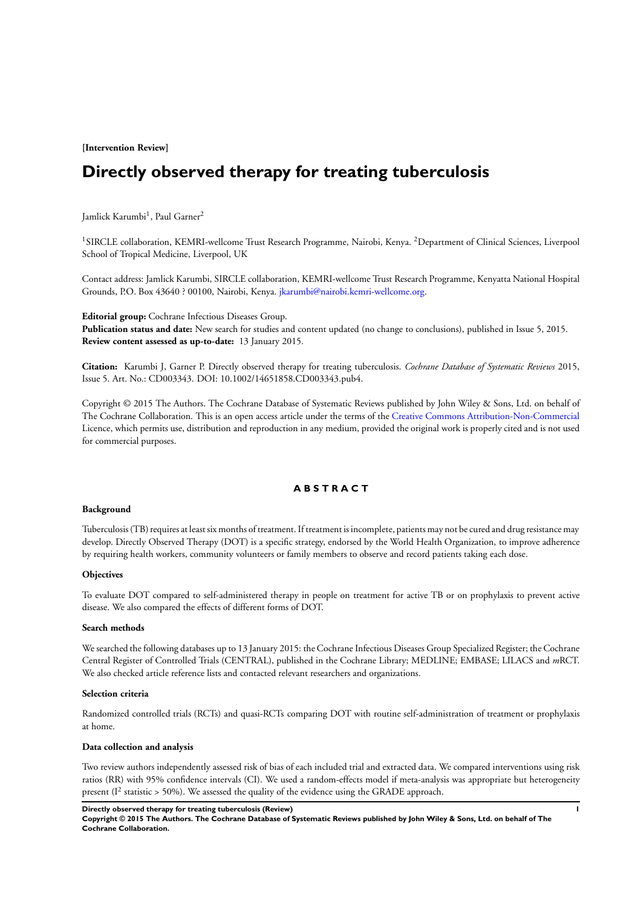**[Intervention Review]**

## **Directly observed therapy for treating tuberculosis**

Jamlick Karumbi<sup>1</sup>, Paul Garner<sup>2</sup>

<sup>1</sup>SIRCLE collaboration, KEMRI-wellcome Trust Research Programme, Nairobi, Kenya. <sup>2</sup>Department of Clinical Sciences, Liverpool School of Tropical Medicine, Liverpool, UK

Contact address: Jamlick Karumbi, SIRCLE collaboration, KEMRI-wellcome Trust Research Programme, Kenyatta National Hospital Grounds, P.O. Box 43640 ? 00100, Nairobi, Kenya. [jkarumbi@nairobi.kemri-wellcome.org](mailto:jkarumbi@nairobi.kemri-wellcome.org).

**Editorial group:** Cochrane Infectious Diseases Group.

**Publication status and date:** New search for studies and content updated (no change to conclusions), published in Issue 5, 2015. **Review content assessed as up-to-date:** 13 January 2015.

**Citation:** Karumbi J, Garner P. Directly observed therapy for treating tuberculosis. *Cochrane Database of Systematic Reviews* 2015, Issue 5. Art. No.: CD003343. DOI: 10.1002/14651858.CD003343.pub4.

Copyright © 2015 The Authors. The Cochrane Database of Systematic Reviews published by John Wiley & Sons, Ltd. on behalf of The Cochrane Collaboration. This is an open access article under the terms of the [Creative Commons Attribution-Non-Commercial](http://creativecommons.org/licenses/by-nc/3.0/) Licence, which permits use, distribution and reproduction in any medium, provided the original work is properly cited and is not used for commercial purposes.

## **A B S T R A C T**

#### **Background**

Tuberculosis (TB) requires at least six months of treatment.If treatment is incomplete, patients may not be cured and drug resistance may develop. Directly Observed Therapy (DOT) is a specific strategy, endorsed by the World Health Organization, to improve adherence by requiring health workers, community volunteers or family members to observe and record patients taking each dose.

#### **Objectives**

To evaluate DOT compared to self-administered therapy in people on treatment for active TB or on prophylaxis to prevent active disease. We also compared the effects of different forms of DOT.

#### **Search methods**

We searched the following databases up to 13 January 2015: the Cochrane Infectious Diseases Group Specialized Register; the Cochrane Central Register of Controlled Trials (CENTRAL), published in the Cochrane Library; MEDLINE; EMBASE; LILACS and *m*RCT. We also checked article reference lists and contacted relevant researchers and organizations.

#### **Selection criteria**

Randomized controlled trials (RCTs) and quasi-RCTs comparing DOT with routine self-administration of treatment or prophylaxis at home.

#### **Data collection and analysis**

Two review authors independently assessed risk of bias of each included trial and extracted data. We compared interventions using risk ratios (RR) with 95% confidence intervals (CI). We used a random-effects model if meta-analysis was appropriate but heterogeneity present ( $I^2$  statistic > 50%). We assessed the quality of the evidence using the GRADE approach.

**Directly observed therapy for treating tuberculosis (Review) 1**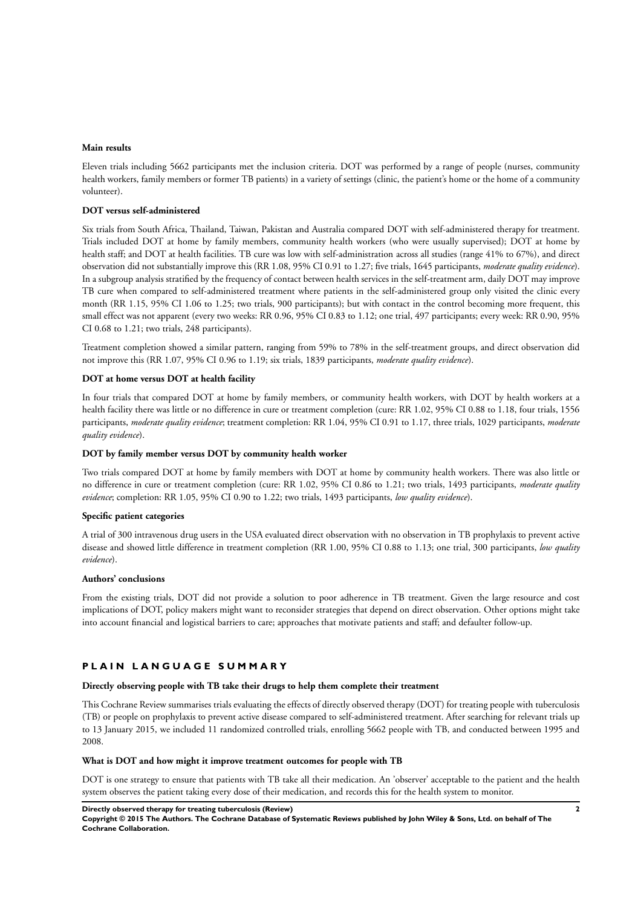### **Main results**

Eleven trials including 5662 participants met the inclusion criteria. DOT was performed by a range of people (nurses, community health workers, family members or former TB patients) in a variety of settings (clinic, the patient's home or the home of a community volunteer).

#### **DOT versus self-administered**

Six trials from South Africa, Thailand, Taiwan, Pakistan and Australia compared DOT with self-administered therapy for treatment. Trials included DOT at home by family members, community health workers (who were usually supervised); DOT at home by health staff; and DOT at health facilities. TB cure was low with self-administration across all studies (range 41% to 67%), and direct observation did not substantially improve this (RR 1.08, 95% CI 0.91 to 1.27; five trials, 1645 participants, *moderate quality evidence*). In a subgroup analysis stratified by the frequency of contact between health services in the self-treatment arm, daily DOT may improve TB cure when compared to self-administered treatment where patients in the self-administered group only visited the clinic every month (RR 1.15, 95% CI 1.06 to 1.25; two trials, 900 participants); but with contact in the control becoming more frequent, this small effect was not apparent (every two weeks: RR 0.96, 95% CI 0.83 to 1.12; one trial, 497 participants; every week: RR 0.90, 95% CI 0.68 to 1.21; two trials, 248 participants).

Treatment completion showed a similar pattern, ranging from 59% to 78% in the self-treatment groups, and direct observation did not improve this (RR 1.07, 95% CI 0.96 to 1.19; six trials, 1839 participants, *moderate quality evidence*).

#### **DOT at home versus DOT at health facility**

In four trials that compared DOT at home by family members, or community health workers, with DOT by health workers at a health facility there was little or no difference in cure or treatment completion (cure: RR 1.02, 95% CI 0.88 to 1.18, four trials, 1556 participants, *moderate quality evidence*; treatment completion: RR 1.04, 95% CI 0.91 to 1.17, three trials, 1029 participants, *moderate quality evidence*).

#### **DOT by family member versus DOT by community health worker**

Two trials compared DOT at home by family members with DOT at home by community health workers. There was also little or no difference in cure or treatment completion (cure: RR 1.02, 95% CI 0.86 to 1.21; two trials, 1493 participants, *moderate quality evidence*; completion: RR 1.05, 95% CI 0.90 to 1.22; two trials, 1493 participants, *low quality evidence*).

#### **Specific patient categories**

A trial of 300 intravenous drug users in the USA evaluated direct observation with no observation in TB prophylaxis to prevent active disease and showed little difference in treatment completion (RR 1.00, 95% CI 0.88 to 1.13; one trial, 300 participants, *low quality evidence*).

#### **Authors' conclusions**

From the existing trials, DOT did not provide a solution to poor adherence in TB treatment. Given the large resource and cost implications of DOT, policy makers might want to reconsider strategies that depend on direct observation. Other options might take into account financial and logistical barriers to care; approaches that motivate patients and staff; and defaulter follow-up.

## **P L A I N L A N G U A G E S U M M A R Y**

#### **Directly observing people with TB take their drugs to help them complete their treatment**

This Cochrane Review summarises trials evaluating the effects of directly observed therapy (DOT) for treating people with tuberculosis (TB) or people on prophylaxis to prevent active disease compared to self-administered treatment. After searching for relevant trials up to 13 January 2015, we included 11 randomized controlled trials, enrolling 5662 people with TB, and conducted between 1995 and 2008.

#### **What is DOT and how might it improve treatment outcomes for people with TB**

DOT is one strategy to ensure that patients with TB take all their medication. An 'observer' acceptable to the patient and the health system observes the patient taking every dose of their medication, and records this for the health system to monitor.

**Directly observed therapy for treating tuberculosis (Review) 2**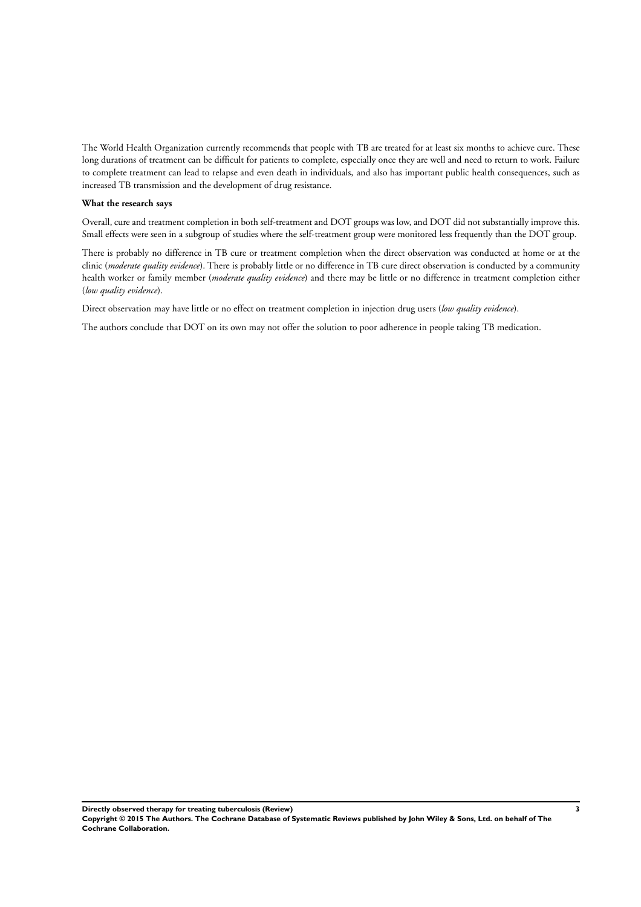The World Health Organization currently recommends that people with TB are treated for at least six months to achieve cure. These long durations of treatment can be difficult for patients to complete, especially once they are well and need to return to work. Failure to complete treatment can lead to relapse and even death in individuals, and also has important public health consequences, such as increased TB transmission and the development of drug resistance.

#### **What the research says**

Overall, cure and treatment completion in both self-treatment and DOT groups was low, and DOT did not substantially improve this. Small effects were seen in a subgroup of studies where the self-treatment group were monitored less frequently than the DOT group.

There is probably no difference in TB cure or treatment completion when the direct observation was conducted at home or at the clinic (*moderate quality evidence*). There is probably little or no difference in TB cure direct observation is conducted by a community health worker or family member (*moderate quality evidence*) and there may be little or no difference in treatment completion either (*low quality evidence*).

Direct observation may have little or no effect on treatment completion in injection drug users (*low quality evidence*).

The authors conclude that DOT on its own may not offer the solution to poor adherence in people taking TB medication.

**Directly observed therapy for treating tuberculosis (Review) 3**

**Copyright © 2015 The Authors. The Cochrane Database of Systematic Reviews published by John Wiley & Sons, Ltd. on behalf of The Cochrane Collaboration.**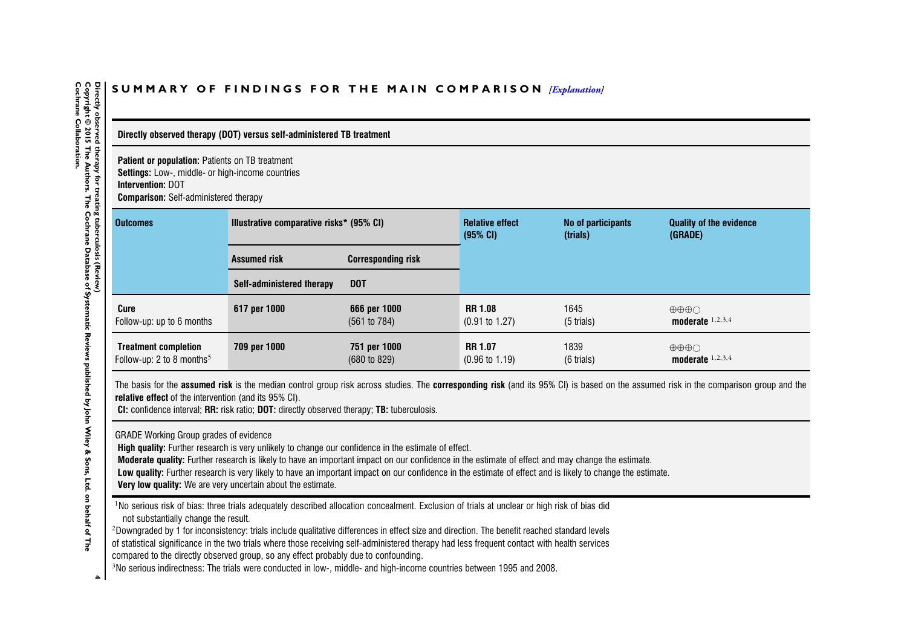## <span id="page-5-0"></span>SUMMARY OF FINDINGS FOR THE MAIN COMPARISON *[\[Explanation\]](http://www.thecochranelibrary.com/view/0/SummaryFindings.html)*

## **Directly observed therapy (DOT) versus self-administered TB treatment**

**Patient or population:** Patients on TB treatment

**Settings:** Low-, middle- or high-income countries

**Intervention:** DOT

**Comparison:** Self-administered therapy

| <b>Outcomes</b>                                                      | Illustrative comparative risks* (95% CI) |                                         | <b>Relative effect</b><br>(95% CI)          | No of participants<br>(trials) | <b>Quality of the evidence</b><br>(GRADE)            |
|----------------------------------------------------------------------|------------------------------------------|-----------------------------------------|---------------------------------------------|--------------------------------|------------------------------------------------------|
|                                                                      | <b>Assumed risk</b>                      | <b>Corresponding risk</b>               |                                             |                                |                                                      |
|                                                                      | Self-administered therapy                | <b>DOT</b>                              |                                             |                                |                                                      |
| Cure<br>Follow-up: up to 6 months                                    | 617 per 1000                             | 666 per 1000<br>(561 to 784)            | <b>RR 1.08</b><br>$(0.91 \text{ to } 1.27)$ | 1645<br>$(5 \text{ trials})$   | $\oplus \oplus \oplus \cap$<br>moderate $1, 2, 3, 4$ |
| <b>Treatment completion</b><br>Follow-up: 2 to 8 months <sup>5</sup> | 709 per 1000                             | 751 per 1000<br>$(680 \text{ to } 829)$ | <b>RR 1.07</b><br>$(0.96 \text{ to } 1.19)$ | 1839<br>$(6 \text{ trials})$   | $\oplus \oplus \oplus \cap$<br>moderate $1,2,3,4$    |

The basis for the **assumed risk** is the median control group risk across studies. The **corresponding risk** (and its 95% CI) is based on the assumed risk in the comparison group and the **relative effect** of the intervention (and its 95% CI).

**CI:** confidence interval; **RR:** risk ratio; **DOT:** directly observed therapy; **TB:** tuberculosis.

GRADE Working Group grades of evidence

**High quality:** Further research is very unlikely to change our confidence in the estimate of effect.

**Moderate quality:** Further research is likely to have an important impact on our confidence in the estimate of effect and may change the estimate.

Low quality: Further research is very likely to have an important impact on our confidence in the estimate of effect and is likely to change the estimate.

**Very low quality:** We are very uncertain about the estimate.

<sup>1</sup>No serious risk of bias: three trials adequately described allocation concealment. Exclusion of trials at unclear or high risk of bias did not substantially change the result.

<sup>2</sup>Downgraded by <sup>1</sup> for inconsistency: trials include qualitative differences in effect size and direction. The benefit reached standard levels

of statistical significance in the two trials where those receiving self-administered therapy had less frequent contact with health services compared to the directly observed group, so any effect probably due to confounding.

<sup>3</sup>No serious indirectness: The trials were conducted in low-, middle- and high-income countries between <sup>1995</sup> and 2008.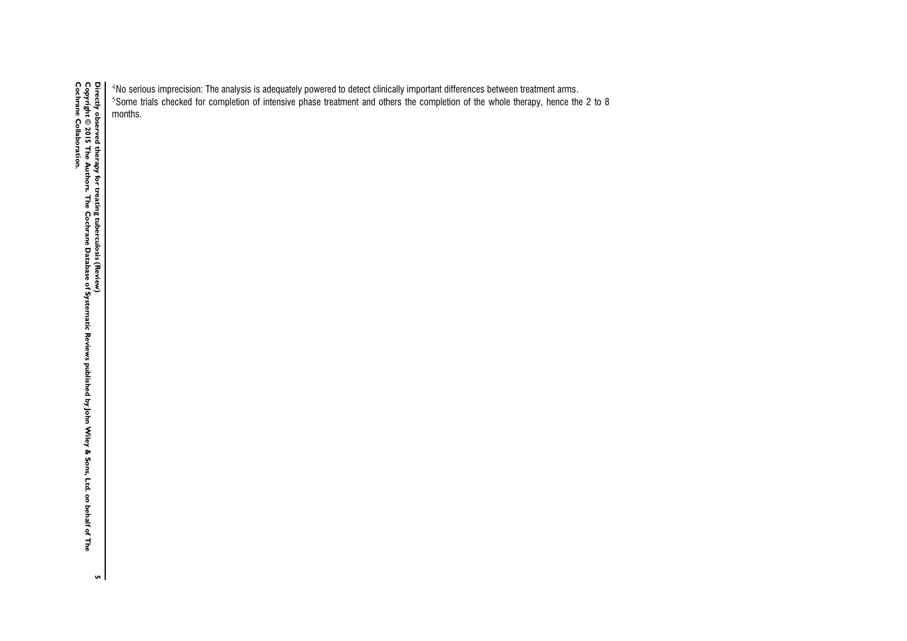| Directly observed therapy for treating tuberculosis (Review)<br>Copyright © 2015 The Authors. The Cochrane Database of Systematic Reviews published by John Wiley & Sons, Ltd. on behalf of The<br>Cochrane Collaboration. | <sup>4</sup> No serious imprecision: The analysis is adequately powered to detect clinically important differences between treatment arms.<br><sup>5</sup> Some trials checked for completion of intensive phase treatment and others the completion of the whole therapy, hence the 2 to 8<br>months. |
|----------------------------------------------------------------------------------------------------------------------------------------------------------------------------------------------------------------------------|--------------------------------------------------------------------------------------------------------------------------------------------------------------------------------------------------------------------------------------------------------------------------------------------------------|
| o l                                                                                                                                                                                                                        |                                                                                                                                                                                                                                                                                                        |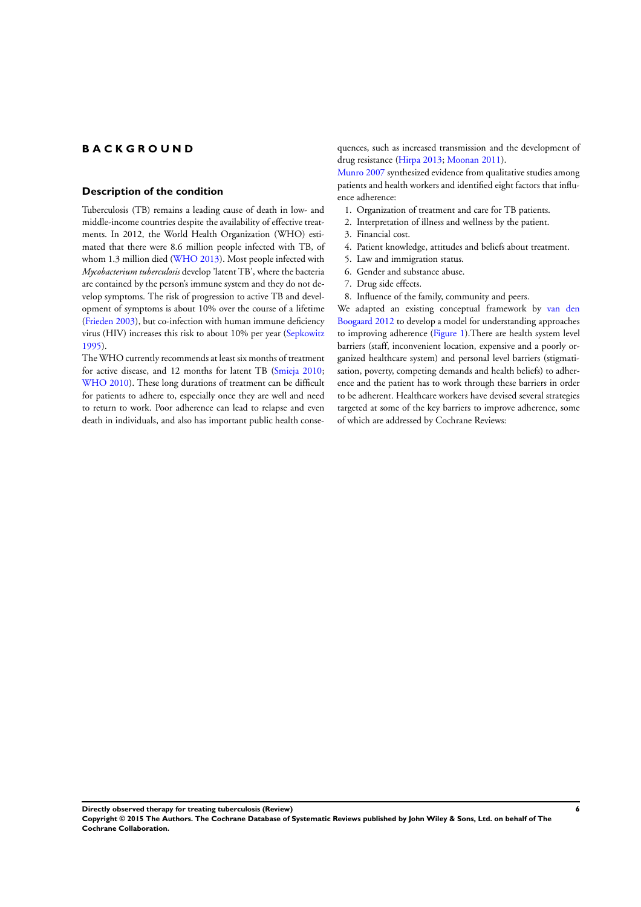## **B A C K G R O U N D**

#### **Description of the condition**

Tuberculosis (TB) remains a leading cause of death in low- and middle-income countries despite the availability of effective treatments. In 2012, the World Health Organization (WHO) estimated that there were 8.6 million people infected with TB, of whom 1.3 million died ([WHO 2013\)](#page-21-0). Most people infected with *Mycobacterium tuberculosis* develop 'latent TB', where the bacteria are contained by the person's immune system and they do not develop symptoms. The risk of progression to active TB and development of symptoms is about 10% over the course of a lifetime [\(Frieden 2003](#page-21-0)), but co-infection with human immune deficiency virus (HIV) increases this risk to about 10% per year ([Sepkowitz](#page-21-0) [1995](#page-21-0)).

The WHO currently recommends at least six months of treatment for active disease, and 12 months for latent TB ([Smieja 2010;](#page-21-0) [WHO 2010\)](#page-21-0). These long durations of treatment can be difficult for patients to adhere to, especially once they are well and need to return to work. Poor adherence can lead to relapse and even death in individuals, and also has important public health consequences, such as increased transmission and the development of drug resistance ([Hirpa 2013;](#page-21-0) [Moonan 2011](#page-21-0)).

[Munro 2007](#page-21-0) synthesized evidence from qualitative studies among patients and health workers and identified eight factors that influence adherence:

- 1. Organization of treatment and care for TB patients.
- 2. Interpretation of illness and wellness by the patient.
- 3. Financial cost.
- 4. Patient knowledge, attitudes and beliefs about treatment.
- 5. Law and immigration status.
- 6. Gender and substance abuse.
- 7. Drug side effects.
- 8. Influence of the family, community and peers.

We adapted an existing conceptual framework by [van den](#page-21-0) [Boogaard 2012](#page-21-0) to develop a model for understanding approaches to improving adherence [\(Figure 1](#page-8-0)).There are health system level barriers (staff, inconvenient location, expensive and a poorly organized healthcare system) and personal level barriers (stigmatisation, poverty, competing demands and health beliefs) to adherence and the patient has to work through these barriers in order to be adherent. Healthcare workers have devised several strategies targeted at some of the key barriers to improve adherence, some of which are addressed by Cochrane Reviews:

**Directly observed therapy for treating tuberculosis (Review) 6**

**Copyright © 2015 The Authors. The Cochrane Database of Systematic Reviews published by John Wiley & Sons, Ltd. on behalf of The Cochrane Collaboration.**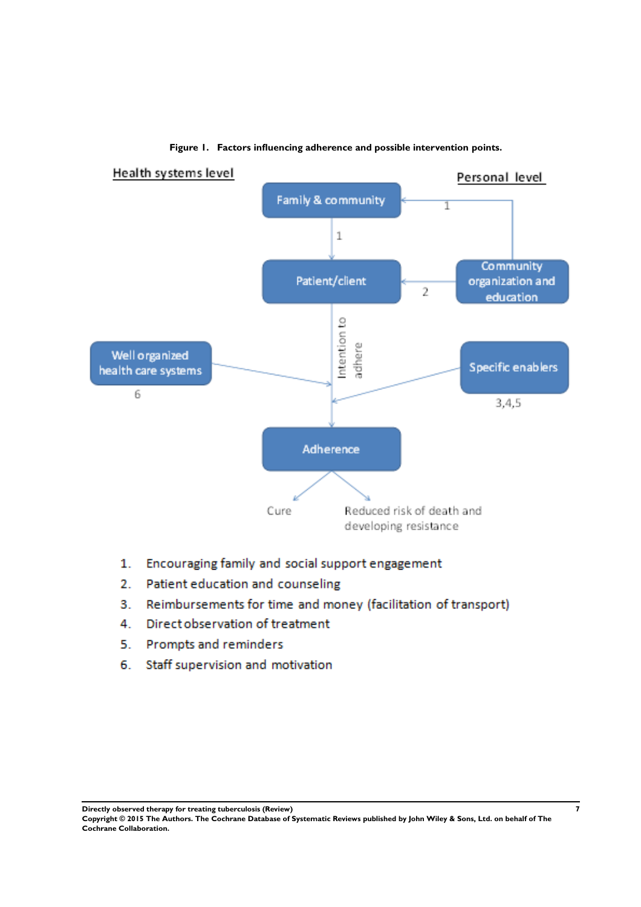<span id="page-8-0"></span>

**Figure 1. Factors influencing adherence and possible intervention points.**

- Encouraging family and social support engagement  $1.$
- 2. Patient education and counseling
- 3. Reimbursements for time and money (facilitation of transport)
- 4. Direct observation of treatment
- 5. Prompts and reminders
- 6. Staff supervision and motivation

**Directly observed therapy for treating tuberculosis (Review) 7**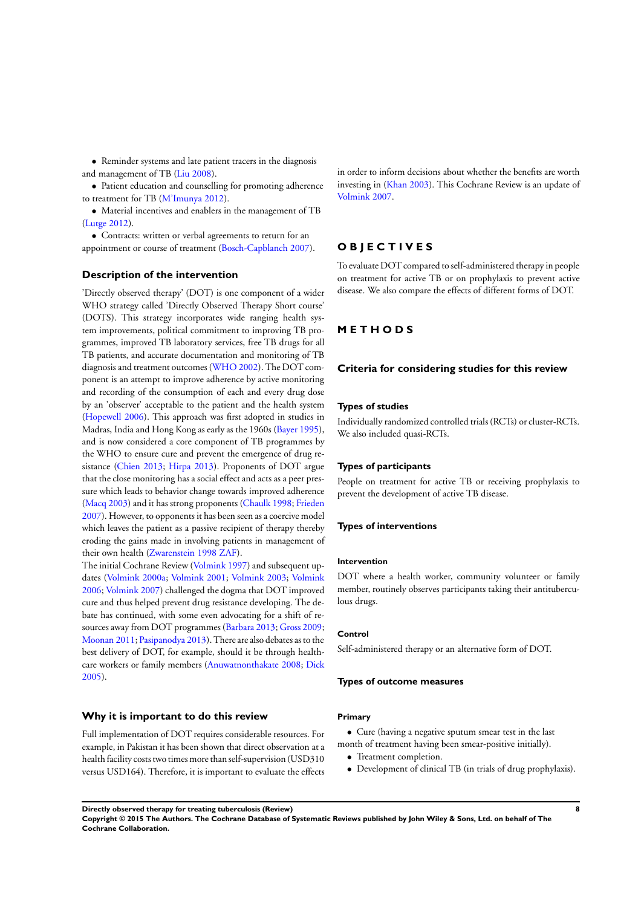• Reminder systems and late patient tracers in the diagnosis and management of TB [\(Liu 2008](#page-21-0)).

• Patient education and counselling for promoting adherence to treatment for TB [\(M'Imunya 2012\)](#page-21-0).

• Material incentives and enablers in the management of TB [\(Lutge 2012](#page-21-0)).

• Contracts: written or verbal agreements to return for an appointment or course of treatment ([Bosch-Capblanch 2007](#page-21-0)).

#### **Description of the intervention**

'Directly observed therapy' (DOT) is one component of a wider WHO strategy called 'Directly Observed Therapy Short course' (DOTS). This strategy incorporates wide ranging health system improvements, political commitment to improving TB programmes, improved TB laboratory services, free TB drugs for all TB patients, and accurate documentation and monitoring of TB diagnosis and treatment outcomes ([WHO 2002\)](#page-21-0). The DOT component is an attempt to improve adherence by active monitoring and recording of the consumption of each and every drug dose by an 'observer' acceptable to the patient and the health system [\(Hopewell 2006\)](#page-21-0). This approach was first adopted in studies in Madras, India and Hong Kong as early as the 1960s ([Bayer 1995](#page-21-0)), and is now considered a core component of TB programmes by the WHO to ensure cure and prevent the emergence of drug resistance ([Chien 2013](#page-21-0); [Hirpa 2013](#page-21-0)). Proponents of DOT argue that the close monitoring has a social effect and acts as a peer pressure which leads to behavior change towards improved adherence [\(Macq 2003\)](#page-21-0) and it has strong proponents [\(Chaulk 1998;](#page-21-0) [Frieden](#page-21-0) [2007](#page-21-0)). However, to opponents it has been seen as a coercive model which leaves the patient as a passive recipient of therapy thereby eroding the gains made in involving patients in management of their own health [\(Zwarenstein 1998 ZAF\)](#page-21-0).

The initial Cochrane Review [\(Volmink 1997](#page-21-0)) and subsequent updates [\(Volmink 2000a;](#page-21-0) [Volmink 2001;](#page-21-0) [Volmink 2003;](#page-21-0) [Volmink](#page-21-0) [2006](#page-21-0); [Volmink 2007\)](#page-21-0) challenged the dogma that DOT improved cure and thus helped prevent drug resistance developing. The debate has continued, with some even advocating for a shift of resources away from DOT programmes [\(Barbara 2013;](#page-21-0) [Gross 2009;](#page-21-0) [Moonan 2011;](#page-21-0) [Pasipanodya 2013\)](#page-21-0). There are also debates as to the best delivery of DOT, for example, should it be through healthcare workers or family members ([Anuwatnonthakate 2008](#page-21-0); [Dick](#page-21-0) [2005](#page-21-0)).

#### **Why it is important to do this review**

Full implementation of DOT requires considerable resources. For example, in Pakistan it has been shown that direct observation at a health facility costs two times more than self-supervision (USD310 versus USD164). Therefore, it is important to evaluate the effects in order to inform decisions about whether the benefits are worth investing in ([Khan 2003](#page-21-0)). This Cochrane Review is an update of [Volmink 2007.](#page-21-0)

## **O B J E C T I V E S**

To evaluate DOT compared to self-administered therapy in people on treatment for active TB or on prophylaxis to prevent active disease. We also compare the effects of different forms of DOT.

## **M E T H O D S**

#### **Criteria for considering studies for this review**

#### **Types of studies**

Individually randomized controlled trials (RCTs) or cluster-RCTs. We also included quasi-RCTs.

#### **Types of participants**

People on treatment for active TB or receiving prophylaxis to prevent the development of active TB disease.

#### **Types of interventions**

#### **Intervention**

DOT where a health worker, community volunteer or family member, routinely observes participants taking their antituberculous drugs.

#### **Control**

Self-administered therapy or an alternative form of DOT.

#### **Types of outcome measures**

#### **Primary**

- Cure (having a negative sputum smear test in the last month of treatment having been smear-positive initially).
	- Treatment completion.
	- Development of clinical TB (in trials of drug prophylaxis).

**Directly observed therapy for treating tuberculosis (Review) 8**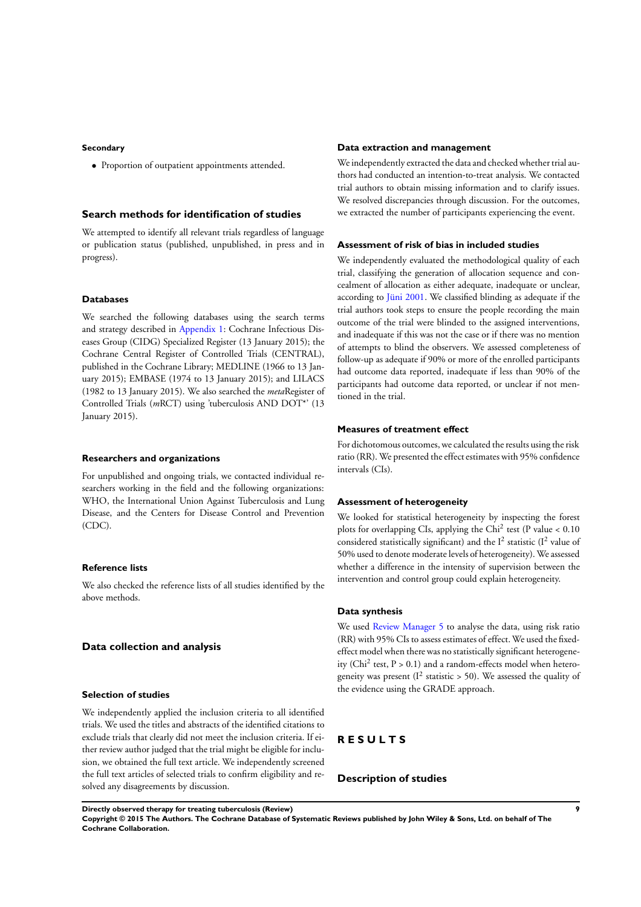#### **Secondary**

• Proportion of outpatient appointments attended.

#### **Search methods for identification of studies**

We attempted to identify all relevant trials regardless of language or publication status (published, unpublished, in press and in progress).

#### **Databases**

We searched the following databases using the search terms and strategy described in [Appendix 1](#page-53-0): Cochrane Infectious Diseases Group (CIDG) Specialized Register (13 January 2015); the Cochrane Central Register of Controlled Trials (CENTRAL), published in the Cochrane Library; MEDLINE (1966 to 13 January 2015); EMBASE (1974 to 13 January 2015); and LILACS (1982 to 13 January 2015). We also searched the *meta*Register of Controlled Trials (*m*RCT) using 'tuberculosis AND DOT\*' (13 January 2015).

#### **Researchers and organizations**

For unpublished and ongoing trials, we contacted individual researchers working in the field and the following organizations: WHO, the International Union Against Tuberculosis and Lung Disease, and the Centers for Disease Control and Prevention (CDC).

#### **Reference lists**

We also checked the reference lists of all studies identified by the above methods.

#### **Data collection and analysis**

#### **Selection of studies**

We independently applied the inclusion criteria to all identified trials. We used the titles and abstracts of the identified citations to exclude trials that clearly did not meet the inclusion criteria. If either review author judged that the trial might be eligible for inclusion, we obtained the full text article. We independently screened the full text articles of selected trials to confirm eligibility and resolved any disagreements by discussion.

#### **Data extraction and management**

We independently extracted the data and checked whether trial authors had conducted an intention-to-treat analysis. We contacted trial authors to obtain missing information and to clarify issues. We resolved discrepancies through discussion. For the outcomes, we extracted the number of participants experiencing the event.

#### **Assessment of risk of bias in included studies**

We independently evaluated the methodological quality of each trial, classifying the generation of allocation sequence and concealment of allocation as either adequate, inadequate or unclear, according to [Jüni 2001](#page-21-0). We classified blinding as adequate if the trial authors took steps to ensure the people recording the main outcome of the trial were blinded to the assigned interventions, and inadequate if this was not the case or if there was no mention of attempts to blind the observers. We assessed completeness of follow-up as adequate if 90% or more of the enrolled participants had outcome data reported, inadequate if less than 90% of the participants had outcome data reported, or unclear if not mentioned in the trial.

#### **Measures of treatment effect**

For dichotomous outcomes, we calculated the results using the risk ratio (RR). We presented the effect estimates with 95% confidence intervals (CIs).

#### **Assessment of heterogeneity**

We looked for statistical heterogeneity by inspecting the forest plots for overlapping CIs, applying the  $Chi^2$  test (P value <  $0.10$ considered statistically significant) and the  $I^2$  statistic ( $I^2$  value of 50% used to denote moderate levels of heterogeneity). We assessed whether a difference in the intensity of supervision between the intervention and control group could explain heterogeneity.

#### **Data synthesis**

We used [Review Manager 5](#page-21-0) to analyse the data, using risk ratio (RR) with 95% CIs to assess estimates of effect. We used the fixedeffect model when there was no statistically significant heterogeneity (Chi<sup>2</sup> test,  $P > 0.1$ ) and a random-effects model when heterogeneity was present ( $I^2$  statistic > 50). We assessed the quality of the evidence using the GRADE approach.

## **R E S U L T S**

#### **Description of studies**

**Directly observed therapy for treating tuberculosis (Review) 9**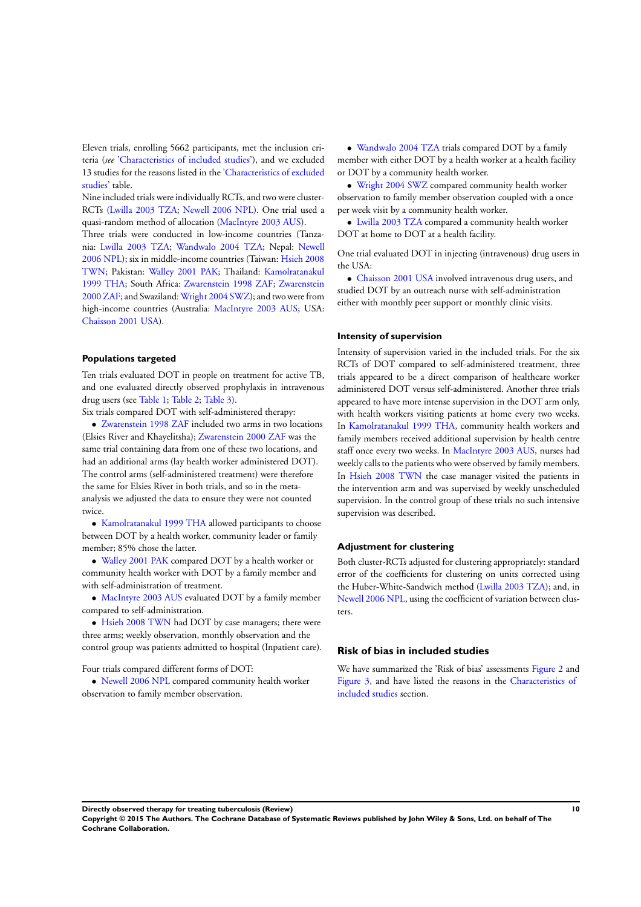Eleven trials, enrolling 5662 participants, met the inclusion criteria (*see* ['Characteristics of included studies'](#page-25-0)), and we excluded 13 studies for the reasons listed in the'[Characteristics of excluded](#page-38-0) [studies'](#page-38-0) table.

Nine included trials were individually RCTs, and two were cluster-RCTs ([Lwilla 2003 TZA](#page-21-0); [Newell 2006 NPL](#page-21-0)). One trial used a quasi-random method of allocation [\(MacIntyre 2003 AUS](#page-21-0)).

Three trials were conducted in low-income countries (Tanzania: [Lwilla 2003 TZA](#page-21-0); [Wandwalo 2004 TZA;](#page-21-0) Nepal: [Newell](#page-21-0) [2006 NPL](#page-21-0)); six in middle-income countries (Taiwan: [Hsieh 2008](#page-21-0) [TWN;](#page-21-0) Pakistan: [Walley 2001 PAK](#page-21-0); Thailand: [Kamolratanakul](#page-21-0) [1999 THA;](#page-21-0) South Africa: [Zwarenstein 1998 ZAF](#page-21-0); [Zwarenstein](#page-21-0) [2000 ZAF;](#page-21-0) and Swaziland:[Wright 2004 SWZ\)](#page-21-0); and two were from high-income countries (Australia: [MacIntyre 2003 AUS](#page-21-0); USA: [Chaisson 2001 USA](#page-21-0)).

#### **Populations targeted**

Ten trials evaluated DOT in people on treatment for active TB, and one evaluated directly observed prophylaxis in intravenous drug users (see [Table 1;](#page-51-0) [Table 2;](#page-52-0) [Table 3\)](#page-53-0).

Six trials compared DOT with self-administered therapy:

• [Zwarenstein 1998 ZAF](#page-21-0) included two arms in two locations (Elsies River and Khayelitsha); [Zwarenstein 2000 ZAF](#page-21-0) was the same trial containing data from one of these two locations, and had an additional arms (lay health worker administered DOT). The control arms (self-administered treatment) were therefore the same for Elsies River in both trials, and so in the metaanalysis we adjusted the data to ensure they were not counted twice.

• [Kamolratanakul 1999 THA](#page-21-0) allowed participants to choose between DOT by a health worker, community leader or family member; 85% chose the latter.

• [Walley 2001 PAK](#page-21-0) compared DOT by a health worker or community health worker with DOT by a family member and with self-administration of treatment.

• [MacIntyre 2003 AUS](#page-21-0) evaluated DOT by a family member compared to self-administration.

• [Hsieh 2008 TWN](#page-21-0) had DOT by case managers; there were three arms; weekly observation, monthly observation and the control group was patients admitted to hospital (Inpatient care).

Four trials compared different forms of DOT:

• [Newell 2006 NPL](#page-21-0) compared community health worker observation to family member observation.

• [Wandwalo 2004 TZA](#page-21-0) trials compared DOT by a family member with either DOT by a health worker at a health facility or DOT by a community health worker.

• [Wright 2004 SWZ](#page-21-0) compared community health worker observation to family member observation coupled with a once per week visit by a community health worker.

• [Lwilla 2003 TZA](#page-21-0) compared a community health worker DOT at home to DOT at a health facility.

One trial evaluated DOT in injecting (intravenous) drug users in the USA:

• [Chaisson 2001 USA](#page-21-0) involved intravenous drug users, and studied DOT by an outreach nurse with self-administration either with monthly peer support or monthly clinic visits.

#### **Intensity of supervision**

Intensity of supervision varied in the included trials. For the six RCTs of DOT compared to self-administered treatment, three trials appeared to be a direct comparison of healthcare worker administered DOT versus self-administered. Another three trials appeared to have more intense supervision in the DOT arm only, with health workers visiting patients at home every two weeks. In [Kamolratanakul 1999 THA](#page-21-0), community health workers and family members received additional supervision by health centre staff once every two weeks. In [MacIntyre 2003 AUS](#page-21-0), nurses had weekly calls to the patients who were observed by family members. In [Hsieh 2008 TWN](#page-21-0) the case manager visited the patients in the intervention arm and was supervised by weekly unscheduled supervision. In the control group of these trials no such intensive supervision was described.

### **Adjustment for clustering**

Both cluster-RCTs adjusted for clustering appropriately: standard error of the coefficients for clustering on units corrected using the Huber-White-Sandwich method [\(Lwilla 2003 TZA](#page-21-0)); and, in [Newell 2006 NPL,](#page-21-0) using the coefficient of variation between clusters.

#### **Risk of bias in included studies**

We have summarized the 'Risk of bias' assessments [Figure 2](#page-12-0) and [Figure 3](#page-13-0), and have listed the reasons in the [Characteristics of](#page-25-0) [included studies](#page-25-0) section.

**Directly observed therapy for treating tuberculosis (Review) 10**

**Copyright © 2015 The Authors. The Cochrane Database of Systematic Reviews published by John Wiley & Sons, Ltd. on behalf of The Cochrane Collaboration.**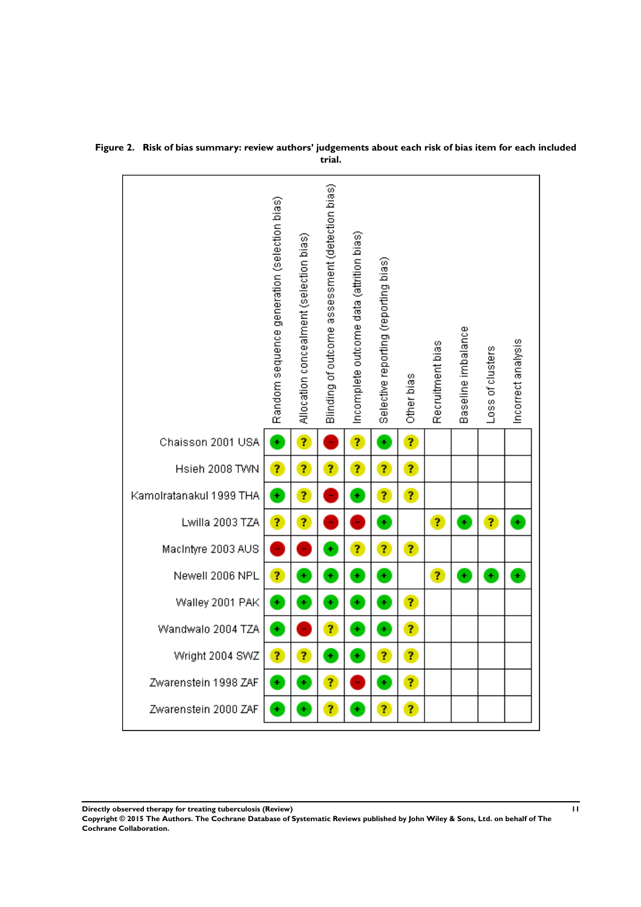|                         | Random sequence generation (selection bias) | Allocation concealment (selection bias) | Blinding of outcome assessment (detection bias) | (Incomplete outcome data (attrition bias | Selective reporting (reporting bias) | Other bias              | Recruitment bias | Baseline imbalance | Loss of clusters | Incorrect analysis |
|-------------------------|---------------------------------------------|-----------------------------------------|-------------------------------------------------|------------------------------------------|--------------------------------------|-------------------------|------------------|--------------------|------------------|--------------------|
| Chaisson 2001 USA       | Ŧ                                           | Î,                                      | ÷                                               | ?                                        | $\ddot{}$                            | ?                       |                  |                    |                  |                    |
| Hsieh 2008 TWN          | Ĩ,                                          | ?                                       | ?                                               | ?                                        | 7                                    | 7                       |                  |                    |                  |                    |
| Kamolratanakul 1999 THA | Ŧ                                           | ?                                       | ÷                                               | Ŧ                                        | ?                                    | Ŧ,                      |                  |                    |                  |                    |
| Lwilla 2003 TZA         | ?                                           | ?                                       | ÷                                               | Ę                                        | Ŧ                                    |                         | Ŧ,               | ¥                  | 7                | $\bullet$          |
| Macintyre 2003 AUS      | Ę                                           | ÷                                       | Ŧ                                               | ?                                        | 7                                    | 7                       |                  |                    |                  |                    |
| Newell 2006 NPL         | ?                                           | Ŧ                                       | Ŧ                                               | Ŧ                                        | Ŧ                                    |                         | 7                | Ŧ                  | Ŧ                | $\bullet$          |
| Walley 2001 PAK         | Ŧ                                           | Ŧ                                       | $\ddot{}$                                       | Ŧ                                        | Ŧ                                    | $\overline{\mathbf{r}}$ |                  |                    |                  |                    |
| Wandwalo 2004 TZA       | $\color{red}+$                              | ۳                                       | ?                                               | Ŧ                                        | $\bullet$                            | 7                       |                  |                    |                  |                    |
| Wright 2004 SWZ         | 7                                           | ?                                       | ÷                                               | Ŧ                                        | Ŧ,                                   | 7                       |                  |                    |                  |                    |
| Zwarenstein 1998 ZAF    | ¥                                           | Ŧ                                       | ?                                               | ÷                                        | ÷                                    | 7                       |                  |                    |                  |                    |
|                         |                                             |                                         |                                                 |                                          |                                      |                         |                  |                    |                  |                    |

## <span id="page-12-0"></span>**Figure 2. Risk of bias summary: review authors' judgements about each risk of bias item for each included trial.**

**Directly observed therapy for treating tuberculosis (Review) 11**

**Copyright © 2015 The Authors. The Cochrane Database of Systematic Reviews published by John Wiley & Sons, Ltd. on behalf of The Cochrane Collaboration.**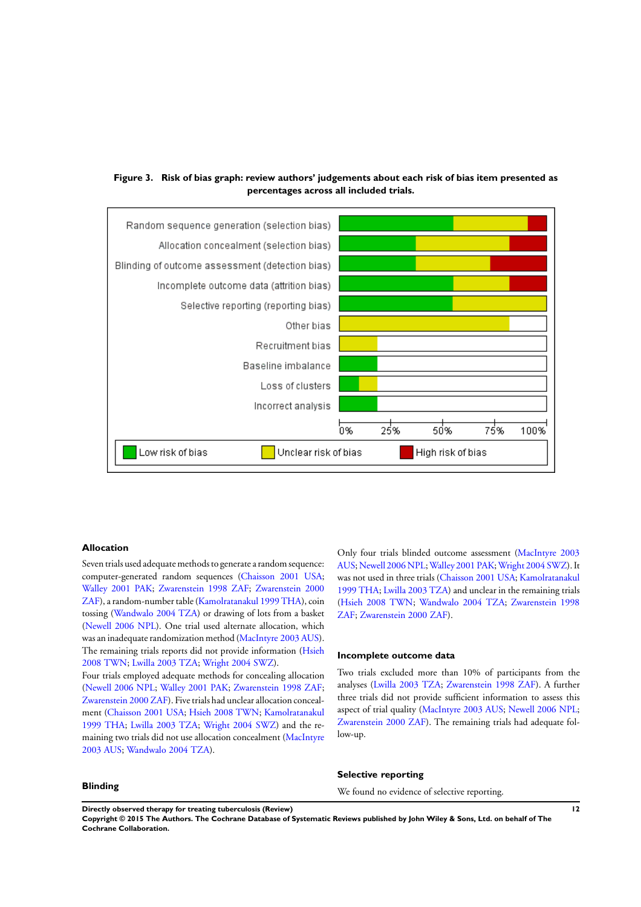<span id="page-13-0"></span>



## **Allocation**

**Blinding**

Seven trials used adequate methods to generate a random sequence: computer-generated random sequences ([Chaisson 2001 USA;](#page-21-0) [Walley 2001 PAK](#page-21-0); [Zwarenstein 1998 ZAF](#page-21-0); [Zwarenstein 2000](#page-21-0) [ZAF\)](#page-21-0), a random-number table [\(Kamolratanakul 1999 THA\)](#page-21-0), coin tossing ([Wandwalo 2004 TZA](#page-21-0)) or drawing of lots from a basket [\(Newell 2006 NPL\)](#page-21-0). One trial used alternate allocation, which was an inadequate randomization method [\(MacIntyre 2003 AUS](#page-21-0)). The remaining trials reports did not provide information ([Hsieh](#page-21-0) [2008 TWN](#page-21-0); [Lwilla 2003 TZA;](#page-21-0) [Wright 2004 SWZ\)](#page-21-0). Four trials employed adequate methods for concealing allocation [\(Newell 2006 NPL;](#page-21-0) [Walley 2001 PAK;](#page-21-0) [Zwarenstein 1998 ZAF;](#page-21-0) [Zwarenstein 2000 ZAF\)](#page-21-0). Five trials had unclear allocation conceal-

ment ([Chaisson 2001 USA;](#page-21-0) [Hsieh 2008 TWN;](#page-21-0) [Kamolratanakul](#page-21-0) [1999 THA;](#page-21-0) [Lwilla 2003 TZA;](#page-21-0) [Wright 2004 SWZ](#page-21-0)) and the remaining two trials did not use allocation concealment [\(MacIntyre](#page-21-0) [2003 AUS](#page-21-0); [Wandwalo 2004 TZA](#page-21-0)).

Only four trials blinded outcome assessment [\(MacIntyre 2003](#page-21-0) AUS; Newell 2006 NPL; Walley 2001 PAK; Wright 2004 SWZ). It was not used in three trials [\(Chaisson 2001 USA](#page-21-0); [Kamolratanakul](#page-21-0) [1999 THA;](#page-21-0) [Lwilla 2003 TZA\)](#page-21-0) and unclear in the remaining trials [\(Hsieh 2008 TWN](#page-21-0); [Wandwalo 2004 TZA;](#page-21-0) [Zwarenstein 1998](#page-21-0) [ZAF;](#page-21-0) [Zwarenstein 2000 ZAF](#page-21-0)).

#### **Incomplete outcome data**

Two trials excluded more than 10% of participants from the analyses ([Lwilla 2003 TZA](#page-21-0); [Zwarenstein 1998 ZAF](#page-21-0)). A further three trials did not provide sufficient information to assess this aspect of trial quality ([MacIntyre 2003 AUS](#page-21-0); [Newell 2006 NPL;](#page-21-0) [Zwarenstein 2000 ZAF](#page-21-0)). The remaining trials had adequate follow-up.

#### **Selective reporting**

We found no evidence of selective reporting.

## **Directly observed therapy for treating tuberculosis (Review) 12**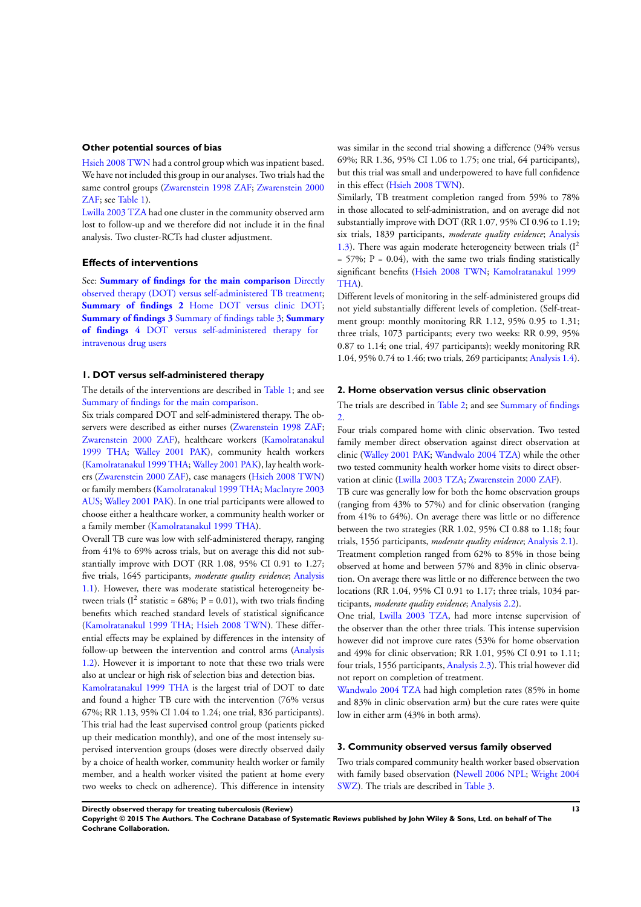## **Other potential sources of bias**

[Hsieh 2008 TWN](#page-21-0) had a control group which was inpatient based. We have not included this group in our analyses. Two trials had the same control groups ([Zwarenstein 1998 ZAF;](#page-21-0) [Zwarenstein 2000](#page-21-0) [ZAF;](#page-21-0) see [Table 1\)](#page-51-0).

[Lwilla 2003 TZA](#page-21-0) had one cluster in the community observed arm lost to follow-up and we therefore did not include it in the final analysis. Two cluster-RCTs had cluster adjustment.

#### **Effects of interventions**

See: **[Summary of findings for the main comparison](#page-5-0)** [Directly](#page-5-0) [observed therapy \(DOT\) versus self-administered TB treatment;](#page-5-0) **[Summary of findings 2](#page-16-0)** [Home DOT versus clinic DOT;](#page-16-0) **[Summary of findings 3](#page-18-0)** [Summary of findings table 3](#page-18-0); **[Summary](#page-19-0) [of findings 4](#page-19-0)** [DOT versus self-administered therapy for](#page-19-0) [intravenous drug users](#page-19-0)

#### **1. DOT versus self-administered therapy**

The details of the interventions are described in [Table 1](#page-51-0); and see [Summary of findings for the main comparison.](#page-5-0)

Six trials compared DOT and self-administered therapy. The observers were described as either nurses [\(Zwarenstein 1998 ZAF;](#page-21-0) [Zwarenstein 2000 ZAF\)](#page-21-0), healthcare workers [\(Kamolratanakul](#page-21-0) [1999 THA;](#page-21-0) [Walley 2001 PAK](#page-21-0)), community health workers [\(Kamolratanakul 1999 THA;](#page-21-0) [Walley 2001 PAK\)](#page-21-0), lay health workers ([Zwarenstein 2000 ZAF](#page-21-0)), case managers [\(Hsieh 2008 TWN](#page-21-0)) or family members [\(Kamolratanakul 1999 THA](#page-21-0); [MacIntyre 2003](#page-21-0) [AUS;](#page-21-0) [Walley 2001 PAK](#page-21-0)). In one trial participants were allowed to choose either a healthcare worker, a community health worker or a family member [\(Kamolratanakul 1999 THA](#page-21-0)).

Overall TB cure was low with self-administered therapy, ranging from 41% to 69% across trials, but on average this did not substantially improve with DOT (RR 1.08, 95% CI 0.91 to 1.27; five trials, 1645 participants, *moderate quality evidence*; [Analysis](#page-42-0) [1.1](#page-42-0)). However, there was moderate statistical heterogeneity between trials (I<sup>2</sup> statistic = 68%; P = 0.01), with two trials finding benefits which reached standard levels of statistical significance [\(Kamolratanakul 1999 THA](#page-21-0); [Hsieh 2008 TWN](#page-21-0)). These differential effects may be explained by differences in the intensity of follow-up between the intervention and control arms ([Analysis](#page-43-0) [1.2](#page-43-0)). However it is important to note that these two trials were also at unclear or high risk of selection bias and detection bias. [Kamolratanakul 1999 THA](#page-21-0) is the largest trial of DOT to date and found a higher TB cure with the intervention (76% versus

67%; RR 1.13, 95% CI 1.04 to 1.24; one trial, 836 participants). This trial had the least supervised control group (patients picked up their medication monthly), and one of the most intensely supervised intervention groups (doses were directly observed daily by a choice of health worker, community health worker or family member, and a health worker visited the patient at home every two weeks to check on adherence). This difference in intensity was similar in the second trial showing a difference (94% versus 69%; RR 1.36, 95% CI 1.06 to 1.75; one trial, 64 participants), but this trial was small and underpowered to have full confidence in this effect [\(Hsieh 2008 TWN](#page-21-0)).

Similarly, TB treatment completion ranged from 59% to 78% in those allocated to self-administration, and on average did not substantially improve with DOT (RR 1.07, 95% CI 0.96 to 1.19; six trials, 1839 participants, *moderate quality evidence*; [Analysis](#page-43-0) [1.3](#page-43-0)). There was again moderate heterogeneity between trials  $(I^2)$  $= 57\%$ ; P = 0.04), with the same two trials finding statistically significant benefits [\(Hsieh 2008 TWN](#page-21-0); [Kamolratanakul 1999](#page-21-0) [THA](#page-21-0)).

Different levels of monitoring in the self-administered groups did not yield substantially different levels of completion. (Self-treatment group: monthly monitoring RR 1.12, 95% 0.95 to 1.31; three trials, 1073 participants; every two weeks: RR 0.99, 95% 0.87 to 1.14; one trial, 497 participants); weekly monitoring RR 1.04, 95% 0.74 to 1.46; two trials, 269 participants; [Analysis 1.4](#page-44-0)).

#### **2. Home observation versus clinic observation**

The trials are described in [Table 2](#page-52-0); and see [Summary of findings](#page-16-0) [2.](#page-16-0)

Four trials compared home with clinic observation. Two tested family member direct observation against direct observation at clinic [\(Walley 2001 PAK](#page-21-0); [Wandwalo 2004 TZA\)](#page-21-0) while the other two tested community health worker home visits to direct observation at clinic ([Lwilla 2003 TZA;](#page-21-0) [Zwarenstein 2000 ZAF](#page-21-0)).

TB cure was generally low for both the home observation groups (ranging from 43% to 57%) and for clinic observation (ranging from 41% to 64%). On average there was little or no difference between the two strategies (RR 1.02, 95% CI 0.88 to 1.18; four trials, 1556 participants, *moderate quality evidence*; [Analysis 2.1\)](#page-46-0). Treatment completion ranged from 62% to 85% in those being observed at home and between 57% and 83% in clinic observation. On average there was little or no difference between the two locations (RR 1.04, 95% CI 0.91 to 1.17; three trials, 1034 participants, *moderate quality evidence*; [Analysis 2.2\)](#page-47-0).

One trial, [Lwilla 2003 TZA,](#page-21-0) had more intense supervision of the observer than the other three trials. This intense supervision however did not improve cure rates (53% for home observation and 49% for clinic observation; RR 1.01, 95% CI 0.91 to 1.11; four trials, 1556 participants, [Analysis 2.3](#page-48-0)). This trial however did not report on completion of treatment.

[Wandwalo 2004 TZA](#page-21-0) had high completion rates (85% in home and 83% in clinic observation arm) but the cure rates were quite low in either arm (43% in both arms).

#### **3. Community observed versus family observed**

Two trials compared community health worker based observation with family based observation [\(Newell 2006 NPL](#page-21-0); [Wright 2004](#page-21-0) [SWZ](#page-21-0)). The trials are described in [Table 3.](#page-53-0)

**Directly observed therapy for treating tuberculosis (Review) 13**

**Copyright © 2015 The Authors. The Cochrane Database of Systematic Reviews published by John Wiley & Sons, Ltd. on behalf of The Cochrane Collaboration.**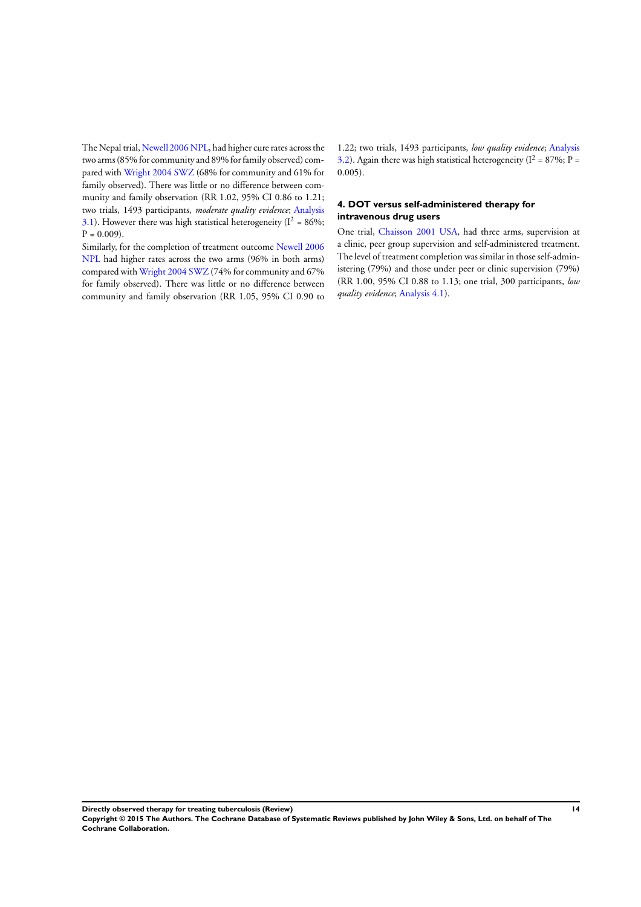The Nepal trial, [Newell 2006 NPL,](#page-21-0) had higher cure rates across the two arms (85% for community and 89% for family observed) compared with [Wright 2004 SWZ](#page-21-0) (68% for community and 61% for family observed). There was little or no difference between community and family observation (RR 1.02, 95% CI 0.86 to 1.21; two trials, 1493 participants, *moderate quality evidence*; [Analysis](#page-49-0) [3.1](#page-49-0)). However there was high statistical heterogeneity ( $I^2 = 86\%$ ;  $P = 0.009$ ).

Similarly, for the completion of treatment outcome [Newell 2006](#page-21-0) [NPL](#page-21-0) had higher rates across the two arms (96% in both arms) compared with [Wright 2004 SWZ](#page-21-0) (74% for community and 67% for family observed). There was little or no difference between community and family observation (RR 1.05, 95% CI 0.90 to

1.22; two trials, 1493 participants, *low quality evidence*; [Analysis](#page-50-0) [3.2](#page-50-0)). Again there was high statistical heterogeneity ( $I^2 = 87\%$ ; P = 0.005).

## **4. DOT versus self-administered therapy for intravenous drug users**

One trial, [Chaisson 2001 USA](#page-21-0), had three arms, supervision at a clinic, peer group supervision and self-administered treatment. The level of treatment completion was similar in those self-administering (79%) and those under peer or clinic supervision (79%) (RR 1.00, 95% CI 0.88 to 1.13; one trial, 300 participants, *low quality evidence*; [Analysis 4.1](#page-50-0)).

**Directly observed therapy for treating tuberculosis (Review) 14**

**Copyright © 2015 The Authors. The Cochrane Database of Systematic Reviews published by John Wiley & Sons, Ltd. on behalf of The Cochrane Collaboration.**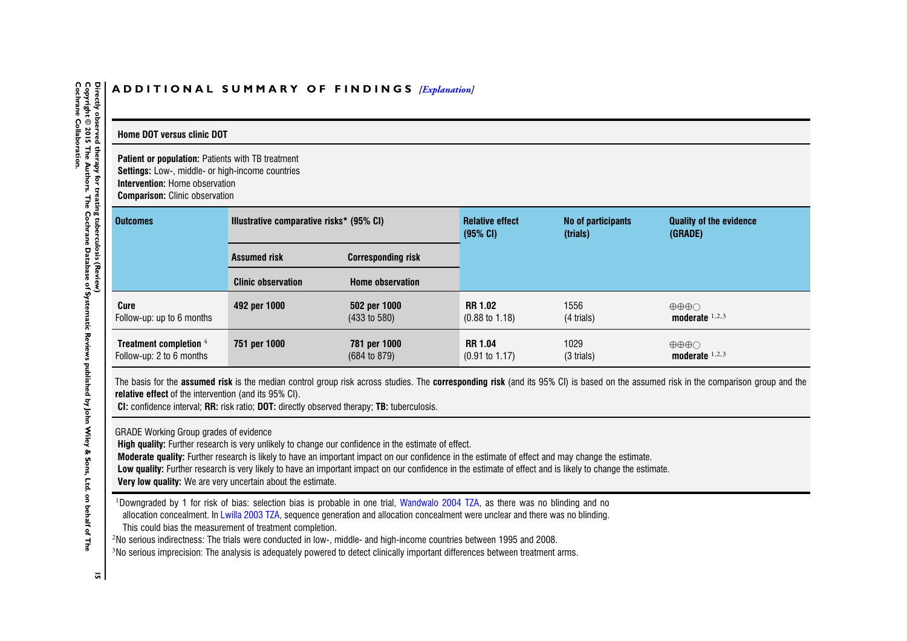## <span id="page-16-0"></span>ADDITIONAL SUMMARY OF FINDINGS *[\[Explanation\]](http://www.thecochranelibrary.com/view/0/SummaryFindings.html)*

**Home DOT versus clinic DOT**

**Patient or population:** Patients with TB treatment

**Settings:** Low-, middle- or high-income countries

**Intervention:** Home observation

**Comparison:** Clinic observation

| <b>Outcomes</b>                                    | Illustrative comparative risks* (95% CI)         |                                         | <b>Relative effect</b><br>$(95\% \text{ CI})$ | No of participants<br>(trials) | <b>Quality of the evidence</b><br>(GRADE)           |
|----------------------------------------------------|--------------------------------------------------|-----------------------------------------|-----------------------------------------------|--------------------------------|-----------------------------------------------------|
|                                                    | <b>Corresponding risk</b><br><b>Assumed risk</b> |                                         |                                               |                                |                                                     |
|                                                    | <b>Clinic observation</b>                        | Home observation                        |                                               |                                |                                                     |
| Cure<br>Follow-up: up to 6 months                  | 492 per 1000                                     | 502 per 1000<br>(433 to 580)            | <b>RR 1.02</b><br>$(0.88 \text{ to } 1.18)$   | 1556<br>(4 trials)             | $\oplus \oplus \oplus \cap$<br>moderate $1,2,3$     |
| Treatment completion 4<br>Follow-up: 2 to 6 months | 751 per 1000                                     | 781 per 1000<br>$(684 \text{ to } 879)$ | <b>RR 1.04</b><br>$(0.91 \text{ to } 1.17)$   | 1029<br>$(3 \text{ trials})$   | $\oplus \oplus \oplus \bigcirc$<br>moderate $1,2,3$ |

The basis for the **assumed risk** is the median control group risk across studies. The **corresponding risk** (and its 95% CI) is based on the assumed risk in the comparison group and the **relative effect** of the intervention (and its 95% CI).

**CI:** confidence interval; **RR:** risk ratio; **DOT:** directly observed therapy; **TB:** tuberculosis.

GRADE Working Group grades of evidence

**High quality:** Further research is very unlikely to change our confidence in the estimate of effect.

**Moderate quality:** Further research is likely to have an important impact on our confidence in the estimate of effect and may change the estimate.

Low quality: Further research is very likely to have an important impact on our confidence in the estimate of effect and is likely to change the estimate.

**Very low quality:** We are very uncertain about the estimate.

<sup>1</sup>Downgraded by 1 for risk of bias: selection bias is probable in one trial, [Wandwalo](#page-21-0) [2004](#page-21-0) [TZA](#page-21-0), as there was no blinding and no allocation concealment. In [Lwilla](#page-21-0) [2003](#page-21-0) [TZA](#page-21-0), sequence generation and allocation concealment were unclear and there was no blinding. This could bias the measurement of treatment completion.

<sup>2</sup>No serious indirectness: The trials were conducted in low-, middle- and high-income countries between <sup>1995</sup> and 2008.

<sup>3</sup>No serious imprecision: The analysis is adequately powered to detect clinically important differences between treatment arms.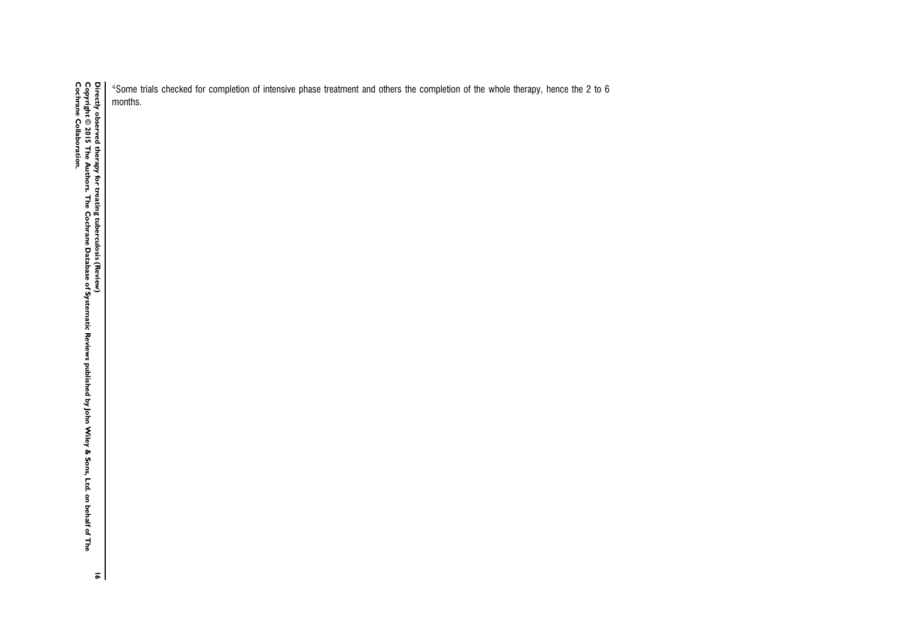| Directly observed therapy for treating tuberculosis (Review)<br>Copyright © 2015 The Authors. The Cochrane Database of Systematic Reviews published by John Wiley & Sons, Ltd. on behalf of The<br>Cochrane Collaboration. | months. |  |  |  | <sup>4</sup> Some trials checked for completion of intensive phase treatment and others the completion of the whole therapy, hence the 2 to 6 |  |  |  |  |  |  |
|----------------------------------------------------------------------------------------------------------------------------------------------------------------------------------------------------------------------------|---------|--|--|--|-----------------------------------------------------------------------------------------------------------------------------------------------|--|--|--|--|--|--|
| $\bar{z}$                                                                                                                                                                                                                  |         |  |  |  |                                                                                                                                               |  |  |  |  |  |  |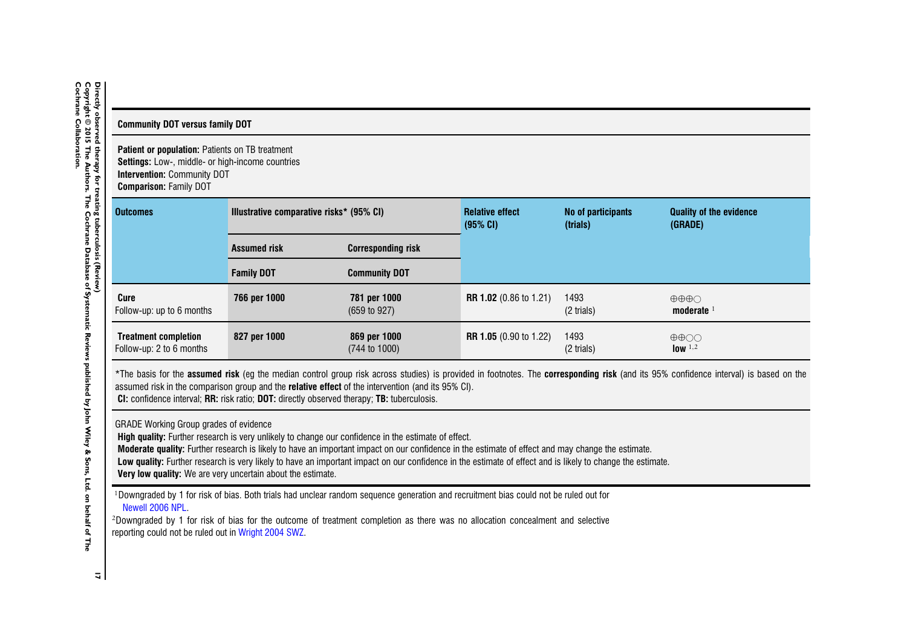<span id="page-18-0"></span>

| <b>Community DOT versus family DOT</b>                                                                                                                                            |                                          |                                          |                                               |                                |                                                   |  |  |
|-----------------------------------------------------------------------------------------------------------------------------------------------------------------------------------|------------------------------------------|------------------------------------------|-----------------------------------------------|--------------------------------|---------------------------------------------------|--|--|
| <b>Patient or population:</b> Patients on TB treatment<br>Settings: Low-, middle- or high-income countries<br><b>Intervention: Community DOT</b><br><b>Comparison: Family DOT</b> |                                          |                                          |                                               |                                |                                                   |  |  |
| <b>Outcomes</b>                                                                                                                                                                   | Illustrative comparative risks* (95% CI) |                                          | <b>Relative effect</b><br>$(95\% \text{ CI})$ | No of participants<br>(trials) | <b>Quality of the evidence</b><br>(GRADE)         |  |  |
|                                                                                                                                                                                   | <b>Assumed risk</b>                      | <b>Corresponding risk</b>                |                                               |                                |                                                   |  |  |
|                                                                                                                                                                                   | <b>Family DOT</b>                        | <b>Community DOT</b>                     |                                               |                                |                                                   |  |  |
| Cure<br>Follow-up: up to 6 months                                                                                                                                                 | 766 per 1000                             | 781 per 1000<br>$(659 \text{ to } 927)$  | <b>RR 1.02</b> (0.86 to 1.21)                 | 1493<br>(2 trials)             | $\oplus \oplus \oplus \bigcirc$<br>moderate $1$   |  |  |
| <b>Treatment completion</b><br>Follow-up: 2 to 6 months                                                                                                                           | 827 per 1000                             | 869 per 1000<br>$(744 \text{ to } 1000)$ | <b>RR 1.05</b> (0.90 to 1.22)                 | 1493<br>(2 trials)             | $\oplus \oplus \odot \odot$<br>low <sup>1,2</sup> |  |  |

\*The basis for the **assumed risk** (eg the median control group risk across studies) is provided in footnotes. The **corresponding risk** (and its 95% confidence interval) is based on the assumed risk in the comparison group and the **relative effect** of the intervention (and its 95% CI).

**CI:** confidence interval; **RR:** risk ratio; **DOT:** directly observed therapy; **TB:** tuberculosis.

GRADE Working Group grades of evidence

**High quality:** Further research is very unlikely to change our confidence in the estimate of effect.

**Moderate quality:** Further research is likely to have an important impact on our confidence in the estimate of effect and may change the estimate.

Low quality: Further research is very likely to have an important impact on our confidence in the estimate of effect and is likely to change the estimate.

**Very low quality:** We are very uncertain about the estimate.

<sup>1</sup>Downgraded by <sup>1</sup> for risk of bias. Both trials had unclear random sequence generation and recruitment bias could not be ruled out for [Newell](#page-21-0) [2006](#page-21-0) [NPL](#page-21-0).

<sup>2</sup>Downgraded by 1 for risk of bias for the outcome of treatment completion as there was no allocation concealment and selective reporting could not be ruled out in [Wright](#page-21-0) [2004](#page-21-0) [SWZ](#page-21-0).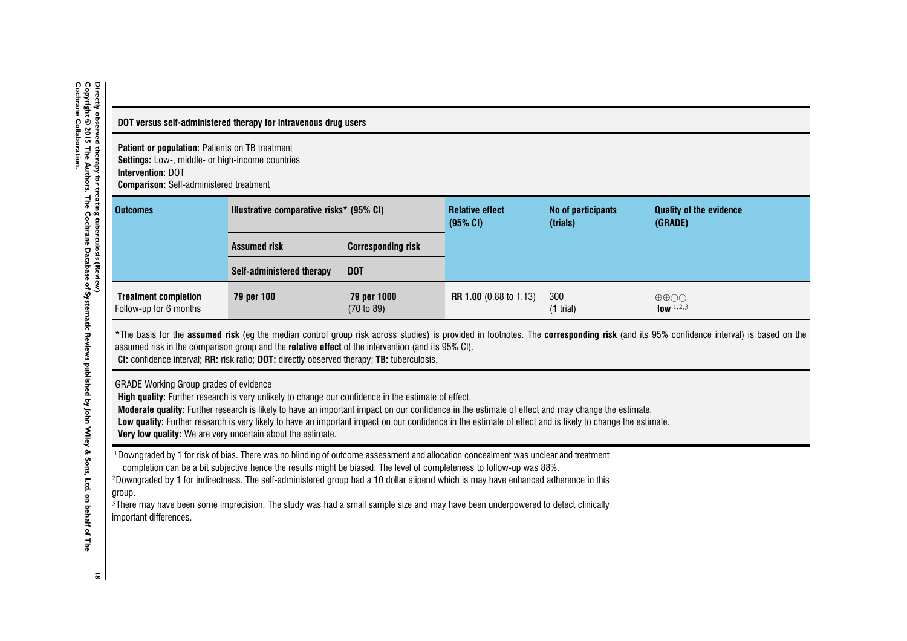| Directly observed therapy for treating tuberculosis (Review)<br>Intervention: DOT | <b>Comparison:</b> Self-administered treatment | DOT versus self-administered therapy for intravenous drug users<br>Patient or population: Patients on TB treatment<br>Settings: Low-, middle- or high-income countries                                                                                                                                                                                                                                                                                                                |                           |                                                                                                                                                 |                                |                                                                                                                                                                                      |
|-----------------------------------------------------------------------------------|------------------------------------------------|---------------------------------------------------------------------------------------------------------------------------------------------------------------------------------------------------------------------------------------------------------------------------------------------------------------------------------------------------------------------------------------------------------------------------------------------------------------------------------------|---------------------------|-------------------------------------------------------------------------------------------------------------------------------------------------|--------------------------------|--------------------------------------------------------------------------------------------------------------------------------------------------------------------------------------|
| <b>Outcomes</b>                                                                   |                                                | Illustrative comparative risks* (95% CI)                                                                                                                                                                                                                                                                                                                                                                                                                                              |                           | <b>Relative effect</b><br>(95% CI)                                                                                                              | No of participants<br>(trials) | <b>Quality of the evidence</b><br>(GRADE)                                                                                                                                            |
|                                                                                   |                                                | <b>Assumed risk</b>                                                                                                                                                                                                                                                                                                                                                                                                                                                                   | <b>Corresponding risk</b> |                                                                                                                                                 |                                |                                                                                                                                                                                      |
|                                                                                   |                                                | Self-administered therapy                                                                                                                                                                                                                                                                                                                                                                                                                                                             | DOT                       |                                                                                                                                                 |                                |                                                                                                                                                                                      |
| <b>Treatment completion</b><br>Follow-up for 6 months                             |                                                | 79 per 100                                                                                                                                                                                                                                                                                                                                                                                                                                                                            | 79 per 1000<br>(70 to 89) | RR 1.00 (0.88 to 1.13)                                                                                                                          | 300<br>$(1 \text{ trial})$     | $\oplus \oplus \bigcirc \bigcirc$<br>$low$ <sup>1,2,3</sup>                                                                                                                          |
|                                                                                   |                                                | assumed risk in the comparison group and the <b>relative effect</b> of the intervention (and its 95% CI).<br>CI: confidence interval; RR: risk ratio; DOT: directly observed therapy; TB: tuberculosis.                                                                                                                                                                                                                                                                               |                           |                                                                                                                                                 |                                | *The basis for the assumed risk (eg the median control group risk across studies) is provided in footnotes. The corresponding risk (and its 95% confidence interval) is based on the |
|                                                                                   | <b>GRADE Working Group grades of evidence</b>  | High quality: Further research is very unlikely to change our confidence in the estimate of effect.<br>Moderate quality: Further research is likely to have an important impact on our confidence in the estimate of effect and may change the estimate.<br>Low quality: Further research is very likely to have an important impact on our confidence in the estimate of effect and is likely to change the estimate.<br>Very low quality: We are very uncertain about the estimate. |                           |                                                                                                                                                 |                                |                                                                                                                                                                                      |
|                                                                                   |                                                | <sup>1</sup> Downgraded by 1 for risk of bias. There was no blinding of outcome assessment and allocation concealment was unclear and treatment<br>completion can be a bit subjective hence the results might be biased. The level of completeness to follow-up was 88%.                                                                                                                                                                                                              |                           | <sup>2</sup> Downgraded by 1 for indirectness. The self-administered group had a 10 dollar stipend which is may have enhanced adherence in this |                                |                                                                                                                                                                                      |

<span id="page-19-0"></span>Copyright © 2015 The Authors. The Cochrane Database of Systematic Reviews published by John Wiley & Sons, Ltd. on behalf of The<br>Cochrane Collaboration. **Cochrane Collaboration.Copyright © 2015 The Authors. The Cochrane Database of Systematic Reviews published by John Wiley & Sons, Ltd. on behalf of The**

 $\bar{a}$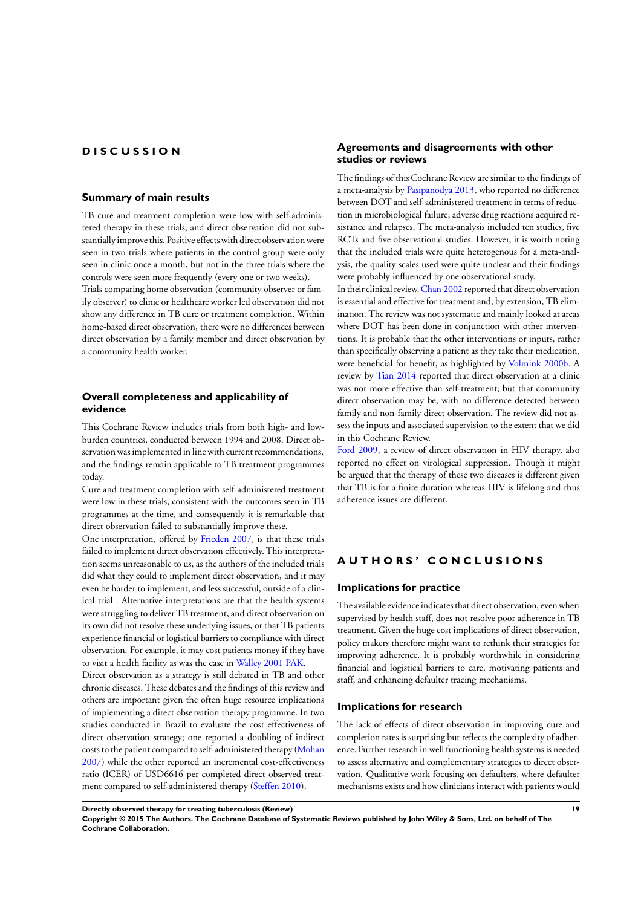## **D I S C U S S I O N**

#### **Summary of main results**

TB cure and treatment completion were low with self-administered therapy in these trials, and direct observation did not substantially improve this. Positive effects with direct observation were seen in two trials where patients in the control group were only seen in clinic once a month, but not in the three trials where the controls were seen more frequently (every one or two weeks).

Trials comparing home observation (community observer or family observer) to clinic or healthcare worker led observation did not show any difference in TB cure or treatment completion. Within home-based direct observation, there were no differences between direct observation by a family member and direct observation by a community health worker.

## **Overall completeness and applicability of evidence**

This Cochrane Review includes trials from both high- and lowburden countries, conducted between 1994 and 2008. Direct observation was implemented in line with current recommendations, and the findings remain applicable to TB treatment programmes today.

Cure and treatment completion with self-administered treatment were low in these trials, consistent with the outcomes seen in TB programmes at the time, and consequently it is remarkable that direct observation failed to substantially improve these.

One interpretation, offered by [Frieden 2007,](#page-21-0) is that these trials failed to implement direct observation effectively. This interpretation seems unreasonable to us, as the authors of the included trials did what they could to implement direct observation, and it may even be harder to implement, and less successful, outside of a clinical trial . Alternative interpretations are that the health systems were struggling to deliver TB treatment, and direct observation on its own did not resolve these underlying issues, or that TB patients experience financial or logistical barriers to compliance with direct observation. For example, it may cost patients money if they have to visit a health facility as was the case in [Walley 2001 PAK](#page-21-0).

Direct observation as a strategy is still debated in TB and other chronic diseases. These debates and the findings of this review and others are important given the often huge resource implications of implementing a direct observation therapy programme. In two studies conducted in Brazil to evaluate the cost effectiveness of direct observation strategy; one reported a doubling of indirect costs to the patient compared to self-administered therapy ([Mohan](#page-21-0) [2007](#page-21-0)) while the other reported an incremental cost-effectiveness ratio (ICER) of USD6616 per completed direct observed treatment compared to self-administered therapy [\(Steffen 2010](#page-21-0)).

#### **Agreements and disagreements with other studies or reviews**

The findings of this Cochrane Review are similar to the findings of a meta-analysis by [Pasipanodya 2013](#page-21-0), who reported no difference between DOT and self-administered treatment in terms of reduction in microbiological failure, adverse drug reactions acquired resistance and relapses. The meta-analysis included ten studies, five RCTs and five observational studies. However, it is worth noting that the included trials were quite heterogenous for a meta-analysis, the quality scales used were quite unclear and their findings were probably influenced by one observational study.

In their clinical review,[Chan 2002](#page-21-0) reported that direct observation is essential and effective for treatment and, by extension, TB elimination. The review was not systematic and mainly looked at areas where DOT has been done in conjunction with other interventions. It is probable that the other interventions or inputs, rather than specifically observing a patient as they take their medication, were beneficial for benefit, as highlighted by [Volmink 2000b.](#page-21-0) A review by [Tian 2014](#page-21-0) reported that direct observation at a clinic was not more effective than self-treatment; but that community direct observation may be, with no difference detected between family and non-family direct observation. The review did not assess the inputs and associated supervision to the extent that we did in this Cochrane Review.

[Ford 2009,](#page-21-0) a review of direct observation in HIV therapy, also reported no effect on virological suppression. Though it might be argued that the therapy of these two diseases is different given that TB is for a finite duration whereas HIV is lifelong and thus adherence issues are different.

## **A U T H O R S ' C O N C L U S I O N S**

#### **Implications for practice**

The available evidence indicates that direct observation, even when supervised by health staff, does not resolve poor adherence in TB treatment. Given the huge cost implications of direct observation, policy makers therefore might want to rethink their strategies for improving adherence. It is probably worthwhile in considering financial and logistical barriers to care, motivating patients and staff, and enhancing defaulter tracing mechanisms.

#### **Implications for research**

The lack of effects of direct observation in improving cure and completion rates is surprising but reflects the complexity of adherence. Further research in well functioning health systems is needed to assess alternative and complementary strategies to direct observation. Qualitative work focusing on defaulters, where defaulter mechanisms exists and how clinicians interact with patients would

**Directly observed therapy for treating tuberculosis (Review) 19**

**Copyright © 2015 The Authors. The Cochrane Database of Systematic Reviews published by John Wiley & Sons, Ltd. on behalf of The Cochrane Collaboration.**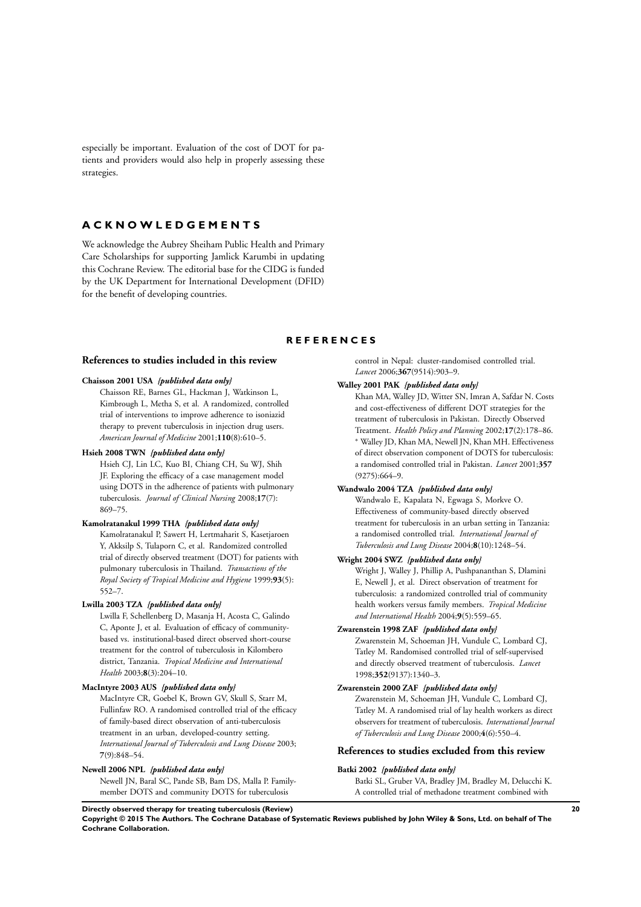<span id="page-21-0"></span>especially be important. Evaluation of the cost of DOT for patients and providers would also help in properly assessing these strategies.

## **A C K N O W L E D G E M E N T S**

We acknowledge the Aubrey Sheiham Public Health and Primary Care Scholarships for supporting Jamlick Karumbi in updating this Cochrane Review. The editorial base for the CIDG is funded by the UK Department for International Development (DFID) for the benefit of developing countries.

#### **R E F E R E N C E S**

#### **References to studies included in this review**

#### **Chaisson 2001 USA** *{published data only}*

Chaisson RE, Barnes GL, Hackman J, Watkinson L, Kimbrough L, Metha S, et al. A randomized, controlled trial of interventions to improve adherence to isoniazid therapy to prevent tuberculosis in injection drug users. *American Journal of Medicine* 2001;**110**(8):610–5.

#### **Hsieh 2008 TWN** *{published data only}*

Hsieh CJ, Lin LC, Kuo BI, Chiang CH, Su WJ, Shih JF. Exploring the efficacy of a case management model using DOTS in the adherence of patients with pulmonary tuberculosis. *Journal of Clinical Nursing* 2008;**17**(7): 869–75.

#### **Kamolratanakul 1999 THA** *{published data only}*

Kamolratanakul P, Sawert H, Lertmaharit S, Kasetjaroen Y, Akksilp S, Tulaporn C, et al. Randomized controlled trial of directly observed treatment (DOT) for patients with pulmonary tuberculosis in Thailand. *Transactions of the Royal Society of Tropical Medicine and Hygiene* 1999;**93**(5): 552–7.

#### **Lwilla 2003 TZA** *{published data only}*

Lwilla F, Schellenberg D, Masanja H, Acosta C, Galindo C, Aponte J, et al. Evaluation of efficacy of communitybased vs. institutional-based direct observed short-course treatment for the control of tuberculosis in Kilombero district, Tanzania. *Tropical Medicine and International Health* 2003;**8**(3):204–10.

#### **MacIntyre 2003 AUS** *{published data only}*

MacIntyre CR, Goebel K, Brown GV, Skull S, Starr M, Fullinfaw RO. A randomised controlled trial of the efficacy of family-based direct observation of anti-tuberculosis treatment in an urban, developed-country setting. *International Journal of Tuberculosis and Lung Disease* 2003; **7**(9):848–54.

## **Newell 2006 NPL** *{published data only}*

Newell JN, Baral SC, Pande SB, Bam DS, Malla P. Familymember DOTS and community DOTS for tuberculosis

control in Nepal: cluster-randomised controlled trial. *Lancet* 2006;**367**(9514):903–9.

#### **Walley 2001 PAK** *{published data only}*

Khan MA, Walley JD, Witter SN, Imran A, Safdar N. Costs and cost-effectiveness of different DOT strategies for the treatment of tuberculosis in Pakistan. Directly Observed Treatment. *Health Policy and Planning* 2002;**17**(2):178–86. <sup>∗</sup> Walley JD, Khan MA, Newell JN, Khan MH. Effectiveness of direct observation component of DOTS for tuberculosis: a randomised controlled trial in Pakistan. *Lancet* 2001;**357** (9275):664–9.

#### **Wandwalo 2004 TZA** *{published data only}*

Wandwalo E, Kapalata N, Egwaga S, Morkve O. Effectiveness of community-based directly observed treatment for tuberculosis in an urban setting in Tanzania: a randomised controlled trial. *International Journal of Tuberculosis and Lung Disease* 2004;**8**(10):1248–54.

#### **Wright 2004 SWZ** *{published data only}*

Wright J, Walley J, Phillip A, Pushpananthan S, Dlamini E, Newell J, et al. Direct observation of treatment for tuberculosis: a randomized controlled trial of community health workers versus family members. *Tropical Medicine and International Health* 2004;**9**(5):559–65.

#### **Zwarenstein 1998 ZAF** *{published data only}*

Zwarenstein M, Schoeman JH, Vundule C, Lombard CJ, Tatley M. Randomised controlled trial of self-supervised and directly observed treatment of tuberculosis. *Lancet* 1998;**352**(9137):1340–3.

#### **Zwarenstein 2000 ZAF** *{published data only}*

Zwarenstein M, Schoeman JH, Vundule C, Lombard CJ, Tatley M. A randomised trial of lay health workers as direct observers for treatment of tuberculosis. *International Journal of Tuberculosis and Lung Disease* 2000;**4**(6):550–4.

## **References to studies excluded from this review**

#### **Batki 2002** *{published data only}*

Batki SL, Gruber VA, Bradley JM, Bradley M, Delucchi K. A controlled trial of methadone treatment combined with

**Directly observed therapy for treating tuberculosis (Review) 20**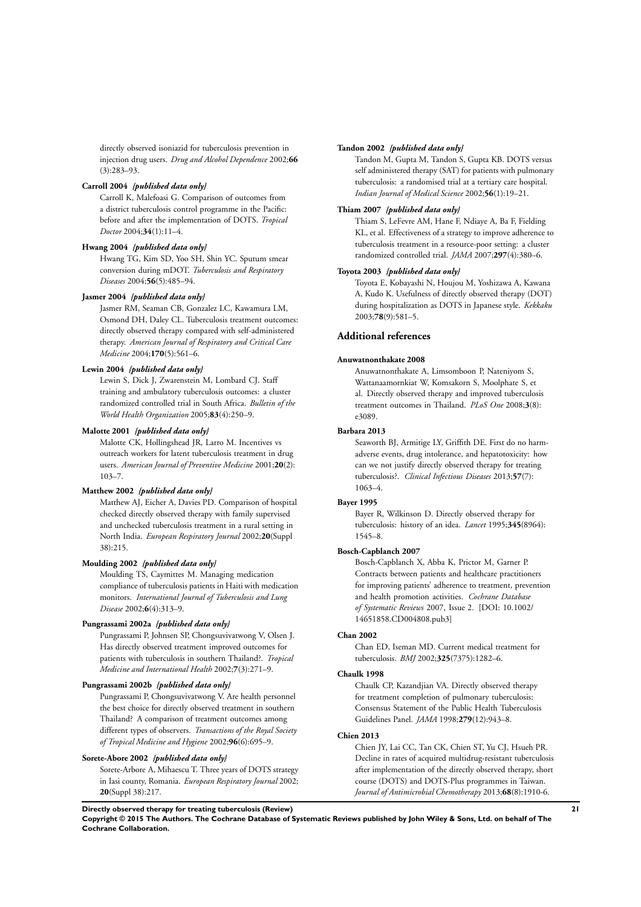directly observed isoniazid for tuberculosis prevention in injection drug users. *Drug and Alcohol Dependence* 2002;**66** (3):283–93.

#### **Carroll 2004** *{published data only}*

Carroll K, Malefoasi G. Comparison of outcomes from a district tuberculosis control programme in the Pacific: before and after the implementation of DOTS. *Tropical Doctor* 2004;**34**(1):11–4.

#### **Hwang 2004** *{published data only}*

Hwang TG, Kim SD, Yoo SH, Shin YC. Sputum smear conversion during mDOT. *Tuberculosis and Respiratory Diseases* 2004;**56**(5):485–94.

#### **Jasmer 2004** *{published data only}*

Jasmer RM, Seaman CB, Gonzalez LC, Kawamura LM, Osmond DH, Daley CL. Tuberculosis treatment outcomes: directly observed therapy compared with self-administered therapy. *American Journal of Respiratory and Critical Care Medicine* 2004;**170**(5):561–6.

## **Lewin 2004** *{published data only}*

Lewin S, Dick J, Zwarenstein M, Lombard CJ. Staff training and ambulatory tuberculosis outcomes: a cluster randomized controlled trial in South Africa. *Bulletin of the World Health Organization* 2005;**83**(4):250–9.

#### **Malotte 2001** *{published data only}*

Malotte CK, Hollingshead JR, Larro M. Incentives vs outreach workers for latent tuberculosis treatment in drug users. *American Journal of Preventive Medicine* 2001;**20**(2): 103–7.

#### **Matthew 2002** *{published data only}*

Matthew AJ, Eicher A, Davies PD. Comparison of hospital checked directly observed therapy with family supervised and unchecked tuberculosis treatment in a rural setting in North India. *European Respiratory Journal* 2002;**20**(Suppl 38):215.

#### **Moulding 2002** *{published data only}*

Moulding TS, Caymittes M. Managing medication compliance of tuberculosis patients in Haiti with medication monitors. *International Journal of Tuberculosis and Lung Disease* 2002;**6**(4):313–9.

#### **Pungrassami 2002a** *{published data only}*

Pungrassami P, Johnsen SP, Chongsuvivatwong V, Olsen J. Has directly observed treatment improved outcomes for patients with tuberculosis in southern Thailand?. *Tropical Medicine and International Health* 2002;**7**(3):271–9.

#### **Pungrassami 2002b** *{published data only}*

Pungrassami P, Chongsuvivatwong V. Are health personnel the best choice for directly observed treatment in southern Thailand? A comparison of treatment outcomes among different types of observers. *Transactions of the Royal Society of Tropical Medicine and Hygiene* 2002;**96**(6):695–9.

#### **Sorete-Abore 2002** *{published data only}*

Sorete-Arbore A, Mihaescu T. Three years of DOTS strategy in Iasi county, Romania. *European Respiratory Journal* 2002; **20**(Suppl 38):217.

#### **Directly observed therapy for treating tuberculosis (Review) 21**

#### **Tandon 2002** *{published data only}*

Tandon M, Gupta M, Tandon S, Gupta KB. DOTS versus self administered therapy (SAT) for patients with pulmonary tuberculosis: a randomised trial at a tertiary care hospital. *Indian Journal of Medical Science* 2002;**56**(1):19–21.

#### **Thiam 2007** *{published data only}*

Thiam S, LeFevre AM, Hane F, Ndiaye A, Ba F, Fielding KL, et al. Effectiveness of a strategy to improve adherence to tuberculosis treatment in a resource-poor setting: a cluster randomized controlled trial. *JAMA* 2007;**297**(4):380–6.

#### **Toyota 2003** *{published data only}*

Toyota E, Kobayashi N, Houjou M, Yoshizawa A, Kawana A, Kudo K. Usefulness of directly observed therapy (DOT) during hospitalization as DOTS in Japanese style. *Kekkaku* 2003;**78**(9):581–5.

#### **Additional references**

#### **Anuwatnonthakate 2008**

Anuwatnonthakate A, Limsomboon P, Nateniyom S, Wattanaamornkiat W, Komsakorn S, Moolphate S, et al. Directly observed therapy and improved tuberculosis treatment outcomes in Thailand. *PLoS One* 2008;**3**(8): e3089.

#### **Barbara 2013**

Seaworth BJ, Armitige LY, Griffith DE. First do no harmadverse events, drug intolerance, and hepatotoxicity: how can we not justify directly observed therapy for treating tuberculosis?. *Clinical Infectious Diseases* 2013;**57**(7): 1063–4.

#### **Bayer 1995**

Bayer R, Wilkinson D. Directly observed therapy for tuberculosis: history of an idea. *Lancet* 1995;**345**(8964): 1545–8.

#### **Bosch-Capblanch 2007**

Bosch-Capblanch X, Abba K, Prictor M, Garner P. Contracts between patients and healthcare practitioners for improving patients' adherence to treatment, prevention and health promotion activities. *Cochrane Database of Systematic Reviews* 2007, Issue 2. [DOI: 10.1002/ 14651858.CD004808.pub3]

#### **Chan 2002**

Chan ED, Iseman MD. Current medical treatment for tuberculosis. *BMJ* 2002;**325**(7375):1282–6.

#### **Chaulk 1998**

Chaulk CP, Kazandjian VA. Directly observed therapy for treatment completion of pulmonary tuberculosis: Consensus Statement of the Public Health Tuberculosis Guidelines Panel. *JAMA* 1998;**279**(12):943–8.

#### **Chien 2013**

Chien JY, Lai CC, Tan CK, Chien ST, Yu CJ, Hsueh PR. Decline in rates of acquired multidrug-resistant tuberculosis after implementation of the directly observed therapy, short course (DOTS) and DOTS-Plus programmes in Taiwan. *Journal of Antimicrobial Chemotherapy* 2013;**68**(8):1910-6.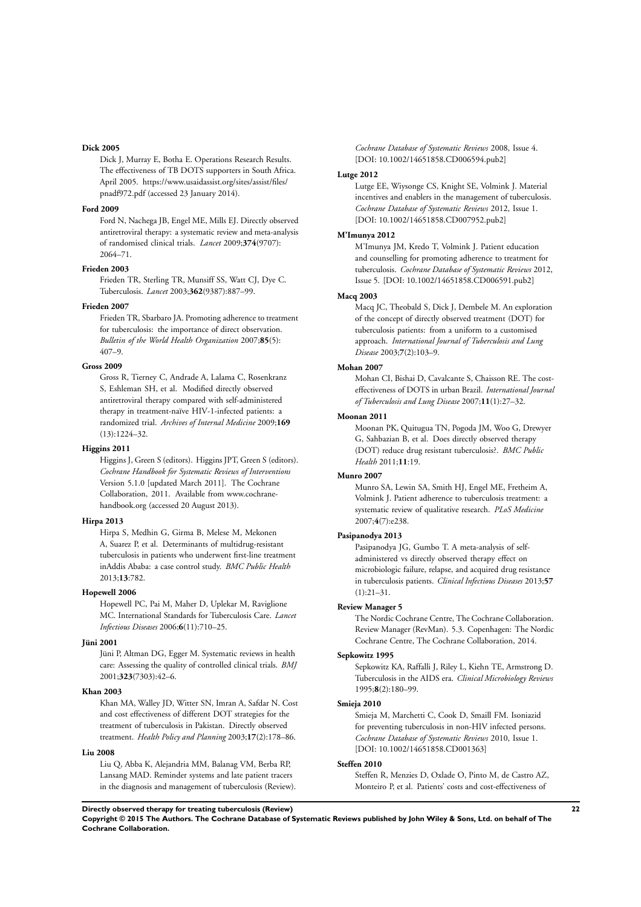#### **Dick 2005**

Dick J, Murray E, Botha E. Operations Research Results. The effectiveness of TB DOTS supporters in South Africa. April 2005. https://www.usaidassist.org/sites/assist/files/ pnadf972.pdf (accessed 23 January 2014).

#### **Ford 2009**

Ford N, Nachega JB, Engel ME, Mills EJ. Directly observed antiretroviral therapy: a systematic review and meta-analysis of randomised clinical trials. *Lancet* 2009;**374**(9707): 2064–71.

#### **Frieden 2003**

Frieden TR, Sterling TR, Munsiff SS, Watt CJ, Dye C. Tuberculosis. *Lancet* 2003;**362**(9387):887–99.

#### **Frieden 2007**

Frieden TR, Sbarbaro JA. Promoting adherence to treatment for tuberculosis: the importance of direct observation. *Bulletin of the World Health Organization* 2007;**85**(5): 407–9.

#### **Gross 2009**

Gross R, Tierney C, Andrade A, Lalama C, Rosenkranz S, Eshleman SH, et al. Modified directly observed antiretroviral therapy compared with self-administered therapy in treatment-naïve HIV-1-infected patients: a randomized trial. *Archives of Internal Medicine* 2009;**169** (13):1224–32.

## **Higgins 2011**

Higgins J, Green S (editors). Higgins JPT, Green S (editors). *Cochrane Handbook for Systematic Reviews of Interventions* Version 5.1.0 [updated March 2011]. The Cochrane Collaboration, 2011. Available from www.cochranehandbook.org (accessed 20 August 2013).

#### **Hirpa 2013**

Hirpa S, Medhin G, Girma B, Melese M, Mekonen A, Suarez P, et al. Determinants of multidrug-resistant tuberculosis in patients who underwent first-line treatment inAddis Ababa: a case control study. *BMC Public Health* 2013;**13**:782.

#### **Hopewell 2006**

Hopewell PC, Pai M, Maher D, Uplekar M, Raviglione MC. International Standards for Tuberculosis Care. *Lancet Infectious Diseases* 2006;**6**(11):710–25.

#### **Jüni 2001**

Jüni P, Altman DG, Egger M. Systematic reviews in health care: Assessing the quality of controlled clinical trials. *BMJ* 2001;**323**(7303):42–6.

#### **Khan 2003**

Khan MA, Walley JD, Witter SN, Imran A, Safdar N. Cost and cost effectiveness of different DOT strategies for the treatment of tuberculosis in Pakistan. Directly observed treatment. *Health Policy and Planning* 2003;**17**(2):178–86.

#### **Liu 2008**

Liu Q, Abba K, Alejandria MM, Balanag VM, Berba RP, Lansang MAD. Reminder systems and late patient tracers in the diagnosis and management of tuberculosis (Review). *Cochrane Database of Systematic Reviews* 2008, Issue 4. [DOI: 10.1002/14651858.CD006594.pub2]

## **Lutge 2012**

Lutge EE, Wiysonge CS, Knight SE, Volmink J. Material incentives and enablers in the management of tuberculosis. *Cochrane Database of Systematic Reviews* 2012, Issue 1. [DOI: 10.1002/14651858.CD007952.pub2]

#### **M'Imunya 2012**

M'Imunya JM, Kredo T, Volmink J. Patient education and counselling for promoting adherence to treatment for tuberculosis. *Cochrane Database of Systematic Reviews* 2012, Issue 5. [DOI: 10.1002/14651858.CD006591.pub2]

#### **Macq 2003**

Macq JC, Theobald S, Dick J, Dembele M. An exploration of the concept of directly observed treatment (DOT) for tuberculosis patients: from a uniform to a customised approach. *International Journal of Tuberculosis and Lung Disease* 2003;**7**(2):103–9.

#### **Mohan 2007**

Mohan CI, Bishai D, Cavalcante S, Chaisson RE. The costeffectiveness of DOTS in urban Brazil. *International Journal of Tuberculosis and Lung Disease* 2007;**11**(1):27–32.

#### **Moonan 2011**

Moonan PK, Quitugua TN, Pogoda JM, Woo G, Drewyer G, Sahbazian B, et al. Does directly observed therapy (DOT) reduce drug resistant tuberculosis?. *BMC Public Health* 2011;**11**:19.

#### **Munro 2007**

Munro SA, Lewin SA, Smith HJ, Engel ME, Fretheim A, Volmink J. Patient adherence to tuberculosis treatment: a systematic review of qualitative research. *PLoS Medicine* 2007;**4**(7):e238.

#### **Pasipanodya 2013**

Pasipanodya JG, Gumbo T. A meta-analysis of selfadministered vs directly observed therapy effect on microbiologic failure, relapse, and acquired drug resistance in tuberculosis patients. *Clinical Infectious Diseases* 2013;**57**  $(1):21-31.$ 

#### **Review Manager 5**

The Nordic Cochrane Centre, The Cochrane Collaboration. Review Manager (RevMan). 5.3. Copenhagen: The Nordic Cochrane Centre, The Cochrane Collaboration, 2014.

#### **Sepkowitz 1995**

Sepkowitz KA, Raffalli J, Riley L, Kiehn TE, Armstrong D. Tuberculosis in the AIDS era. *Clinical Microbiology Reviews* 1995;**8**(2):180–99.

#### **Smieja 2010**

Smieja M, Marchetti C, Cook D, Smaill FM. Isoniazid for preventing tuberculosis in non-HIV infected persons. *Cochrane Database of Systematic Reviews* 2010, Issue 1. [DOI: 10.1002/14651858.CD001363]

#### **Steffen 2010**

Steffen R, Menzies D, Oxlade O, Pinto M, de Castro AZ, Monteiro P, et al. Patients' costs and cost-effectiveness of

**Directly observed therapy for treating tuberculosis (Review) 22**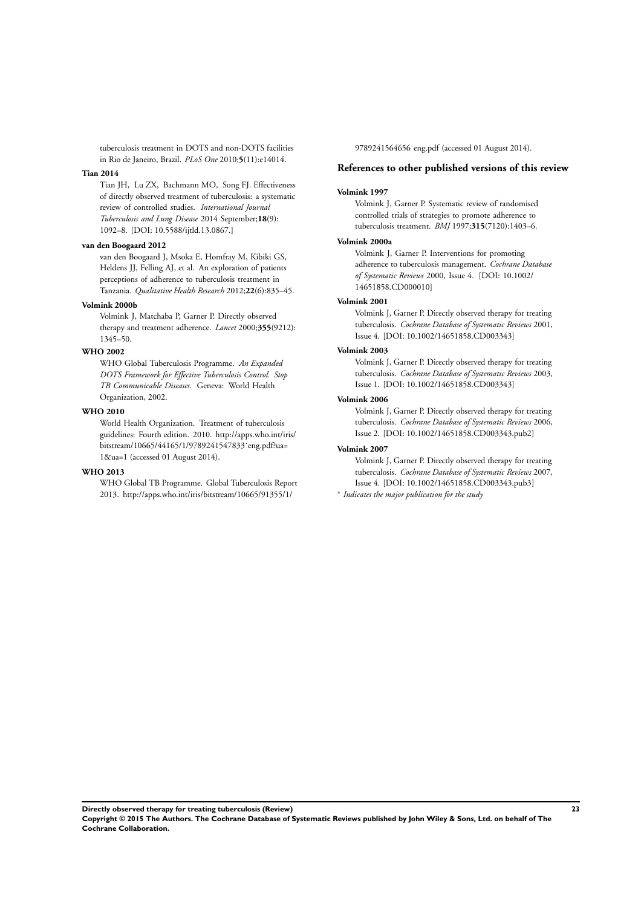tuberculosis treatment in DOTS and non-DOTS facilities in Rio de Janeiro, Brazil. *PLoS One* 2010;**5**(11):e14014.

#### **Tian 2014**

Tian JH, Lu ZX, Bachmann MO, Song FJ. Effectiveness of directly observed treatment of tuberculosis: a systematic review of controlled studies. *International Journal Tuberculosis and Lung Disease* 2014 September;**18**(9): 1092–8. [DOI: 10.5588/ijtld.13.0867.]

#### **van den Boogaard 2012**

van den Boogaard J, Msoka E, Homfray M, Kibiki GS, Heldens JJ, Felling AJ, et al. An exploration of patients perceptions of adherence to tuberculosis treatment in Tanzania. *Qualitative Health Research* 2012;**22**(6):835–45.

#### **Volmink 2000b**

Volmink J, Matchaba P, Garner P. Directly observed therapy and treatment adherence. *Lancet* 2000;**355**(9212): 1345–50.

#### **WHO 2002**

WHO Global Tuberculosis Programme. *An Expanded DOTS Framework for Effective Tuberculosis Control. Stop TB Communicable Diseases*. Geneva: World Health Organization, 2002.

#### **WHO 2010**

World Health Organization. Treatment of tuberculosis guidelines: Fourth edition. 2010. http://apps.who.int/iris/ bitstream/10665/44165/1/9789241547833 eng.pdf?ua= 1&ua=1 (accessed 01 August 2014).

#### **WHO 2013**

WHO Global TB Programme. Global Tuberculosis Report 2013. http://apps.who.int/iris/bitstream/10665/91355/1/

9789241564656˙eng.pdf (accessed 01 August 2014).

#### **References to other published versions of this review**

#### **Volmink 1997**

Volmink J, Garner P. Systematic review of randomised controlled trials of strategies to promote adherence to tuberculosis treatment. *BMJ* 1997;**315**(7120):1403–6.

## **Volmink 2000a**

Volmink J, Garner P. Interventions for promoting adherence to tuberculosis management. *Cochrane Database of Systematic Reviews* 2000, Issue 4. [DOI: 10.1002/ 14651858.CD000010]

#### **Volmink 2001**

Volmink J, Garner P. Directly observed therapy for treating tuberculosis. *Cochrane Database of Systematic Reviews* 2001, Issue 4. [DOI: 10.1002/14651858.CD003343]

#### **Volmink 2003**

Volmink J, Garner P. Directly observed therapy for treating tuberculosis. *Cochrane Database of Systematic Reviews* 2003, Issue 1. [DOI: 10.1002/14651858.CD003343]

#### **Volmink 2006**

Volmink J, Garner P. Directly observed therapy for treating tuberculosis. *Cochrane Database of Systematic Reviews* 2006, Issue 2. [DOI: 10.1002/14651858.CD003343.pub2]

#### **Volmink 2007**

Volmink J, Garner P. Directly observed therapy for treating tuberculosis. *Cochrane Database of Systematic Reviews* 2007, Issue 4. [DOI: 10.1002/14651858.CD003343.pub3]

∗ *Indicates the major publication for the study*

**Directly observed therapy for treating tuberculosis (Review) 23**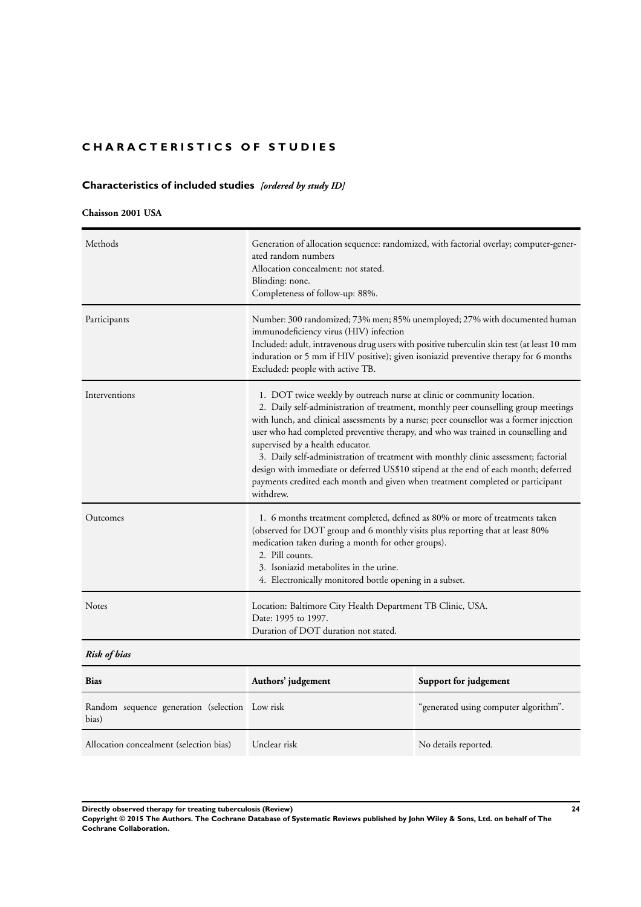## <span id="page-25-0"></span>**CHARACTERISTICS OF STUDIES**

## **Characteristics of included studies** *[ordered by study ID]*

## **Chaisson 2001 USA**

| Methods             | Generation of allocation sequence: randomized, with factorial overlay; computer-gener-<br>ated random numbers<br>Allocation concealment: not stated.<br>Blinding: none.<br>Completeness of follow-up: 88%.                                                                                                                                                                                                                                                                                                                                                                                                                                                    |
|---------------------|---------------------------------------------------------------------------------------------------------------------------------------------------------------------------------------------------------------------------------------------------------------------------------------------------------------------------------------------------------------------------------------------------------------------------------------------------------------------------------------------------------------------------------------------------------------------------------------------------------------------------------------------------------------|
| Participants        | Number: 300 randomized; 73% men; 85% unemployed; 27% with documented human<br>immunodeficiency virus (HIV) infection<br>Included: adult, intravenous drug users with positive tuberculin skin test (at least 10 mm<br>induration or 5 mm if HIV positive); given isoniazid preventive therapy for 6 months<br>Excluded: people with active TB.                                                                                                                                                                                                                                                                                                                |
| Interventions       | 1. DOT twice weekly by outreach nurse at clinic or community location.<br>2. Daily self-administration of treatment, monthly peer counselling group meetings<br>with lunch, and clinical assessments by a nurse; peer counsellor was a former injection<br>user who had completed preventive therapy, and who was trained in counselling and<br>supervised by a health educator.<br>3. Daily self-administration of treatment with monthly clinic assessment; factorial<br>design with immediate or deferred US\$10 stipend at the end of each month; deferred<br>payments credited each month and given when treatment completed or participant<br>withdrew. |
| Outcomes            | 1. 6 months treatment completed, defined as 80% or more of treatments taken<br>(observed for DOT group and 6 monthly visits plus reporting that at least 80%<br>medication taken during a month for other groups).<br>2. Pill counts.<br>3. Isoniazid metabolites in the urine.<br>4. Electronically monitored bottle opening in a subset.                                                                                                                                                                                                                                                                                                                    |
| <b>Notes</b>        | Location: Baltimore City Health Department TB Clinic, USA.<br>Date: 1995 to 1997.<br>Duration of DOT duration not stated.                                                                                                                                                                                                                                                                                                                                                                                                                                                                                                                                     |
| <b>Risk of bias</b> |                                                                                                                                                                                                                                                                                                                                                                                                                                                                                                                                                                                                                                                               |

| <b>Bias</b>                                             | Authors' judgement | Support for judgement                 |
|---------------------------------------------------------|--------------------|---------------------------------------|
| Random sequence generation (selection Low risk<br>bias) |                    | "generated using computer algorithm". |
| Allocation concealment (selection bias)                 | Unclear risk       | No details reported.                  |

**Directly observed therapy for treating tuberculosis (Review) 24**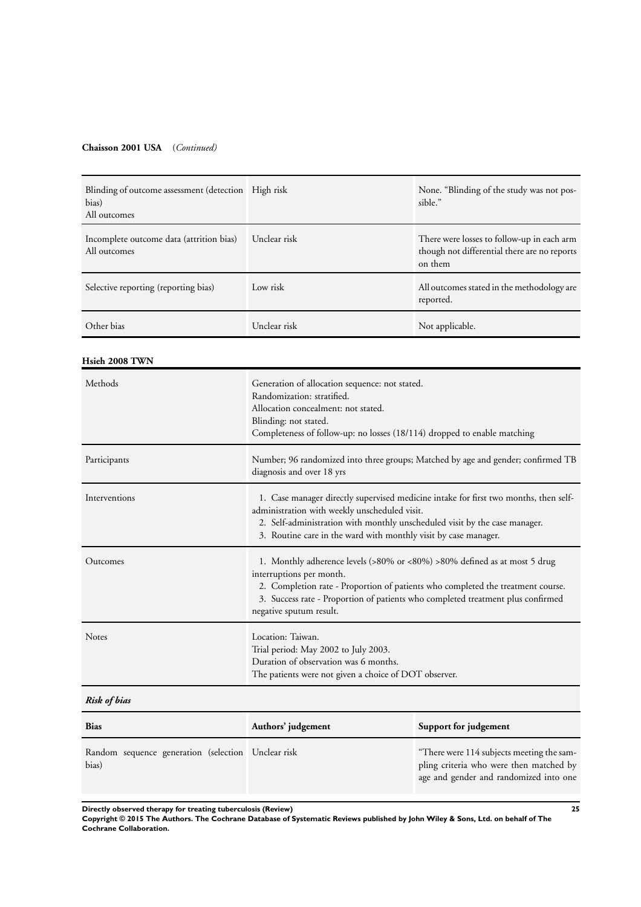## **Chaisson 2001 USA** (*Continued)*

| Blinding of outcome assessment (detection High risk<br>bias)<br>All outcomes |              | None. "Blinding of the study was not pos-<br>sible."                                                  |
|------------------------------------------------------------------------------|--------------|-------------------------------------------------------------------------------------------------------|
| Incomplete outcome data (attrition bias)<br>All outcomes                     | Unclear risk | There were losses to follow-up in each arm<br>though not differential there are no reports<br>on them |
| Selective reporting (reporting bias)                                         | Low risk     | All outcomes stated in the methodology are<br>reported.                                               |
| Other bias                                                                   | Unclear risk | Not applicable.                                                                                       |

## **Hsieh 2008 TWN**

| Methods       | Generation of allocation sequence: not stated.<br>Randomization: stratified.<br>Allocation concealment: not stated.<br>Blinding: not stated.<br>Completeness of follow-up: no losses (18/114) dropped to enable matching                                                                               |
|---------------|--------------------------------------------------------------------------------------------------------------------------------------------------------------------------------------------------------------------------------------------------------------------------------------------------------|
| Participants  | Number; 96 randomized into three groups; Matched by age and gender; confirmed TB<br>diagnosis and over 18 yrs                                                                                                                                                                                          |
| Interventions | 1. Case manager directly supervised medicine intake for first two months, then self-<br>administration with weekly unscheduled visit.<br>2. Self-administration with monthly unscheduled visit by the case manager.<br>3. Routine care in the ward with monthly visit by case manager.                 |
| Outcomes      | 1. Monthly adherence levels (>80% or <80%) >80% defined as at most 5 drug<br>interruptions per month.<br>2. Completion rate - Proportion of patients who completed the treatment course.<br>3. Success rate - Proportion of patients who completed treatment plus confirmed<br>negative sputum result. |
| <b>Notes</b>  | Location: Taiwan.<br>Trial period: May 2002 to July 2003.<br>Duration of observation was 6 months.<br>The patients were not given a choice of DOT observer.                                                                                                                                            |

## *Risk of bias*

| <b>Bias</b>                                                 | Authors' judgement | Support for judgement                                                                                                          |
|-------------------------------------------------------------|--------------------|--------------------------------------------------------------------------------------------------------------------------------|
| Random sequence generation (selection Unclear risk<br>bias) |                    | "There were 114 subjects meeting the sam-<br>pling criteria who were then matched by<br>age and gender and randomized into one |

**Directly observed therapy for treating tuberculosis (Review) 25**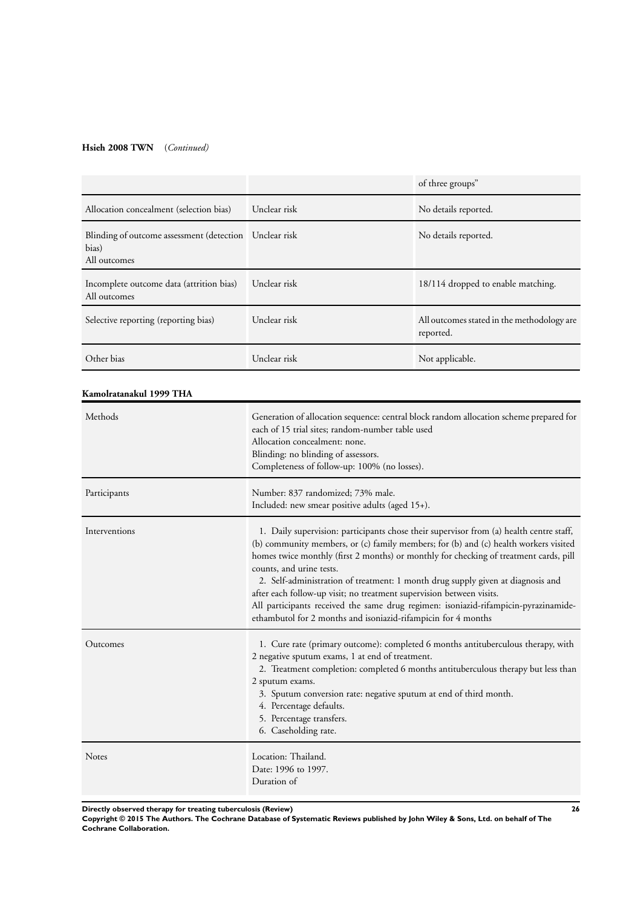## **Hsieh 2008 TWN** (*Continued)*

|                                                                                 |              | of three groups"                                        |
|---------------------------------------------------------------------------------|--------------|---------------------------------------------------------|
| Allocation concealment (selection bias)                                         | Unclear risk | No details reported.                                    |
| Blinding of outcome assessment (detection Unclear risk<br>bias)<br>All outcomes |              | No details reported.                                    |
| Incomplete outcome data (attrition bias)<br>All outcomes                        | Unclear risk | 18/114 dropped to enable matching.                      |
| Selective reporting (reporting bias)                                            | Unclear risk | All outcomes stated in the methodology are<br>reported. |
| Other bias                                                                      | Unclear risk | Not applicable.                                         |

## **Kamolratanakul 1999 THA**

| Methods       | Generation of allocation sequence: central block random allocation scheme prepared for<br>each of 15 trial sites; random-number table used<br>Allocation concealment: none.<br>Blinding: no blinding of assessors.<br>Completeness of follow-up: 100% (no losses).                                                                                                                                                                                                                                                                                                                                                      |
|---------------|-------------------------------------------------------------------------------------------------------------------------------------------------------------------------------------------------------------------------------------------------------------------------------------------------------------------------------------------------------------------------------------------------------------------------------------------------------------------------------------------------------------------------------------------------------------------------------------------------------------------------|
| Participants  | Number: 837 randomized; 73% male.<br>Included: new smear positive adults (aged 15+).                                                                                                                                                                                                                                                                                                                                                                                                                                                                                                                                    |
| Interventions | 1. Daily supervision: participants chose their supervisor from (a) health centre staff,<br>(b) community members, or (c) family members; for (b) and (c) health workers visited<br>homes twice monthly (first 2 months) or monthly for checking of treatment cards, pill<br>counts, and urine tests.<br>2. Self-administration of treatment: 1 month drug supply given at diagnosis and<br>after each follow-up visit; no treatment supervision between visits.<br>All participants received the same drug regimen: isoniazid-rifampicin-pyrazinamide-<br>ethambutol for 2 months and isoniazid-rifampicin for 4 months |
| Outcomes      | 1. Cure rate (primary outcome): completed 6 months antituberculous therapy, with<br>2 negative sputum exams, 1 at end of treatment.<br>2. Treatment completion: completed 6 months antituberculous therapy but less than<br>2 sputum exams.<br>3. Sputum conversion rate: negative sputum at end of third month.<br>4. Percentage defaults.<br>5. Percentage transfers.<br>6. Caseholding rate.                                                                                                                                                                                                                         |
| <b>Notes</b>  | Location: Thailand.<br>Date: 1996 to 1997.<br>Duration of                                                                                                                                                                                                                                                                                                                                                                                                                                                                                                                                                               |

**Directly observed therapy for treating tuberculosis (Review) 26**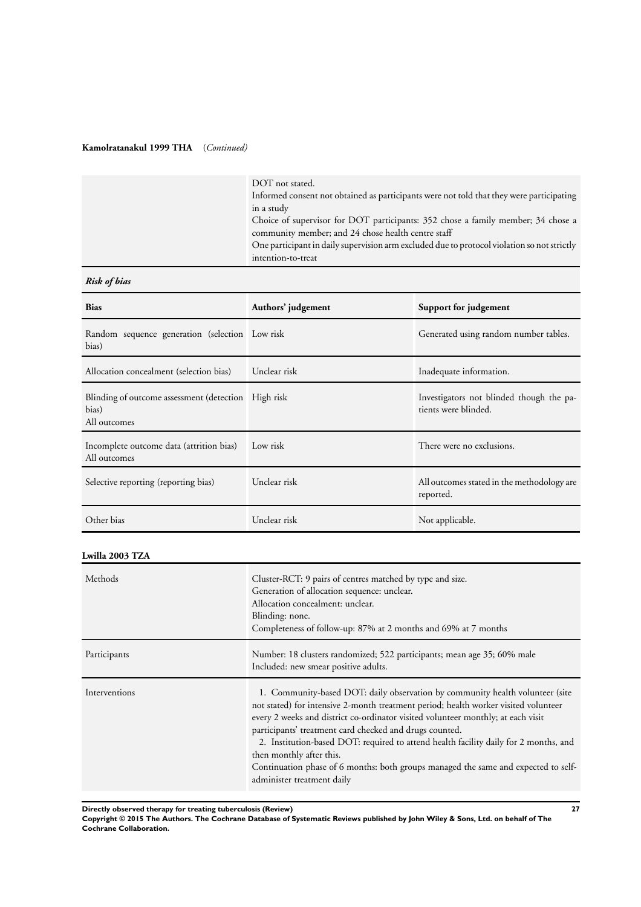#### **Kamolratanakul 1999 THA** (*Continued)*

| DOT not stated.                                                                             |
|---------------------------------------------------------------------------------------------|
| Informed consent not obtained as participants were not told that they were participating    |
| in a study                                                                                  |
| Choice of supervisor for DOT participants: 352 chose a family member; 34 chose a            |
| community member; and 24 chose health centre staff                                          |
| One participant in daily supervision arm excluded due to protocol violation so not strictly |
| intention-to-treat                                                                          |
|                                                                                             |

## *Risk of bias*

| <b>Bias</b>                                                                  | Authors' judgement | Support for judgement                                            |
|------------------------------------------------------------------------------|--------------------|------------------------------------------------------------------|
| Random sequence generation (selection Low risk<br>bias)                      |                    | Generated using random number tables.                            |
| Allocation concealment (selection bias)                                      | Unclear risk       | Inadequate information.                                          |
| Blinding of outcome assessment (detection High risk<br>bias)<br>All outcomes |                    | Investigators not blinded though the pa-<br>tients were blinded. |
| Incomplete outcome data (attrition bias)<br>All outcomes                     | Low risk           | There were no exclusions.                                        |
| Selective reporting (reporting bias)                                         | Unclear risk       | All outcomes stated in the methodology are<br>reported.          |
| Other bias                                                                   | Unclear risk       | Not applicable.                                                  |

## **Lwilla 2003 TZA**

| Methods       | Cluster-RCT: 9 pairs of centres matched by type and size.<br>Generation of allocation sequence: unclear.<br>Allocation concealment: unclear.<br>Blinding: none.<br>Completeness of follow-up: 87% at 2 months and 69% at 7 months                                                                                                                                                                                                                                                                                                                           |
|---------------|-------------------------------------------------------------------------------------------------------------------------------------------------------------------------------------------------------------------------------------------------------------------------------------------------------------------------------------------------------------------------------------------------------------------------------------------------------------------------------------------------------------------------------------------------------------|
| Participants  | Number: 18 clusters randomized; 522 participants; mean age 35; 60% male<br>Included: new smear positive adults.                                                                                                                                                                                                                                                                                                                                                                                                                                             |
| Interventions | 1. Community-based DOT: daily observation by community health volunteer (site<br>not stated) for intensive 2-month treatment period; health worker visited volunteer<br>every 2 weeks and district co-ordinator visited volunteer monthly; at each visit<br>participants' treatment card checked and drugs counted.<br>2. Institution-based DOT: required to attend health facility daily for 2 months, and<br>then monthly after this.<br>Continuation phase of 6 months: both groups managed the same and expected to self-<br>administer treatment daily |

**Directly observed therapy for treating tuberculosis (Review) 27**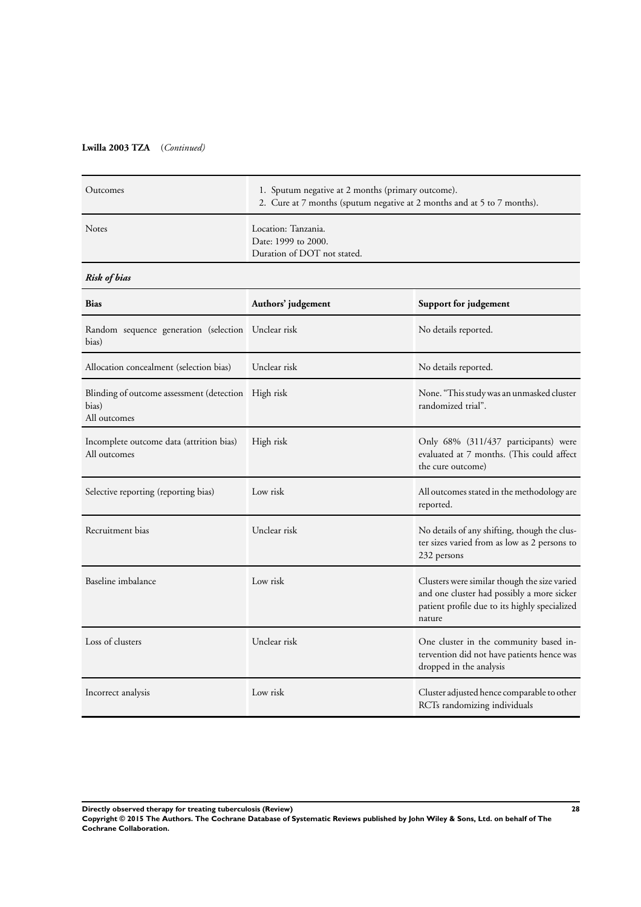## **Lwilla 2003 TZA** (*Continued)*

| Outcomes                                                                     | 1. Sputum negative at 2 months (primary outcome).<br>2. Cure at 7 months (sputum negative at 2 months and at 5 to 7 months). |                                                                                                                                                       |
|------------------------------------------------------------------------------|------------------------------------------------------------------------------------------------------------------------------|-------------------------------------------------------------------------------------------------------------------------------------------------------|
| Notes                                                                        | Location: Tanzania.<br>Date: 1999 to 2000.<br>Duration of DOT not stated.                                                    |                                                                                                                                                       |
| <b>Risk of bias</b>                                                          |                                                                                                                              |                                                                                                                                                       |
| Bias                                                                         | Authors' judgement                                                                                                           | Support for judgement                                                                                                                                 |
| Random sequence generation (selection<br>bias)                               | Unclear risk                                                                                                                 | No details reported.                                                                                                                                  |
| Allocation concealment (selection bias)                                      | Unclear risk                                                                                                                 | No details reported.                                                                                                                                  |
| Blinding of outcome assessment (detection High risk<br>bias)<br>All outcomes |                                                                                                                              | None. "This study was an unmasked cluster<br>randomized trial".                                                                                       |
| Incomplete outcome data (attrition bias)<br>All outcomes                     | High risk                                                                                                                    | Only 68% (311/437 participants) were<br>evaluated at 7 months. (This could affect<br>the cure outcome)                                                |
| Selective reporting (reporting bias)                                         | Low risk                                                                                                                     | All outcomes stated in the methodology are<br>reported.                                                                                               |
| Recruitment bias                                                             | Unclear risk                                                                                                                 | No details of any shifting, though the clus-<br>ter sizes varied from as low as 2 persons to<br>232 persons                                           |
| Baseline imbalance                                                           | Low risk                                                                                                                     | Clusters were similar though the size varied<br>and one cluster had possibly a more sicker<br>patient profile due to its highly specialized<br>nature |
| Loss of clusters                                                             | Unclear risk                                                                                                                 | One cluster in the community based in-<br>tervention did not have patients hence was<br>dropped in the analysis                                       |
| Incorrect analysis                                                           | Low risk                                                                                                                     | Cluster adjusted hence comparable to other<br>RCTs randomizing individuals                                                                            |

**Directly observed therapy for treating tuberculosis (Review) 28**

**Copyright © 2015 The Authors. The Cochrane Database of Systematic Reviews published by John Wiley & Sons, Ltd. on behalf of The Cochrane Collaboration.**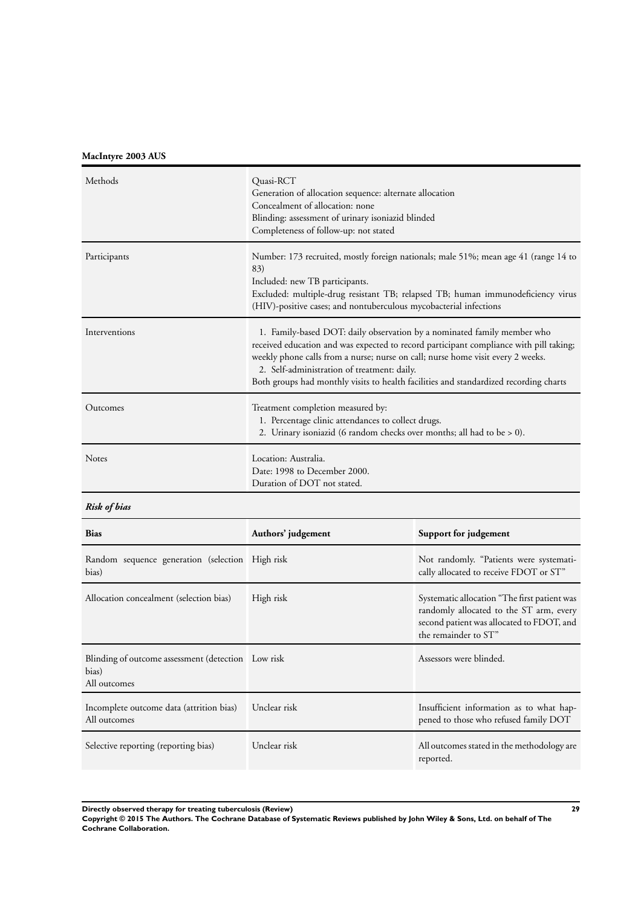| MacIntyre 2003 AUS |  |  |
|--------------------|--|--|
|--------------------|--|--|

| Methods       | Quasi-RCT<br>Generation of allocation sequence: alternate allocation<br>Concealment of allocation: none<br>Blinding: assessment of urinary isoniazid blinded<br>Completeness of follow-up: not stated                                                                                                                                                                                        |
|---------------|----------------------------------------------------------------------------------------------------------------------------------------------------------------------------------------------------------------------------------------------------------------------------------------------------------------------------------------------------------------------------------------------|
| Participants  | Number: 173 recruited, mostly foreign nationals; male 51%; mean age 41 (range 14 to<br>83)<br>Included: new TB participants.<br>Excluded: multiple-drug resistant TB; relapsed TB; human immunodeficiency virus<br>(HIV)-positive cases; and nontuberculous mycobacterial infections                                                                                                         |
| Interventions | 1. Family-based DOT: daily observation by a nominated family member who<br>received education and was expected to record participant compliance with pill taking;<br>weekly phone calls from a nurse; nurse on call; nurse home visit every 2 weeks.<br>2. Self-administration of treatment: daily.<br>Both groups had monthly visits to health facilities and standardized recording charts |
| Outcomes      | Treatment completion measured by:<br>1. Percentage clinic attendances to collect drugs.<br>2. Urinary isoniazid (6 random checks over months; all had to be $> 0$ ).                                                                                                                                                                                                                         |
| <b>Notes</b>  | Location: Australia.<br>Date: 1998 to December 2000.<br>Duration of DOT not stated.                                                                                                                                                                                                                                                                                                          |

## *Risk of bias*

| <b>Bias</b>                                                                 | Authors' judgement | Support for judgement                                                                                                                                        |
|-----------------------------------------------------------------------------|--------------------|--------------------------------------------------------------------------------------------------------------------------------------------------------------|
| Random sequence generation (selection High risk<br>bias)                    |                    | Not randomly. "Patients were systemati-<br>cally allocated to receive FDOT or ST"                                                                            |
| Allocation concealment (selection bias)                                     | High risk          | Systematic allocation "The first patient was<br>randomly allocated to the ST arm, every<br>second patient was allocated to FDOT, and<br>the remainder to ST" |
| Blinding of outcome assessment (detection Low risk<br>bias)<br>All outcomes |                    | Assessors were blinded.                                                                                                                                      |
| Incomplete outcome data (attrition bias)<br>All outcomes                    | Unclear risk       | Insufficient information as to what hap-<br>pened to those who refused family DOT                                                                            |
| Selective reporting (reporting bias)                                        | Unclear risk       | All outcomes stated in the methodology are<br>reported.                                                                                                      |

**Directly observed therapy for treating tuberculosis (Review) 29**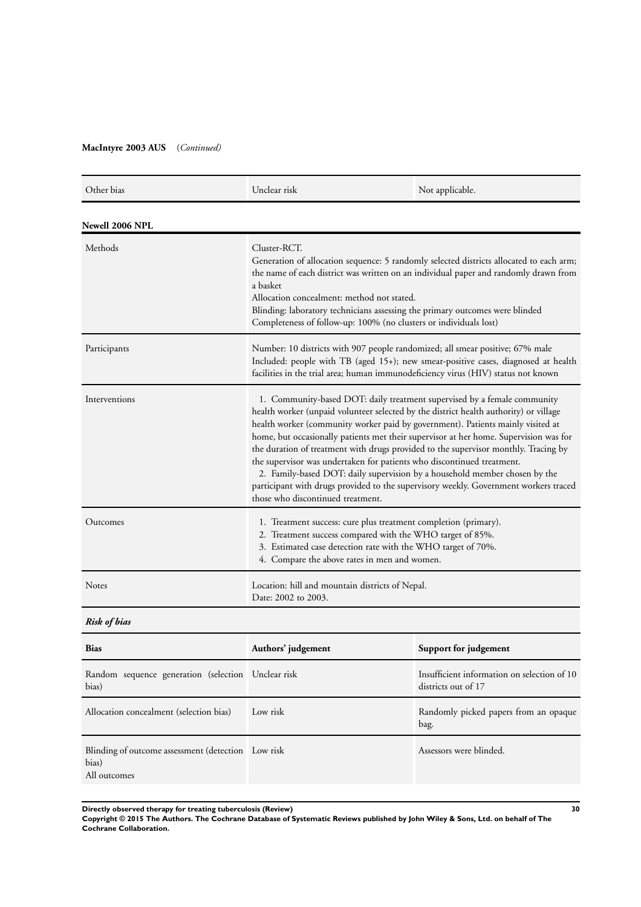## **MacIntyre 2003 AUS** (*Continued)*

| Other bias      | Unclear risk                                                                                                                                                                                                                                                                                                                                                                                                                                                                                                                                                                                                                                                                                                              | Not applicable. |
|-----------------|---------------------------------------------------------------------------------------------------------------------------------------------------------------------------------------------------------------------------------------------------------------------------------------------------------------------------------------------------------------------------------------------------------------------------------------------------------------------------------------------------------------------------------------------------------------------------------------------------------------------------------------------------------------------------------------------------------------------------|-----------------|
| Newell 2006 NPL |                                                                                                                                                                                                                                                                                                                                                                                                                                                                                                                                                                                                                                                                                                                           |                 |
| Methods         | Cluster-RCT.<br>Generation of allocation sequence: 5 randomly selected districts allocated to each arm;<br>the name of each district was written on an individual paper and randomly drawn from<br>a basket<br>Allocation concealment: method not stated.<br>Blinding: laboratory technicians assessing the primary outcomes were blinded<br>Completeness of follow-up: 100% (no clusters or individuals lost)                                                                                                                                                                                                                                                                                                            |                 |
| Participants    | Number: 10 districts with 907 people randomized; all smear positive; 67% male<br>Included: people with TB (aged 15+); new smear-positive cases, diagnosed at health<br>facilities in the trial area; human immunodeficiency virus (HIV) status not known                                                                                                                                                                                                                                                                                                                                                                                                                                                                  |                 |
| Interventions   | 1. Community-based DOT: daily treatment supervised by a female community<br>health worker (unpaid volunteer selected by the district health authority) or village<br>health worker (community worker paid by government). Patients mainly visited at<br>home, but occasionally patients met their supervisor at her home. Supervision was for<br>the duration of treatment with drugs provided to the supervisor monthly. Tracing by<br>the supervisor was undertaken for patients who discontinued treatment.<br>2. Family-based DOT: daily supervision by a household member chosen by the<br>participant with drugs provided to the supervisory weekly. Government workers traced<br>those who discontinued treatment. |                 |
| Outcomes        | 1. Treatment success: cure plus treatment completion (primary).<br>2. Treatment success compared with the WHO target of 85%.<br>3. Estimated case detection rate with the WHO target of 70%.<br>4. Compare the above rates in men and women.                                                                                                                                                                                                                                                                                                                                                                                                                                                                              |                 |
| <b>Notes</b>    | Location: hill and mountain districts of Nepal.<br>Date: 2002 to 2003.                                                                                                                                                                                                                                                                                                                                                                                                                                                                                                                                                                                                                                                    |                 |

*Risk of bias*

| <b>Bias</b>                                                                 | Authors' judgement | Support for judgement                                              |
|-----------------------------------------------------------------------------|--------------------|--------------------------------------------------------------------|
| Random sequence generation (selection Unclear risk<br>bias)                 |                    | Insufficient information on selection of 10<br>districts out of 17 |
| Allocation concealment (selection bias)                                     | Low risk           | Randomly picked papers from an opaque<br>bag.                      |
| Blinding of outcome assessment (detection Low risk<br>bias)<br>All outcomes |                    | Assessors were blinded.                                            |

**Directly observed therapy for treating tuberculosis (Review) 30**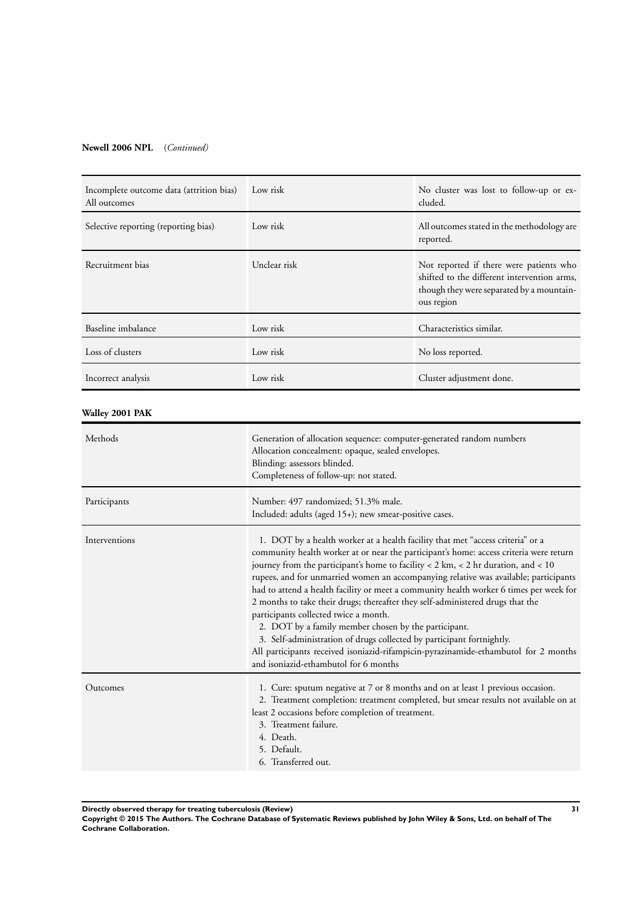## **Newell 2006 NPL** (*Continued)*

| Incomplete outcome data (attrition bias)<br>All outcomes | Low risk     | No cluster was lost to follow-up or ex-<br>cluded.                                                                                                |
|----------------------------------------------------------|--------------|---------------------------------------------------------------------------------------------------------------------------------------------------|
| Selective reporting (reporting bias)                     | Low risk     | All outcomes stated in the methodology are<br>reported.                                                                                           |
| Recruitment bias                                         | Unclear risk | Not reported if there were patients who<br>shifted to the different intervention arms.<br>though they were separated by a mountain-<br>ous region |
| Baseline imbalance                                       | Low risk     | Characteristics similar.                                                                                                                          |
| Loss of clusters                                         | Low risk     | No loss reported.                                                                                                                                 |
| Incorrect analysis                                       | Low risk     | Cluster adjustment done.                                                                                                                          |

## **Walley 2001 PAK**

| Methods       | Generation of allocation sequence: computer-generated random numbers<br>Allocation concealment: opaque, sealed envelopes.<br>Blinding: assessors blinded.<br>Completeness of follow-up: not stated.                                                                                                                                                                                                                                                                                                                                                                                                                                                                                                                                                                                                                                                                |
|---------------|--------------------------------------------------------------------------------------------------------------------------------------------------------------------------------------------------------------------------------------------------------------------------------------------------------------------------------------------------------------------------------------------------------------------------------------------------------------------------------------------------------------------------------------------------------------------------------------------------------------------------------------------------------------------------------------------------------------------------------------------------------------------------------------------------------------------------------------------------------------------|
| Participants  | Number: 497 randomized; 51.3% male.<br>Included: adults (aged 15+); new smear-positive cases.                                                                                                                                                                                                                                                                                                                                                                                                                                                                                                                                                                                                                                                                                                                                                                      |
| Interventions | 1. DOT by a health worker at a health facility that met "access criteria" or a<br>community health worker at or near the participant's home: access criteria were return<br>journey from the participant's home to facility < $2 \text{ km}$ , < $2 \text{ hr}$ duration, and < $10$<br>rupees, and for unmarried women an accompanying relative was available; participants<br>had to attend a health facility or meet a community health worker 6 times per week for<br>2 months to take their drugs; thereafter they self-administered drugs that the<br>participants collected twice a month.<br>2. DOT by a family member chosen by the participant.<br>3. Self-administration of drugs collected by participant fortnightly.<br>All participants received isoniazid-rifampicin-pyrazinamide-ethambutol for 2 months<br>and isoniazid-ethambutol for 6 months |
| Outcomes      | 1. Cure: sputum negative at 7 or 8 months and on at least 1 previous occasion.<br>2. Treatment completion: treatment completed, but smear results not available on at<br>least 2 occasions before completion of treatment.<br>3. Treatment failure.<br>4. Death.<br>5. Default.<br>6. Transferred out.                                                                                                                                                                                                                                                                                                                                                                                                                                                                                                                                                             |

**Directly observed therapy for treating tuberculosis (Review) 31**

**Copyright © 2015 The Authors. The Cochrane Database of Systematic Reviews published by John Wiley & Sons, Ltd. on behalf of The Cochrane Collaboration.**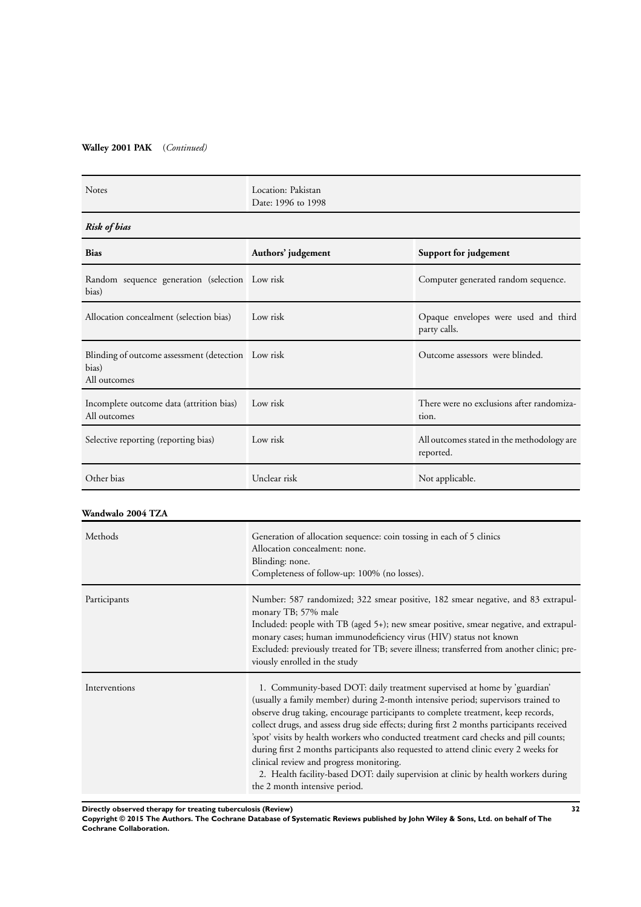#### **Walley 2001 PAK** (*Continued)*

| Notes                                                                       | Location: Pakistan<br>Date: 1996 to 1998 |                                                         |
|-----------------------------------------------------------------------------|------------------------------------------|---------------------------------------------------------|
| Risk of bias                                                                |                                          |                                                         |
| <b>Bias</b>                                                                 | Authors' judgement                       | Support for judgement                                   |
| Random sequence generation (selection Low risk<br>bias)                     |                                          | Computer generated random sequence.                     |
| Allocation concealment (selection bias)                                     | Low risk                                 | Opaque envelopes were used and third<br>party calls.    |
| Blinding of outcome assessment (detection Low risk<br>bias)<br>All outcomes |                                          | Outcome assessors were blinded.                         |
| Incomplete outcome data (attrition bias)<br>All outcomes                    | Low risk                                 | There were no exclusions after randomiza-<br>tion.      |
| Selective reporting (reporting bias)                                        | Low risk                                 | All outcomes stated in the methodology are<br>reported. |
| Other bias                                                                  | Unclear risk                             | Not applicable.                                         |

## **Wandwalo 2004 TZA**

| Methods       | Generation of allocation sequence: coin tossing in each of 5 clinics<br>Allocation concealment: none.<br>Blinding: none.<br>Completeness of follow-up: 100% (no losses).                                                                                                                                                                                                                                                                                                                                                                                                                                                                                                                         |
|---------------|--------------------------------------------------------------------------------------------------------------------------------------------------------------------------------------------------------------------------------------------------------------------------------------------------------------------------------------------------------------------------------------------------------------------------------------------------------------------------------------------------------------------------------------------------------------------------------------------------------------------------------------------------------------------------------------------------|
| Participants  | Number: 587 randomized; 322 smear positive, 182 smear negative, and 83 extrapul-<br>monary TB; 57% male<br>Included: people with TB (aged 5+); new smear positive, smear negative, and extrapul-<br>monary cases; human immunodeficiency virus (HIV) status not known<br>Excluded: previously treated for TB; severe illness; transferred from another clinic; pre-<br>viously enrolled in the study                                                                                                                                                                                                                                                                                             |
| Interventions | 1. Community-based DOT: daily treatment supervised at home by 'guardian'<br>(usually a family member) during 2-month intensive period; supervisors trained to<br>observe drug taking, encourage participants to complete treatment, keep records,<br>collect drugs, and assess drug side effects; during first 2 months participants received<br>'spot' visits by health workers who conducted treatment card checks and pill counts;<br>during first 2 months participants also requested to attend clinic every 2 weeks for<br>clinical review and progress monitoring.<br>2. Health facility-based DOT: daily supervision at clinic by health workers during<br>the 2 month intensive period. |

**Directly observed therapy for treating tuberculosis (Review) 32**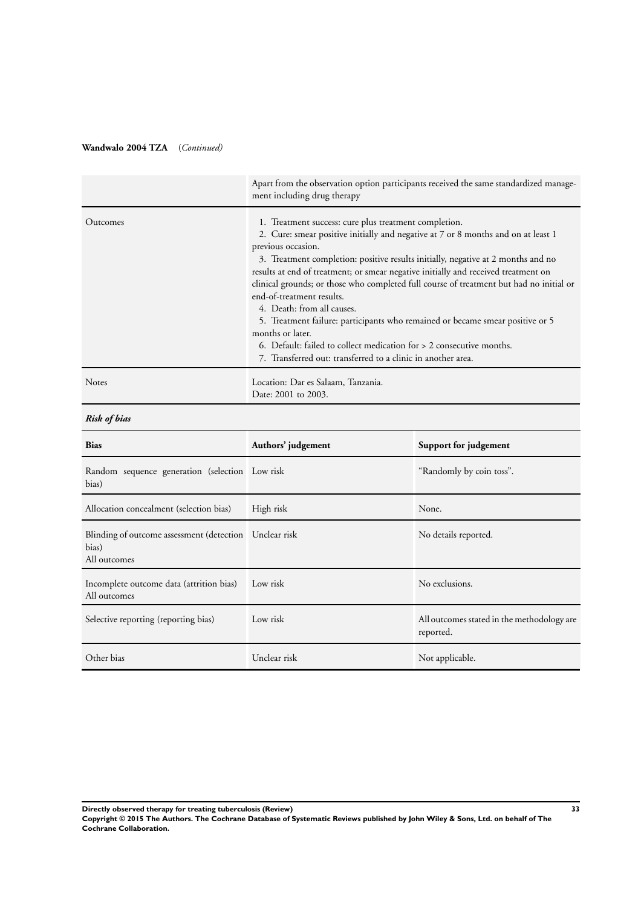## **Wandwalo 2004 TZA** (*Continued)*

|              | Apart from the observation option participants received the same standardized manage-<br>ment including drug therapy                                                                                                                                                                                                                                                                                                                                                                                                                                                                                                                                                                                                                            |
|--------------|-------------------------------------------------------------------------------------------------------------------------------------------------------------------------------------------------------------------------------------------------------------------------------------------------------------------------------------------------------------------------------------------------------------------------------------------------------------------------------------------------------------------------------------------------------------------------------------------------------------------------------------------------------------------------------------------------------------------------------------------------|
| Outcomes     | 1. Treatment success: cure plus treatment completion.<br>2. Cure: smear positive initially and negative at 7 or 8 months and on at least 1<br>previous occasion.<br>3. Treatment completion: positive results initially, negative at 2 months and no<br>results at end of treatment; or smear negative initially and received treatment on<br>clinical grounds; or those who completed full course of treatment but had no initial or<br>end-of-treatment results.<br>4. Death: from all causes.<br>5. Treatment failure: participants who remained or became smear positive or 5<br>months or later.<br>6. Default: failed to collect medication for $> 2$ consecutive months.<br>7. Transferred out: transferred to a clinic in another area. |
| <b>Notes</b> | Location: Dar es Salaam, Tanzania.<br>Date: 2001 to 2003.                                                                                                                                                                                                                                                                                                                                                                                                                                                                                                                                                                                                                                                                                       |

## *Risk of bias*

| <b>Bias</b>                                                                     | Authors' judgement | Support for judgement                                   |
|---------------------------------------------------------------------------------|--------------------|---------------------------------------------------------|
| Random sequence generation (selection Low risk<br>bias)                         |                    | "Randomly by coin toss".                                |
| Allocation concealment (selection bias)                                         | High risk          | None.                                                   |
| Blinding of outcome assessment (detection Unclear risk<br>bias)<br>All outcomes |                    | No details reported.                                    |
| Incomplete outcome data (attrition bias)<br>All outcomes                        | Low risk           | No exclusions.                                          |
| Selective reporting (reporting bias)                                            | Low risk           | All outcomes stated in the methodology are<br>reported. |
| Other bias                                                                      | Unclear risk       | Not applicable.                                         |

**Directly observed therapy for treating tuberculosis (Review) 33**

**Copyright © 2015 The Authors. The Cochrane Database of Systematic Reviews published by John Wiley & Sons, Ltd. on behalf of The Cochrane Collaboration.**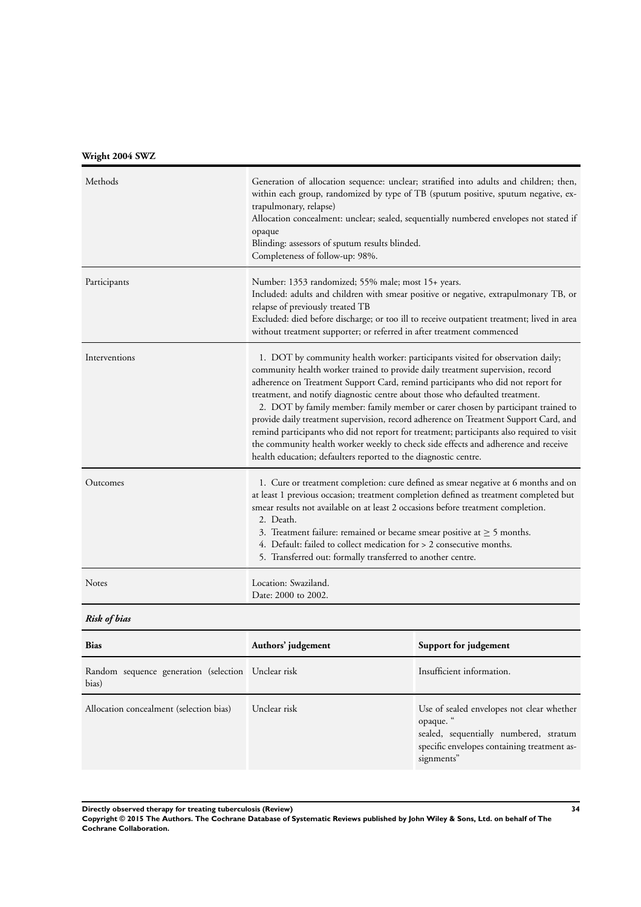| Methods       | Generation of allocation sequence: unclear; stratified into adults and children; then,<br>within each group, randomized by type of TB (sputum positive, sputum negative, ex-<br>trapulmonary, relapse)<br>Allocation concealment: unclear; sealed, sequentially numbered envelopes not stated if<br>opaque<br>Blinding: assessors of sputum results blinded.<br>Completeness of follow-up: 98%.                                                                                                                                                                                                                                                                                                                                                                       |
|---------------|-----------------------------------------------------------------------------------------------------------------------------------------------------------------------------------------------------------------------------------------------------------------------------------------------------------------------------------------------------------------------------------------------------------------------------------------------------------------------------------------------------------------------------------------------------------------------------------------------------------------------------------------------------------------------------------------------------------------------------------------------------------------------|
| Participants  | Number: 1353 randomized; 55% male; most 15+ years.<br>Included: adults and children with smear positive or negative, extrapulmonary TB, or<br>relapse of previously treated TB<br>Excluded: died before discharge; or too ill to receive outpatient treatment; lived in area<br>without treatment supporter; or referred in after treatment commenced                                                                                                                                                                                                                                                                                                                                                                                                                 |
| Interventions | 1. DOT by community health worker: participants visited for observation daily;<br>community health worker trained to provide daily treatment supervision, record<br>adherence on Treatment Support Card, remind participants who did not report for<br>treatment, and notify diagnostic centre about those who defaulted treatment.<br>2. DOT by family member: family member or carer chosen by participant trained to<br>provide daily treatment supervision, record adherence on Treatment Support Card, and<br>remind participants who did not report for treatment; participants also required to visit<br>the community health worker weekly to check side effects and adherence and receive<br>health education; defaulters reported to the diagnostic centre. |
| Outcomes      | 1. Cure or treatment completion: cure defined as smear negative at 6 months and on<br>at least 1 previous occasion; treatment completion defined as treatment completed but<br>smear results not available on at least 2 occasions before treatment completion.<br>2. Death.<br>3. Treatment failure: remained or became smear positive at $\geq$ 5 months.<br>4. Default: failed to collect medication for > 2 consecutive months.<br>5. Transferred out: formally transferred to another centre.                                                                                                                                                                                                                                                                    |
| <b>Notes</b>  | Location: Swaziland.<br>Date: 2000 to 2002.                                                                                                                                                                                                                                                                                                                                                                                                                                                                                                                                                                                                                                                                                                                           |

*Risk of bias*

| <b>Bias</b>                                                 | Authors' judgement | Support for judgement                                                                                                                                         |
|-------------------------------------------------------------|--------------------|---------------------------------------------------------------------------------------------------------------------------------------------------------------|
| Random sequence generation (selection Unclear risk<br>bias) |                    | Insufficient information.                                                                                                                                     |
| Allocation concealment (selection bias)                     | Unclear risk       | Use of sealed envelopes not clear whether<br>opaque. "<br>sealed, sequentially numbered, stratum<br>specific envelopes containing treatment as-<br>signments" |

**Directly observed therapy for treating tuberculosis (Review) 34**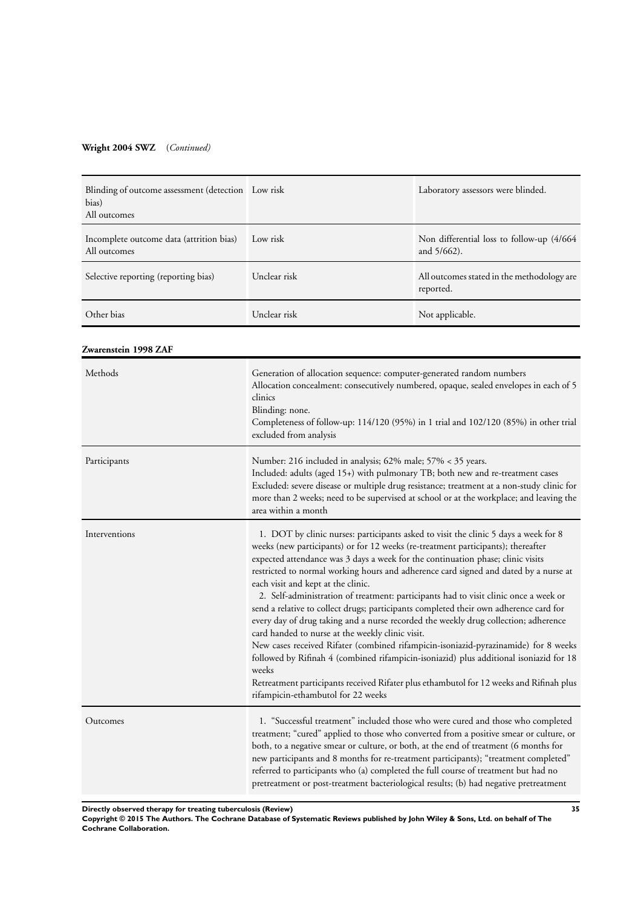## **Wright 2004 SWZ** (*Continued)*

| Blinding of outcome assessment (detection Low risk<br>bias)<br>All outcomes |              | Laboratory assessors were blinded.                           |
|-----------------------------------------------------------------------------|--------------|--------------------------------------------------------------|
| Incomplete outcome data (attrition bias)<br>All outcomes                    | Low risk     | Non differential loss to follow-up (4/664)<br>and $5/662$ ). |
| Selective reporting (reporting bias)                                        | Unclear risk | All outcomes stated in the methodology are<br>reported.      |
| Other bias                                                                  | Unclear risk | Not applicable.                                              |

#### **Zwarenstein 1998 ZAF**

| Methods       | Generation of allocation sequence: computer-generated random numbers<br>Allocation concealment: consecutively numbered, opaque, sealed envelopes in each of 5<br>clinics<br>Blinding: none.<br>Completeness of follow-up: 114/120 (95%) in 1 trial and 102/120 (85%) in other trial<br>excluded from analysis                                                                                                                                                                                                                                                                                                                                                                                                                                                                                                                                                                                                                                                                                                                                   |
|---------------|-------------------------------------------------------------------------------------------------------------------------------------------------------------------------------------------------------------------------------------------------------------------------------------------------------------------------------------------------------------------------------------------------------------------------------------------------------------------------------------------------------------------------------------------------------------------------------------------------------------------------------------------------------------------------------------------------------------------------------------------------------------------------------------------------------------------------------------------------------------------------------------------------------------------------------------------------------------------------------------------------------------------------------------------------|
| Participants  | Number: 216 included in analysis; 62% male; 57% < 35 years.<br>Included: adults (aged 15+) with pulmonary TB; both new and re-treatment cases<br>Excluded: severe disease or multiple drug resistance; treatment at a non-study clinic for<br>more than 2 weeks; need to be supervised at school or at the workplace; and leaving the<br>area within a month                                                                                                                                                                                                                                                                                                                                                                                                                                                                                                                                                                                                                                                                                    |
| Interventions | 1. DOT by clinic nurses: participants asked to visit the clinic 5 days a week for 8<br>weeks (new participants) or for 12 weeks (re-treatment participants); thereafter<br>expected attendance was 3 days a week for the continuation phase; clinic visits<br>restricted to normal working hours and adherence card signed and dated by a nurse at<br>each visit and kept at the clinic.<br>2. Self-administration of treatment: participants had to visit clinic once a week or<br>send a relative to collect drugs; participants completed their own adherence card for<br>every day of drug taking and a nurse recorded the weekly drug collection; adherence<br>card handed to nurse at the weekly clinic visit.<br>New cases received Rifater (combined rifampicin-isoniazid-pyrazinamide) for 8 weeks<br>followed by Rifinah 4 (combined rifampicin-isoniazid) plus additional isoniazid for 18<br>weeks<br>Retreatment participants received Rifater plus ethambutol for 12 weeks and Rifinah plus<br>rifampicin-ethambutol for 22 weeks |
| Outcomes      | 1. "Successful treatment" included those who were cured and those who completed<br>treatment; "cured" applied to those who converted from a positive smear or culture, or<br>both, to a negative smear or culture, or both, at the end of treatment (6 months for<br>new participants and 8 months for re-treatment participants); "treatment completed"<br>referred to participants who (a) completed the full course of treatment but had no<br>pretreatment or post-treatment bacteriological results; (b) had negative pretreatment                                                                                                                                                                                                                                                                                                                                                                                                                                                                                                         |

**Directly observed therapy for treating tuberculosis (Review) 35**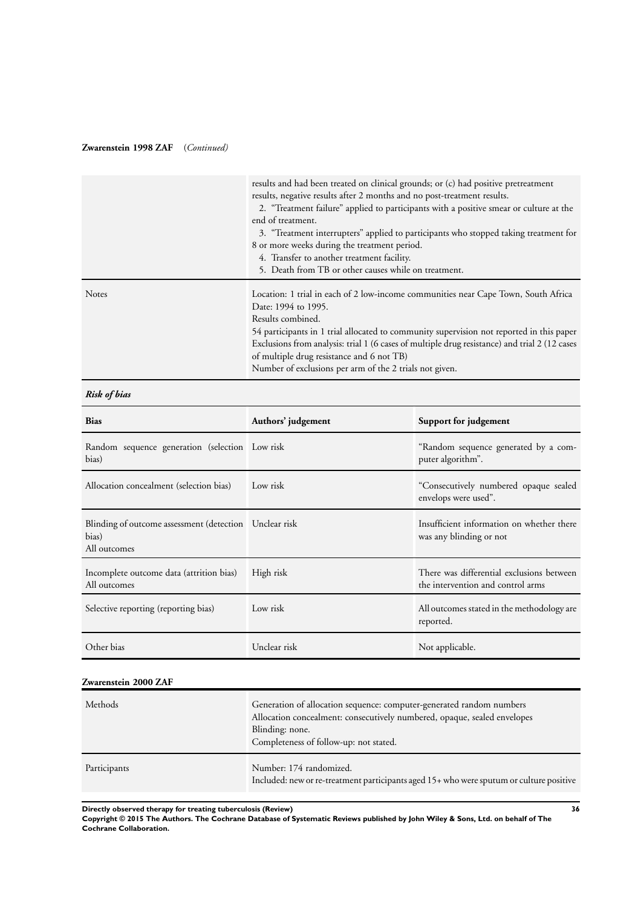## **Zwarenstein 1998 ZAF** (*Continued)*

|              | results and had been treated on clinical grounds; or (c) had positive pretreatment<br>results, negative results after 2 months and no post-treatment results.<br>2. "Treatment failure" applied to participants with a positive smear or culture at the<br>end of treatment.<br>3. "Treatment interrupters" applied to participants who stopped taking treatment for<br>8 or more weeks during the treatment period.<br>4. Transfer to another treatment facility.<br>5. Death from TB or other causes while on treatment. |
|--------------|----------------------------------------------------------------------------------------------------------------------------------------------------------------------------------------------------------------------------------------------------------------------------------------------------------------------------------------------------------------------------------------------------------------------------------------------------------------------------------------------------------------------------|
| <b>Notes</b> | Location: 1 trial in each of 2 low-income communities near Cape Town, South Africa<br>Date: 1994 to 1995.<br>Results combined.<br>54 participants in 1 trial allocated to community supervision not reported in this paper<br>Exclusions from analysis: trial 1 (6 cases of multiple drug resistance) and trial 2 (12 cases<br>of multiple drug resistance and 6 not TB)<br>Number of exclusions per arm of the 2 trials not given.                                                                                        |

## *Risk of bias*

| <b>Bias</b>                                                                     | Authors' judgement | Support for judgement                                                          |
|---------------------------------------------------------------------------------|--------------------|--------------------------------------------------------------------------------|
| Random sequence generation (selection Low risk<br>bias)                         |                    | "Random sequence generated by a com-<br>puter algorithm".                      |
| Allocation concealment (selection bias)                                         | Low risk           | "Consecutively numbered opaque sealed<br>envelops were used".                  |
| Blinding of outcome assessment (detection Unclear risk<br>bias)<br>All outcomes |                    | Insufficient information on whether there<br>was any blinding or not           |
| Incomplete outcome data (attrition bias)<br>All outcomes                        | High risk          | There was differential exclusions between<br>the intervention and control arms |
| Selective reporting (reporting bias)                                            | Low risk           | All outcomes stated in the methodology are<br>reported.                        |
| Other bias                                                                      | Unclear risk       | Not applicable.                                                                |

## **Zwarenstein 2000 ZAF**

| Methods      | Generation of allocation sequence: computer-generated random numbers<br>Allocation concealment: consecutively numbered, opaque, sealed envelopes<br>Blinding: none.<br>Completeness of follow-up: not stated. |
|--------------|---------------------------------------------------------------------------------------------------------------------------------------------------------------------------------------------------------------|
| Participants | Number: 174 randomized.<br>Included: new or re-treatment participants aged 15+ who were sputum or culture positive                                                                                            |

**Directly observed therapy for treating tuberculosis (Review) 36**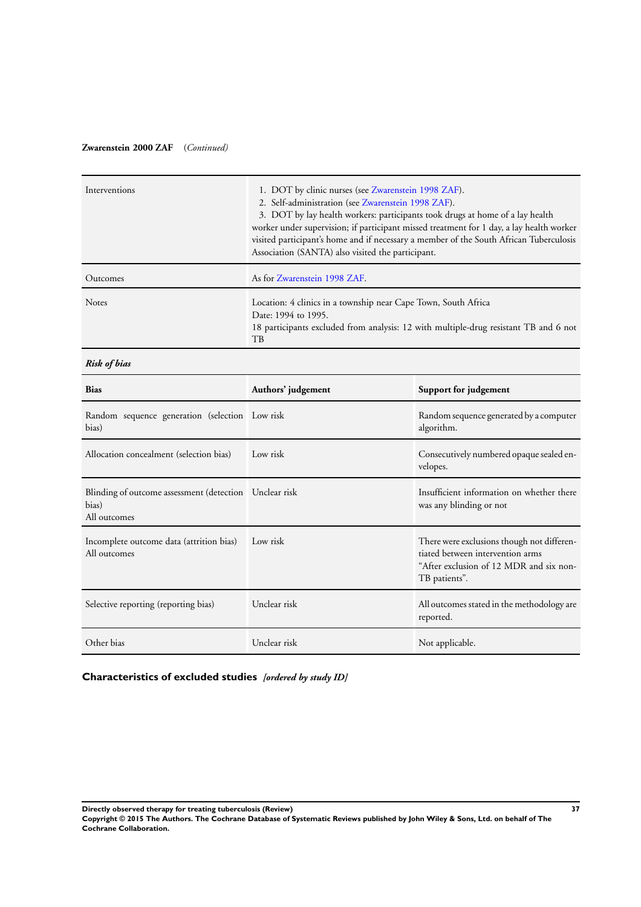## <span id="page-38-0"></span>**Zwarenstein 2000 ZAF** (*Continued)*

| Interventions | 1. DOT by clinic nurses (see Zwarenstein 1998 ZAF).<br>2. Self-administration (see Zwarenstein 1998 ZAF).<br>3. DOT by lay health workers: participants took drugs at home of a lay health<br>worker under supervision; if participant missed treatment for 1 day, a lay health worker<br>visited participant's home and if necessary a member of the South African Tuberculosis<br>Association (SANTA) also visited the participant. |
|---------------|---------------------------------------------------------------------------------------------------------------------------------------------------------------------------------------------------------------------------------------------------------------------------------------------------------------------------------------------------------------------------------------------------------------------------------------|
| Outcomes      | As for Zwarenstein 1998 ZAF.                                                                                                                                                                                                                                                                                                                                                                                                          |
| <b>Notes</b>  | Location: 4 clinics in a township near Cape Town, South Africa<br>Date: 1994 to 1995.<br>18 participants excluded from analysis: 12 with multiple-drug resistant TB and 6 not<br>TВ                                                                                                                                                                                                                                                   |

*Risk of bias*

| <b>Bias</b>                                                                     | Authors' judgement | Support for judgement                                                                                                                      |
|---------------------------------------------------------------------------------|--------------------|--------------------------------------------------------------------------------------------------------------------------------------------|
| Random sequence generation (selection Low risk<br>bias)                         |                    | Random sequence generated by a computer<br>algorithm.                                                                                      |
| Allocation concealment (selection bias)                                         | Low risk           | Consecutively numbered opaque sealed en-<br>velopes.                                                                                       |
| Blinding of outcome assessment (detection Unclear risk<br>bias)<br>All outcomes |                    | Insufficient information on whether there<br>was any blinding or not                                                                       |
| Incomplete outcome data (attrition bias)<br>All outcomes                        | Low risk           | There were exclusions though not differen-<br>tiated between intervention arms<br>"After exclusion of 12 MDR and six non-<br>TB patients". |
| Selective reporting (reporting bias)                                            | Unclear risk       | All outcomes stated in the methodology are<br>reported.                                                                                    |
| Other bias                                                                      | Unclear risk       | Not applicable.                                                                                                                            |

## **Characteristics of excluded studies** *[ordered by study ID]*

**Directly observed therapy for treating tuberculosis (Review) 37**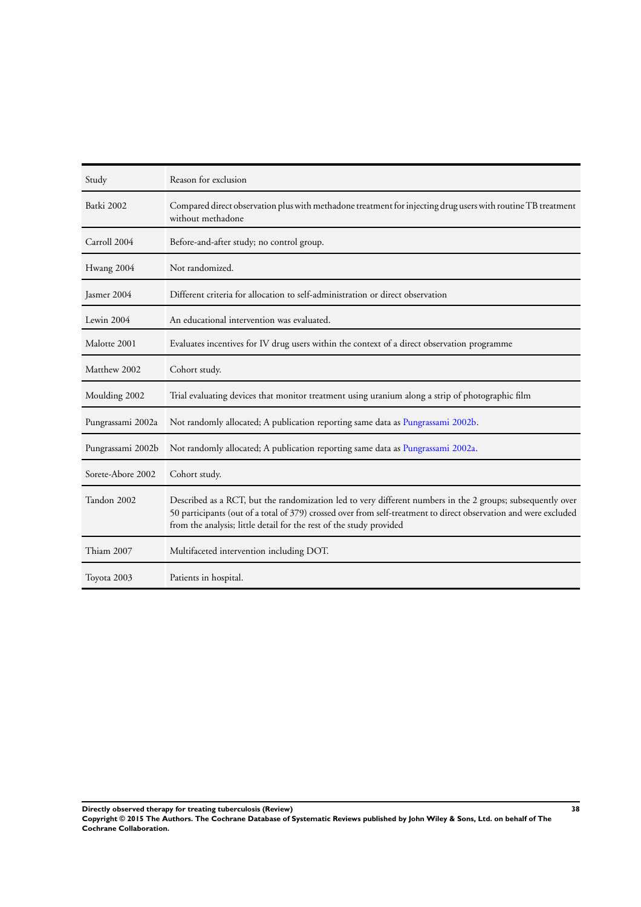| Study             | Reason for exclusion                                                                                                                                                                                                                                                                                  |
|-------------------|-------------------------------------------------------------------------------------------------------------------------------------------------------------------------------------------------------------------------------------------------------------------------------------------------------|
| Batki 2002        | Compared direct observation plus with methadone treatment for injecting drug users with routine TB treatment<br>without methadone                                                                                                                                                                     |
| Carroll 2004      | Before-and-after study; no control group.                                                                                                                                                                                                                                                             |
| Hwang 2004        | Not randomized.                                                                                                                                                                                                                                                                                       |
| Jasmer 2004       | Different criteria for allocation to self-administration or direct observation                                                                                                                                                                                                                        |
| Lewin 2004        | An educational intervention was evaluated.                                                                                                                                                                                                                                                            |
| Malotte 2001      | Evaluates incentives for IV drug users within the context of a direct observation programme                                                                                                                                                                                                           |
| Matthew 2002      | Cohort study.                                                                                                                                                                                                                                                                                         |
| Moulding 2002     | Trial evaluating devices that monitor treatment using uranium along a strip of photographic film                                                                                                                                                                                                      |
| Pungrassami 2002a | Not randomly allocated; A publication reporting same data as Pungrassami 2002b.                                                                                                                                                                                                                       |
| Pungrassami 2002b | Not randomly allocated; A publication reporting same data as Pungrassami 2002a.                                                                                                                                                                                                                       |
| Sorete-Abore 2002 | Cohort study.                                                                                                                                                                                                                                                                                         |
| Tandon 2002       | Described as a RCT, but the randomization led to very different numbers in the 2 groups; subsequently over<br>50 participants (out of a total of 379) crossed over from self-treatment to direct observation and were excluded<br>from the analysis; little detail for the rest of the study provided |
| Thiam 2007        | Multifaceted intervention including DOT.                                                                                                                                                                                                                                                              |
| Toyota 2003       | Patients in hospital.                                                                                                                                                                                                                                                                                 |

**Directly observed therapy for treating tuberculosis (Review) 38**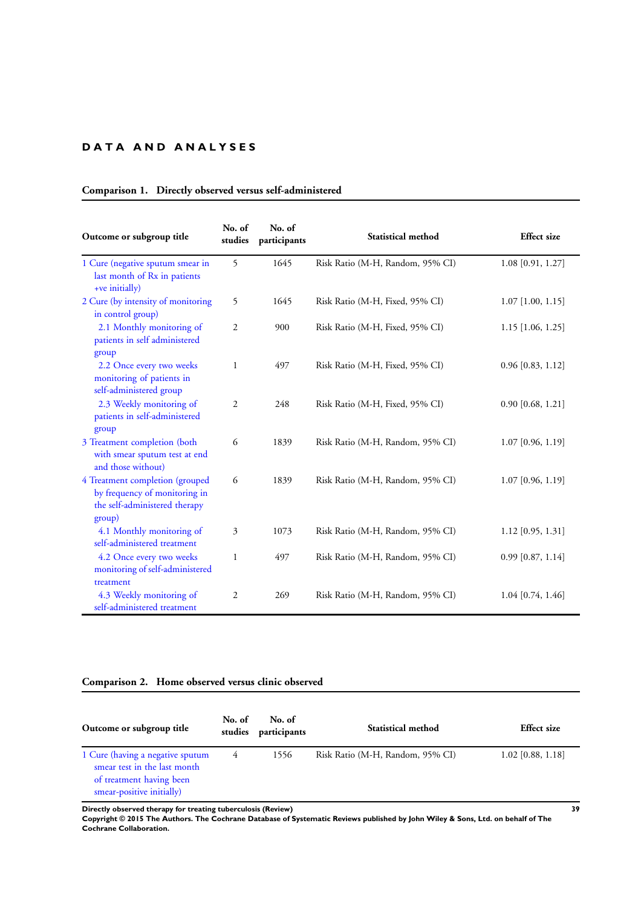## **D A T A A N D A N A L Y S E S**

#### **Outcome or subgroup title No. of studies No. of participants Statistical method** Effect size [1 Cure \(negative sputum smear in](#page-42-0) [last month of Rx in patients](#page-42-0) [+ve initially\)](#page-42-0) 5 1645 Risk Ratio (M-H, Random, 95% CI) 1.08 [0.91, 1.27] [2 Cure \(by intensity of monitoring](#page-43-0) [in control group\)](#page-43-0) 5 1645 Risk Ratio (M-H, Fixed, 95% CI) 1.07 [1.00, 1.15] [2.1 Monthly monitoring of](#page-43-0) [patients in self administered](#page-43-0) [group](#page-43-0) 2 900 Risk Ratio (M-H, Fixed, 95% CI) 1.15 [1.06, 1.25] [2.2 Once every two weeks](#page-43-0) [monitoring of patients in](#page-43-0) [self-administered group](#page-43-0) 1 497 Risk Ratio (M-H, Fixed, 95% CI) 0.96 [0.83, 1.12] [2.3 Weekly monitoring of](#page-43-0) [patients in self-administered](#page-43-0) [group](#page-43-0) 2 248 Risk Ratio (M-H, Fixed, 95% CI) 0.90 [0.68, 1.21] [3 Treatment completion \(both](#page-43-0) [with smear sputum test at end](#page-43-0) [and those without\)](#page-43-0) 6 1839 Risk Ratio (M-H, Random, 95% CI) 1.07 [0.96, 1.19] [4 Treatment completion \(grouped](#page-44-0) [by frequency of monitoring in](#page-44-0) [the self-administered therapy](#page-44-0) [group\)](#page-44-0) 6 1839 Risk Ratio (M-H, Random, 95% CI) 1.07 [0.96, 1.19] [4.1 Monthly monitoring of](#page-44-0) [self-administered treatment](#page-44-0) 3 1073 Risk Ratio (M-H, Random, 95% CI) 1.12 [0.95, 1.31] [4.2 Once every two weeks](#page-44-0) [monitoring of self-administered](#page-44-0) [treatment](#page-44-0) 1 497 Risk Ratio (M-H, Random, 95% CI) 0.99 [0.87, 1.14] [4.3 Weekly monitoring of](#page-44-0) [self-administered treatment](#page-44-0) 2 269 Risk Ratio (M-H, Random, 95% CI) 1.04 [0.74, 1.46]

#### **Comparison 1. Directly observed versus self-administered**

## **Comparison 2. Home observed versus clinic observed**

| Outcome or subgroup title                                                                                                 | No. of<br>studies | No. of<br>participants | Statistical method               | <b>Effect size</b>  |
|---------------------------------------------------------------------------------------------------------------------------|-------------------|------------------------|----------------------------------|---------------------|
| 1 Cure (having a negative sputum<br>smear test in the last month<br>of treatment having been<br>smear-positive initially) | 4                 | 1556                   | Risk Ratio (M-H, Random, 95% CI) | $1.02$ [0.88, 1.18] |

**Directly observed therapy for treating tuberculosis (Review) 39**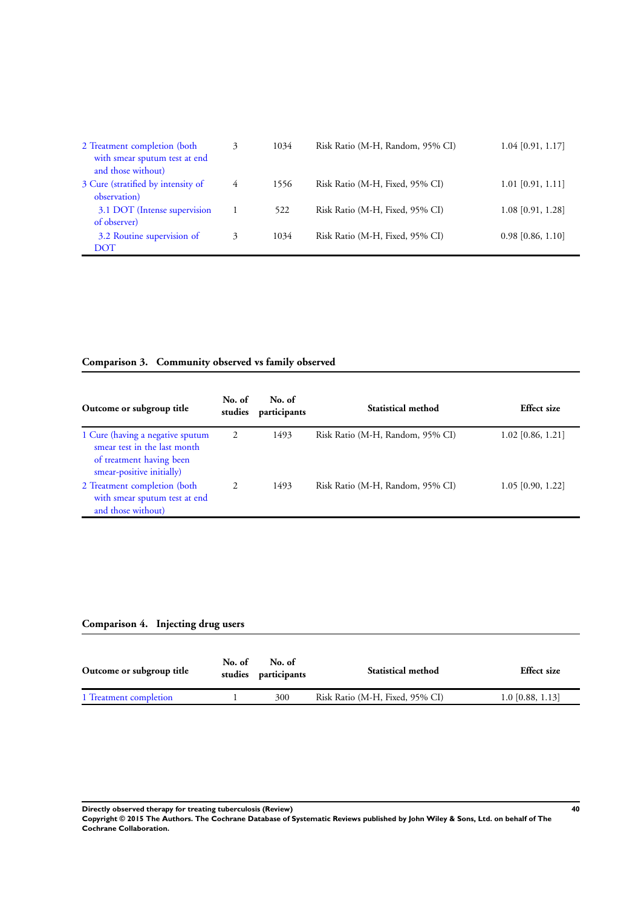| 2 Treatment completion (both)<br>with smear sputum test at end<br>and those without) | 3 | 1034 | Risk Ratio (M-H, Random, 95% CI) | $1.04$ [0.91, 1.17] |
|--------------------------------------------------------------------------------------|---|------|----------------------------------|---------------------|
| 3 Cure (stratified by intensity of<br>observation)                                   | 4 | 1556 | Risk Ratio (M-H, Fixed, 95% CI)  | $1.01$ [0.91, 1.11] |
| 3.1 DOT (Intense supervision<br>of observer)                                         |   | 522  | Risk Ratio (M-H, Fixed, 95% CI)  | $1.08$ [0.91, 1.28] |
| 3.2 Routine supervision of<br><b>DOT</b>                                             | 3 | 1034 | Risk Ratio (M-H, Fixed, 95% CI)  | $0.98$ [0.86, 1.10] |

## **Comparison 3. Community observed vs family observed**

| Outcome or subgroup title                                                                                                 | No. of<br>studies | No. of<br>participants | Statistical method               | <b>Effect</b> size  |
|---------------------------------------------------------------------------------------------------------------------------|-------------------|------------------------|----------------------------------|---------------------|
| 1 Cure (having a negative sputum<br>smear test in the last month<br>of treatment having been<br>smear-positive initially) | 2                 | 1493                   | Risk Ratio (M-H, Random, 95% CI) | $1.02$ [0.86, 1.21] |
| 2 Treatment completion (both<br>with smear sputum test at end<br>and those without)                                       | 2                 | 1493                   | Risk Ratio (M-H, Random, 95% CI) | $1.05$ [0.90, 1.22] |

## **Comparison 4. Injecting drug users**

| Outcome or subgroup title | No. of | No. of<br>studies participants | <b>Statistical method</b>       | <b>Effect</b> size |
|---------------------------|--------|--------------------------------|---------------------------------|--------------------|
| 1 Treatment completion    |        | 300                            | Risk Ratio (M-H, Fixed, 95% CI) | $1.0$ [0.88, 1.13] |

**Directly observed therapy for treating tuberculosis (Review) 40**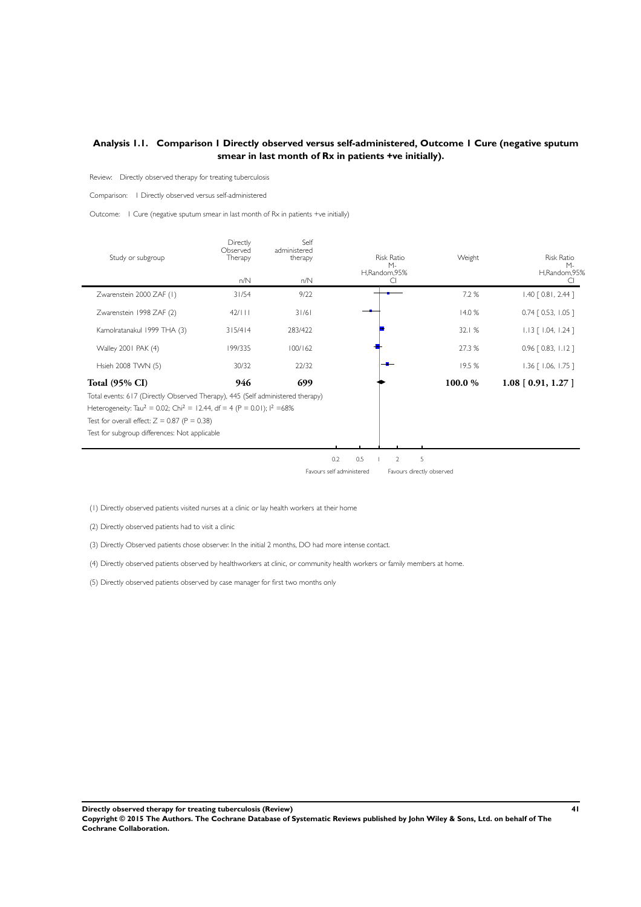## <span id="page-42-0"></span>**Analysis 1.1. Comparison 1 Directly observed versus self-administered, Outcome 1 Cure (negative sputum smear in last month of Rx in patients +ve initially).**

Review: Directly observed therapy for treating tuberculosis

Comparison: 1 Directly observed versus self-administered

Outcome: 1 Cure (negative sputum smear in last month of Rx in patients +ve initially)

| Study or subgroup                                                                                        | Directly<br>Observed<br>Therapy<br>n/N | Self<br>administered<br>therapy<br>n/N | <b>Risk Ratio</b><br>$M -$<br>H,Random,95%<br>CI | Weight | <b>Risk Ratio</b><br>$M -$<br>H,Random,95% |
|----------------------------------------------------------------------------------------------------------|----------------------------------------|----------------------------------------|--------------------------------------------------|--------|--------------------------------------------|
|                                                                                                          |                                        |                                        |                                                  |        |                                            |
| Zwarenstein 2000 ZAF (1)                                                                                 | 31/54                                  | 9/22                                   |                                                  | 7.2 %  | $1.40$ $[0.81, 2.44]$                      |
| Zwarenstein 1998 ZAF (2)                                                                                 | 42/111                                 | 31/61                                  |                                                  | 14.0%  | $0.74$ $[0.53, 1.05]$                      |
| Kamolratanakul 1999 THA (3)                                                                              | 315/414                                | 283/422                                |                                                  | 32.1 % | $1.13$ $[$ 1.04, 1.24 $]$                  |
| Walley 2001 PAK (4)                                                                                      | 199/335                                | 100/162                                |                                                  | 27.3 % | $0.96$ $[0.83, 1.12]$                      |
| Hsieh 2008 TWN (5)                                                                                       | 30/32                                  | 22/32                                  |                                                  | 19.5 % | $1.36$ [ $1.06$ , $1.75$ ]                 |
| <b>Total (95% CI)</b>                                                                                    | 946                                    | 699                                    |                                                  | 100.0% | $1.08$ [ 0.91, 1.27 ]                      |
| Total events: 617 (Directly Observed Therapy), 445 (Self administered therapy)                           |                                        |                                        |                                                  |        |                                            |
| Heterogeneity: Tau <sup>2</sup> = 0.02; Chi <sup>2</sup> = 12.44, df = 4 (P = 0.01); l <sup>2</sup> =68% |                                        |                                        |                                                  |        |                                            |
| Test for overall effect: $Z = 0.87$ (P = 0.38)                                                           |                                        |                                        |                                                  |        |                                            |
| Test for subgroup differences: Not applicable                                                            |                                        |                                        |                                                  |        |                                            |

0.2 0.5 1 2 5

Favours self administered Favours directly observed

(1) Directly observed patients visited nurses at a clinic or lay health workers at their home

(2) Directly observed patients had to visit a clinic

(3) Directly Observed patients chose observer. In the initial 2 months, DO had more intense contact.

(4) Directly observed patients observed by healthworkers at clinic, or community health workers or family members at home.

(5) Directly observed patients observed by case manager for first two months only

**Directly observed therapy for treating tuberculosis (Review) 41**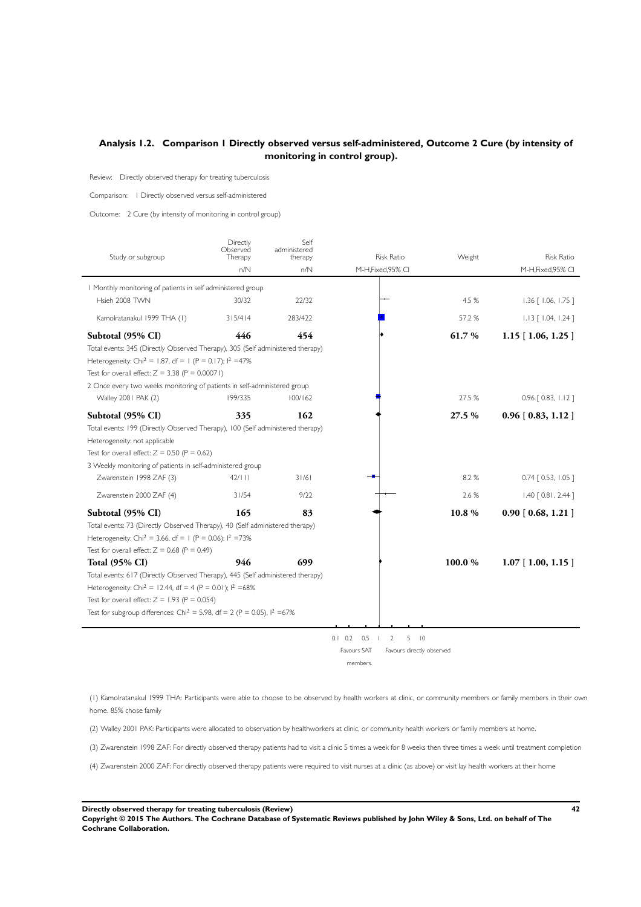## <span id="page-43-0"></span>**Analysis 1.2. Comparison 1 Directly observed versus self-administered, Outcome 2 Cure (by intensity of monitoring in control group).**

Review: Directly observed therapy for treating tuberculosis

Comparison: 1 Directly observed versus self-administered

Outcome: 2 Cure (by intensity of monitoring in control group)

| Study or subgroup                                                                     | Directly<br>Observed<br>Therapy | Self<br>administered<br>therapy | <b>Risk Ratio</b>  | Weight | <b>Risk Ratio</b>              |
|---------------------------------------------------------------------------------------|---------------------------------|---------------------------------|--------------------|--------|--------------------------------|
|                                                                                       | n/N                             | n/N                             | M-H, Fixed, 95% CI |        | M-H, Fixed, 95% CI             |
| I Monthly monitoring of patients in self administered group                           |                                 |                                 |                    |        |                                |
| Hsieh 2008 TWN                                                                        | 30/32                           | 22/32                           |                    | 4.5 %  | $1.36$ [ $1.06$ , $1.75$ ]     |
| Kamolratanakul 1999 THA (1)                                                           | 315/414                         | 283/422                         |                    | 57.2 % | $1.13$ $[$ $1.04$ , $1.24$ $]$ |
| Subtotal (95% CI)                                                                     | 446                             | 454                             |                    | 61.7%  | $1.15$ [ 1.06, 1.25 ]          |
| Total events: 345 (Directly Observed Therapy), 305 (Self administered therapy)        |                                 |                                 |                    |        |                                |
| Heterogeneity: Chi <sup>2</sup> = 1.87, df = 1 (P = 0.17); $1^2$ =47%                 |                                 |                                 |                    |        |                                |
| Test for overall effect: $Z = 3.38$ (P = 0.00071)                                     |                                 |                                 |                    |        |                                |
| 2 Once every two weeks monitoring of patients in self-administered group              |                                 |                                 |                    |        |                                |
| Walley 2001 PAK (2)                                                                   | 199/335                         | 100/162                         |                    | 27.5 % | $0.96$ $[0.83, 1.12]$          |
| Subtotal (95% CI)                                                                     | 335                             | 162                             |                    | 27.5 % | $0.96$ [ $0.83$ , 1.12 ]       |
| Total events: 199 (Directly Observed Therapy), 100 (Self administered therapy)        |                                 |                                 |                    |        |                                |
| Heterogeneity: not applicable                                                         |                                 |                                 |                    |        |                                |
| Test for overall effect: $Z = 0.50$ (P = 0.62)                                        |                                 |                                 |                    |        |                                |
| 3 Weekly monitoring of patients in self-administered group                            |                                 |                                 |                    |        |                                |
| Zwarenstein 1998 ZAF (3)                                                              | 42/111                          | 31/61                           |                    | 8.2 %  | $0.74$ $[0.53, 1.05]$          |
| Zwarenstein 2000 ZAF (4)                                                              | 31/54                           | 9/22                            |                    | 2.6 %  | $1.40$ $[0.81, 2.44]$          |
| Subtotal (95% CI)                                                                     | 165                             | 83                              |                    | 10.8 % | $0.90$ [ $0.68$ , 1.21 ]       |
| Total events: 73 (Directly Observed Therapy), 40 (Self administered therapy)          |                                 |                                 |                    |        |                                |
| Heterogeneity: Chi <sup>2</sup> = 3.66, df = 1 (P = 0.06); $1^2$ =73%                 |                                 |                                 |                    |        |                                |
| Test for overall effect: $Z = 0.68$ (P = 0.49)                                        |                                 |                                 |                    |        |                                |
| <b>Total (95% CI)</b>                                                                 | 946                             | 699                             |                    | 100.0% | $1.07$ [ 1.00, 1.15 ]          |
| Total events: 617 (Directly Observed Therapy), 445 (Self administered therapy)        |                                 |                                 |                    |        |                                |
| Heterogeneity: Chi <sup>2</sup> = 12.44, df = 4 (P = 0.01); $1^2$ =68%                |                                 |                                 |                    |        |                                |
| Test for overall effect: $Z = 1.93$ (P = 0.054)                                       |                                 |                                 |                    |        |                                |
| Test for subgroup differences: Chi <sup>2</sup> = 5.98, df = 2 (P = 0.05), $1^2$ =67% |                                 |                                 |                    |        |                                |
|                                                                                       |                                 |                                 |                    |        |                                |

0.1 0.2 0.5 1 2 5 10

Favours SAT Favours directly observed

members.

(1) Kamolratanakul 1999 THA: Par ticipants were able to choose to be observed by health workers at clinic, or community members or family members in their own home. 85% chose family

(2) Walley 2001 PAK: Par ticipants were allocated to observation by healthworkers at clinic, or community health workers or family members at home.

(3) Zwarenstein 1998 ZAF: For directly observed therapy patients had to visit a clinic 5 times a week for 8 weeks then three times a week until treatment completion

(4) Zwarenstein 2000 ZAF: For directly observed therapy patients were required to visit nurses at a clinic (as above) or visit lay health workers at their home

**Directly observed therapy for treating tuberculosis (Review) 42**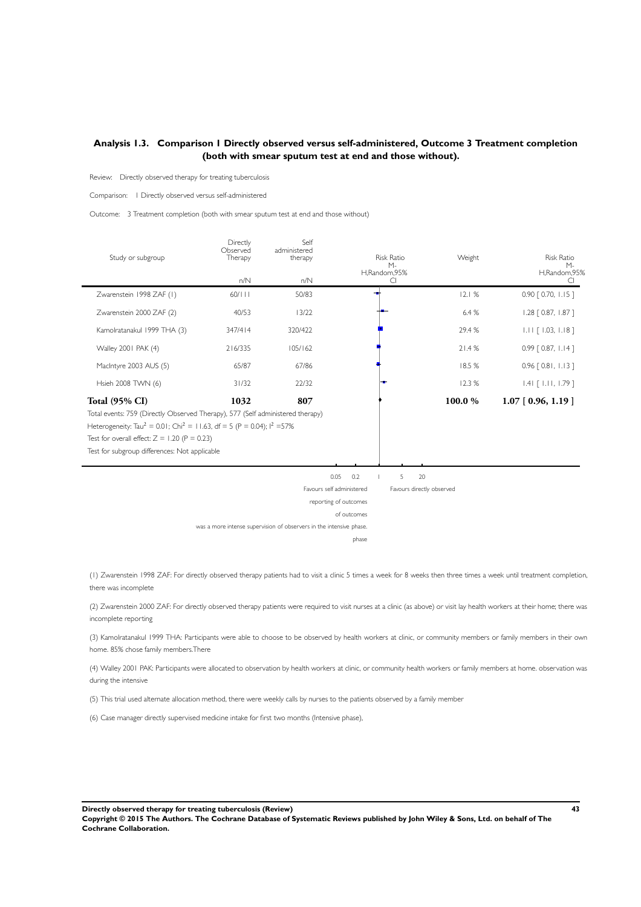## <span id="page-44-0"></span>**Analysis 1.3. Comparison 1 Directly observed versus self-administered, Outcome 3 Treatment completion (both with smear sputum test at end and those without).**

Review: Directly observed therapy for treating tuberculosis

Comparison: 1 Directly observed versus self-administered

Outcome: 3 Treatment completion (both with smear sputum test at end and those without)

| <b>Directly</b><br>Observed<br>Therapy | Self<br>administered<br>therapy                                                                 | <b>Risk Ratio</b><br>$M -$                                                                                                                                                        | Weight       | <b>Risk Ratio</b><br>$M -$ |
|----------------------------------------|-------------------------------------------------------------------------------------------------|-----------------------------------------------------------------------------------------------------------------------------------------------------------------------------------|--------------|----------------------------|
| n/N                                    | n/N                                                                                             | CI                                                                                                                                                                                |              | H,Random,95%               |
| 60/111                                 | 50/83                                                                                           |                                                                                                                                                                                   | 12.1%        | $0.90$ $[0.70, 1.15]$      |
| 40/53                                  | 13/22                                                                                           |                                                                                                                                                                                   | 6.4%         | $1.28$ $[0.87, 1.87]$      |
| 347/414                                | 320/422                                                                                         |                                                                                                                                                                                   | 29.4 %       | $1.11$ $[1.03, 1.18]$      |
| 216/335                                | 105/162                                                                                         |                                                                                                                                                                                   | 21.4%        | $0.99$ $[0.87, 1.14]$      |
| 65/87                                  | 67/86                                                                                           |                                                                                                                                                                                   | 18.5 %       | $0.96$ $[0.81, 1.13]$      |
| 31/32                                  | 22/32                                                                                           |                                                                                                                                                                                   | 12.3%        | $1.41$ [ $1.11$ , $1.79$ ] |
| 1032                                   | 807                                                                                             |                                                                                                                                                                                   | 100.0%       | $1.07$ [ 0.96, 1.19 ]      |
|                                        | Test for overall effect: $Z = 1.20$ (P = 0.23)<br>Test for subgroup differences: Not applicable | Total events: 759 (Directly Observed Therapy), 577 (Self administered therapy)<br>Heterogeneity: Tau <sup>2</sup> = 0.01; Chi <sup>2</sup> = 11.63, df = 5 (P = 0.04); $1^2$ =57% | H,Random,95% |                            |

0.05 0.2 1 5 20 Favours self administered Favours directly observed reporting of outcomes of outcomes was a more intense supervision of observers in the intensive phase. phase

(1) Zwarenstein 1998 ZAF: For directly observed therapy patients had to visit a clinic 5 times a week for 8 weeks then three times a week until treatment completion, there was incomplete

(2) Zwarenstein 2000 ZAF: For directly observed therapy patients were required to visit nurses at a clinic (as above) or visit lay health workers at their home; there was incomplete reporting

(3) Kamolratanakul 1999 THA: Par ticipants were able to choose to be observed by health workers at clinic, or community members or family members in their own home. 85% chose family members.There

(4) Walley 2001 PAK: Par ticipants were allocated to observation by health workers at clinic, or community health workers or family members at home. observation was during the intensive

(5) This trial used alternate allocation method, there were weekly calls by nurses to the patients observed by a family member

(6) Case manager directly supervised medicine intake for first two months (Intensive phase),

**Directly observed therapy for treating tuberculosis (Review) 43**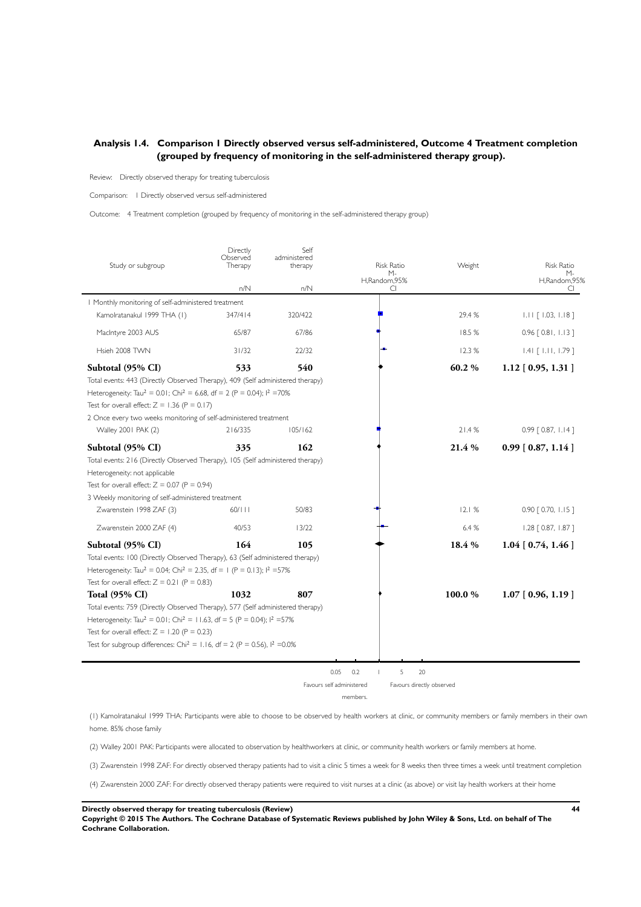## **Analysis 1.4. Comparison 1 Directly observed versus self-administered, Outcome 4 Treatment completion (grouped by frequency of monitoring in the self-administered therapy group).**

Review: Directly observed therapy for treating tuberculosis

Comparison: 1 Directly observed versus self-administered

Outcome: 4 Treatment completion (grouped by frequency of monitoring in the self-administered therapy group)

| Study or subgroup                                                                                        | Directly<br>Observed<br>Therapy | Self<br>administered<br>therapy | <b>Risk Ratio</b><br>М- | Weight | Risk Ratio<br>М-           |
|----------------------------------------------------------------------------------------------------------|---------------------------------|---------------------------------|-------------------------|--------|----------------------------|
|                                                                                                          | n/N                             | n/N                             | H,Random,95%<br>C.      |        | H,Random,95%<br>C.         |
| I Monthly monitoring of self-administered treatment                                                      |                                 |                                 |                         |        |                            |
| Kamolratanakul 1999 THA (1)                                                                              | 347/414                         | 320/422                         |                         | 29.4 % | $1.11$ $[1.03, 1.18]$      |
| MacIntyre 2003 AUS                                                                                       | 65/87                           | 67/86                           |                         | 18.5 % | $0.96$ $[0.81, 1.13]$      |
| Hsieh 2008 TWN                                                                                           | 31/32                           | 22/32                           |                         | 12.3%  | $1.41$ [ $1.11$ , $1.79$ ] |
| Subtotal (95% CI)                                                                                        | 533                             | 540                             |                         | 60.2%  | $1.12$ [ 0.95, 1.31 ]      |
| Total events: 443 (Directly Observed Therapy), 409 (Self administered therapy)                           |                                 |                                 |                         |        |                            |
| Heterogeneity: Tau <sup>2</sup> = 0.01; Chi <sup>2</sup> = 6.68, df = 2 (P = 0.04); l <sup>2</sup> =70%  |                                 |                                 |                         |        |                            |
| Test for overall effect: $Z = 1.36$ (P = 0.17)                                                           |                                 |                                 |                         |        |                            |
| 2 Once every two weeks monitoring of self-administered treatment                                         |                                 |                                 |                         |        |                            |
| Walley 2001 PAK (2)                                                                                      | 216/335                         | 105/162                         |                         | 21.4%  | $0.99$ $[0.87, 1.14]$      |
| Subtotal (95% CI)                                                                                        | 335                             | 162                             |                         | 21.4%  | $0.99$ [ $0.87, 1.14$ ]    |
| Total events: 216 (Directly Observed Therapy), 105 (Self administered therapy)                           |                                 |                                 |                         |        |                            |
| Heterogeneity: not applicable                                                                            |                                 |                                 |                         |        |                            |
| Test for overall effect: $Z = 0.07$ (P = 0.94)                                                           |                                 |                                 |                         |        |                            |
| 3 Weekly monitoring of self-administered treatment                                                       |                                 |                                 |                         |        |                            |
| Zwarenstein 1998 ZAF (3)                                                                                 | 60/111                          | 50/83                           |                         | 12.1%  | $0.90$ $[0.70, 1.15]$      |
| Zwarenstein 2000 ZAF (4)                                                                                 | 40/53                           | 13/22                           |                         | 6.4 %  | $1.28$ $[0.87, 1.87]$      |
| Subtotal (95% CI)                                                                                        | 164                             | 105                             |                         | 18.4 % | $1.04$ [ 0.74, 1.46 ]      |
| Total events: 100 (Directly Observed Therapy), 63 (Self administered therapy)                            |                                 |                                 |                         |        |                            |
| Heterogeneity: Tau <sup>2</sup> = 0.04; Chi <sup>2</sup> = 2.35, df = 1 (P = 0.13); l <sup>2</sup> =57%  |                                 |                                 |                         |        |                            |
| Test for overall effect: $Z = 0.21$ (P = 0.83)                                                           |                                 |                                 |                         |        |                            |
| <b>Total (95% CI)</b>                                                                                    | 1032                            | 807                             |                         | 100.0% | $1.07$ [ 0.96, 1.19 ]      |
| Total events: 759 (Directly Observed Therapy), 577 (Self administered therapy)                           |                                 |                                 |                         |        |                            |
| Heterogeneity: Tau <sup>2</sup> = 0.01; Chi <sup>2</sup> = 11.63, df = 5 (P = 0.04); l <sup>2</sup> =57% |                                 |                                 |                         |        |                            |
| Test for overall effect: $Z = 1.20$ (P = 0.23)                                                           |                                 |                                 |                         |        |                            |
| Test for subgroup differences: Chi <sup>2</sup> = 1.16, df = 2 (P = 0.56), l <sup>2</sup> = 0.0%         |                                 |                                 |                         |        |                            |
|                                                                                                          |                                 |                                 |                         |        |                            |
|                                                                                                          |                                 | 0.05                            | 0.2<br>5<br>20          |        |                            |

Favours self administered Favours directly observed

members.

(1) Kamolratanakul 1999 THA: Par ticipants were able to choose to be observed by health workers at clinic, or community members or family members in their own home. 85% chose family

(2) Walley 2001 PAK: Par ticipants were allocated to observation by healthworkers at clinic, or community health workers or family members at home.

(3) Zwarenstein 1998 ZAF: For directly observed therapy patients had to visit a clinic 5 times a week for 8 weeks then three times a week until treatment completion

(4) Zwarenstein 2000 ZAF: For directly observed therapy patients were required to visit nurses at a clinic (as above) or visit lay health workers at their home

## **Directly observed therapy for treating tuberculosis (Review) 44**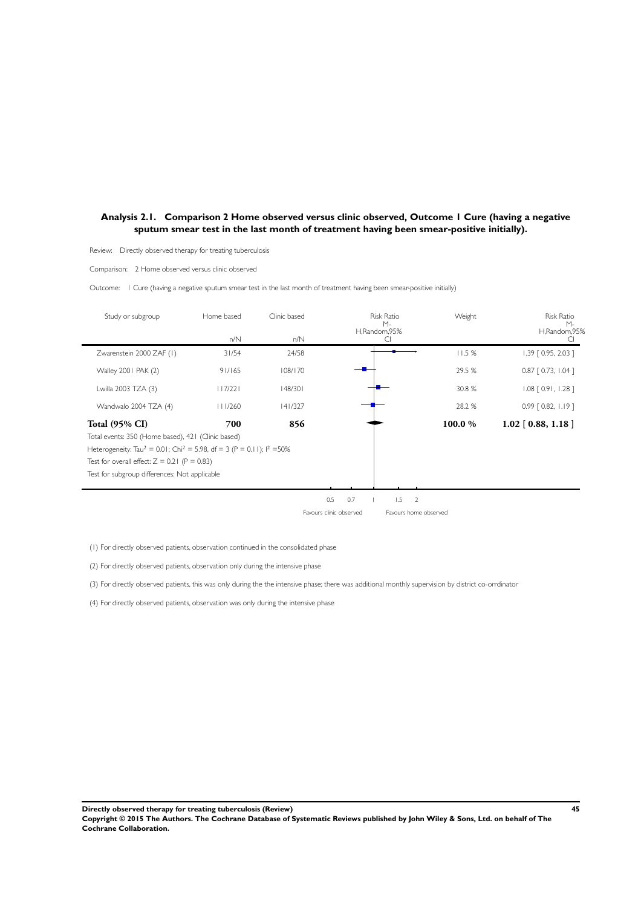## <span id="page-46-0"></span>**Analysis 2.1. Comparison 2 Home observed versus clinic observed, Outcome 1 Cure (having a negative sputum smear test in the last month of treatment having been smear-positive initially).**

Review: Directly observed therapy for treating tuberculosis

Comparison: 2 Home observed versus clinic observed

Outcome: 1 Cure (having a negative sputum smear test in the last month of treatment having been smear-positive initially)

| Study or subgroup                                                                               | Home based | Clinic based |                         | <b>Risk Ratio</b><br>$M -$<br>H,Random,95% |                       | Weight         | <b>Risk Ratio</b><br>$M -$ |                         |
|-------------------------------------------------------------------------------------------------|------------|--------------|-------------------------|--------------------------------------------|-----------------------|----------------|----------------------------|-------------------------|
|                                                                                                 | n/N        | n/N          |                         |                                            | CI                    |                |                            | H,Random,95%            |
| Zwarenstein 2000 ZAF (1)                                                                        | 31/54      | 24/58        |                         |                                            |                       |                | 11.5%                      | $1.39$ $[0.95, 2.03]$   |
| Walley 2001 PAK (2)                                                                             | 91/165     | 108/170      |                         |                                            |                       |                | 29.5 %                     | $0.87$ $[ 0.73, 1.04 ]$ |
| Lwilla 2003 TZA (3)                                                                             | 117/221    | 148/301      |                         |                                            |                       |                | 30.8 %                     | $1.08$ $[0.91, 1.28]$   |
| Wandwalo 2004 TZA (4)                                                                           | 111/260    | 141/327      |                         |                                            |                       |                | 28.2 %                     | 0.99 [ 0.82, 1.19 ]     |
| <b>Total (95% CI)</b>                                                                           | 700        | 856          |                         |                                            |                       |                | 100.0%                     | $1.02$ [ 0.88, 1.18 ]   |
| Total events: 350 (Home based), 421 (Clinic based)                                              |            |              |                         |                                            |                       |                |                            |                         |
| Heterogeneity: Tau <sup>2</sup> = 0.01; Chi <sup>2</sup> = 5.98, df = 3 (P = 0.11); $1^2$ = 50% |            |              |                         |                                            |                       |                |                            |                         |
| Test for overall effect: $Z = 0.21$ (P = 0.83)                                                  |            |              |                         |                                            |                       |                |                            |                         |
| Test for subgroup differences: Not applicable                                                   |            |              |                         |                                            |                       |                |                            |                         |
|                                                                                                 |            |              |                         |                                            |                       |                |                            |                         |
|                                                                                                 |            |              | 0.5                     | 0.7                                        | 1.5                   | $\overline{2}$ |                            |                         |
|                                                                                                 |            |              | Favours clinic observed |                                            | Favours home observed |                |                            |                         |

(1) For directly observed patients, observation continued in the consolidated phase

(2) For directly observed patients, observation only during the intensive phase

(3) For directly observed patients, this was only during the the intensive phase; there was additional monthly supervision by district co-orrdinator

(4) For directly observed patients, observation was only during the intensive phase

**Directly observed therapy for treating tuberculosis (Review) 45**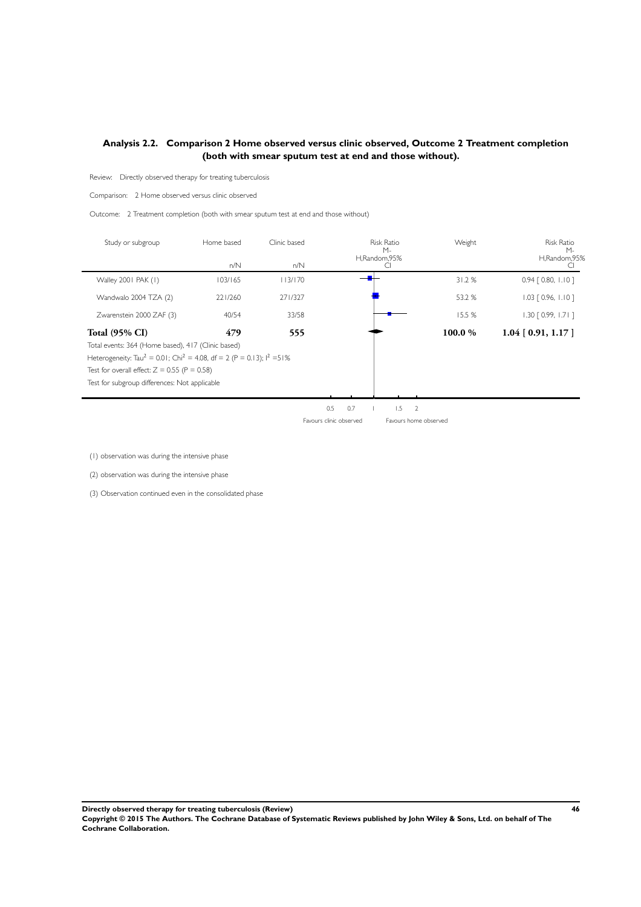## <span id="page-47-0"></span>**Analysis 2.2. Comparison 2 Home observed versus clinic observed, Outcome 2 Treatment completion (both with smear sputum test at end and those without).**

Review: Directly observed therapy for treating tuberculosis

Comparison: 2 Home observed versus clinic observed

Outcome: 2 Treatment completion (both with smear sputum test at end and those without)

| Study or subgroup                                                                                                                                                                                                                                                 | Home based | Clinic based | Risk Ratio                                  | Weight                | Risk Ratio                   |
|-------------------------------------------------------------------------------------------------------------------------------------------------------------------------------------------------------------------------------------------------------------------|------------|--------------|---------------------------------------------|-----------------------|------------------------------|
|                                                                                                                                                                                                                                                                   | $n/N$      | n/N          | $\mathsf{M}\text{-}$<br>H,Random,95%<br>CI. |                       | $M -$<br>H,Random,95%<br>CI. |
| Walley 2001 PAK (1)                                                                                                                                                                                                                                               | 103/165    | 113/170      |                                             | 31.2%                 | 0.94 [ 0.80, 1.10 ]          |
| Wandwalo 2004 TZA (2)                                                                                                                                                                                                                                             | 221/260    | 271/327      |                                             | 53.2 %                | $1.03$ [ 0.96, $1.10$ ]      |
| Zwarenstein 2000 ZAF (3)                                                                                                                                                                                                                                          | 40/54      | 33/58        |                                             | 15.5 %                | $1.30$ $[0.99, 1.71]$        |
| <b>Total (95% CI)</b>                                                                                                                                                                                                                                             | 479        | 555          |                                             | $100.0\ \%$           | $1.04$ [ 0.91, 1.17 ]        |
| Total events: 364 (Home based), 417 (Clinic based)<br>Heterogeneity: Tau <sup>2</sup> = 0.01; Chi <sup>2</sup> = 4.08, df = 2 (P = 0.13); l <sup>2</sup> = 51%<br>Test for overall effect: $Z = 0.55$ (P = 0.58)<br>Test for subgroup differences: Not applicable |            |              |                                             |                       |                              |
|                                                                                                                                                                                                                                                                   |            |              | 0.7<br>1.5<br>0.5                           | $\sqrt{2}$            |                              |
|                                                                                                                                                                                                                                                                   |            |              | Favours clinic observed                     | Favours home observed |                              |
|                                                                                                                                                                                                                                                                   |            |              |                                             |                       |                              |
| (1) observation was during the intensive phase                                                                                                                                                                                                                    |            |              |                                             |                       |                              |
| (2) observation was during the intensive phase                                                                                                                                                                                                                    |            |              |                                             |                       |                              |
| (3) Observation continued even in the consolidated phase                                                                                                                                                                                                          |            |              |                                             |                       |                              |
|                                                                                                                                                                                                                                                                   |            |              |                                             |                       |                              |
|                                                                                                                                                                                                                                                                   |            |              |                                             |                       |                              |
|                                                                                                                                                                                                                                                                   |            |              |                                             |                       |                              |
|                                                                                                                                                                                                                                                                   |            |              |                                             |                       |                              |
|                                                                                                                                                                                                                                                                   |            |              |                                             |                       |                              |
|                                                                                                                                                                                                                                                                   |            |              |                                             |                       |                              |
|                                                                                                                                                                                                                                                                   |            |              |                                             |                       |                              |
|                                                                                                                                                                                                                                                                   |            |              |                                             |                       |                              |
|                                                                                                                                                                                                                                                                   |            |              |                                             |                       |                              |
|                                                                                                                                                                                                                                                                   |            |              |                                             |                       |                              |
|                                                                                                                                                                                                                                                                   |            |              |                                             |                       |                              |
|                                                                                                                                                                                                                                                                   |            |              |                                             |                       |                              |
|                                                                                                                                                                                                                                                                   |            |              |                                             |                       |                              |
|                                                                                                                                                                                                                                                                   |            |              |                                             |                       |                              |
|                                                                                                                                                                                                                                                                   |            |              |                                             |                       |                              |
|                                                                                                                                                                                                                                                                   |            |              |                                             |                       |                              |
|                                                                                                                                                                                                                                                                   |            |              |                                             |                       |                              |
|                                                                                                                                                                                                                                                                   |            |              |                                             |                       |                              |

**Directly observed therapy for treating tuberculosis (Review) 46**

**Copyright © 2015 The Authors. The Cochrane Database of Systematic Reviews published by John Wiley & Sons, Ltd. on behalf of The Cochrane Collaboration.**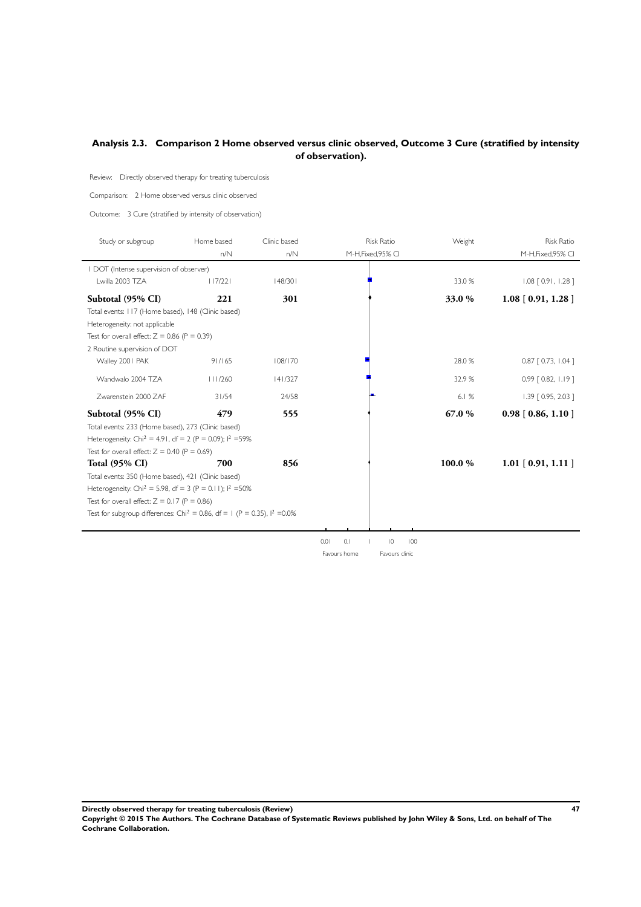## <span id="page-48-0"></span>**Analysis 2.3. Comparison 2 Home observed versus clinic observed, Outcome 3 Cure (stratified by intensity of observation).**

Review: Directly observed therapy for treating tuberculosis

Comparison: 2 Home observed versus clinic observed

Outcome: 3 Cure (stratified by intensity of observation)

| Study or subgroup                                                                       | Home based | Clinic based | <b>Risk Ratio</b>                     | Weight | <b>Risk Ratio</b>     |
|-----------------------------------------------------------------------------------------|------------|--------------|---------------------------------------|--------|-----------------------|
|                                                                                         | n/N        | n/N          | M-H, Fixed, 95% CI                    |        | M-H, Fixed, 95% CI    |
| DOT (Intense supervision of observer)                                                   |            |              |                                       |        |                       |
| Lwilla 2003 TZA                                                                         | 117/221    | 148/301      |                                       | 33.0 % | $1.08$ $[0.91, 1.28]$ |
| Subtotal (95% CI)                                                                       | 221        | 301          |                                       | 33.0 % | $1.08$ [ 0.91, 1.28 ] |
| Total events: 117 (Home based), 148 (Clinic based)                                      |            |              |                                       |        |                       |
| Heterogeneity: not applicable                                                           |            |              |                                       |        |                       |
| Test for overall effect: $Z = 0.86$ (P = 0.39)                                          |            |              |                                       |        |                       |
| 2 Routine supervision of DOT                                                            |            |              |                                       |        |                       |
| Walley 2001 PAK                                                                         | 91/165     | 108/170      |                                       | 28.0 % | $0.87$ $[0.73, 1.04]$ |
| Wandwalo 2004 TZA                                                                       | 111/260    | 141/327      |                                       | 32.9%  | 0.99 [ 0.82, 1.19 ]   |
| Zwarenstein 2000 ZAF                                                                    | 31/54      | 24/58        |                                       | 6.1%   | $1.39$ $[0.95, 2.03]$ |
| Subtotal (95% CI)                                                                       | 479        | 555          |                                       | 67.0 % | $0.98$ [ 0.86, 1.10 ] |
| Total events: 233 (Home based), 273 (Clinic based)                                      |            |              |                                       |        |                       |
| Heterogeneity: Chi <sup>2</sup> = 4.91, df = 2 (P = 0.09); $1^2$ =59%                   |            |              |                                       |        |                       |
| Test for overall effect: $Z = 0.40$ (P = 0.69)                                          |            |              |                                       |        |                       |
| <b>Total (95% CI)</b>                                                                   | 700        | 856          |                                       | 100.0% | $1.01$ [ 0.91, 1.11 ] |
| Total events: 350 (Home based), 421 (Clinic based)                                      |            |              |                                       |        |                       |
| Heterogeneity: Chi <sup>2</sup> = 5.98, df = 3 (P = 0.11); $1^2$ =50%                   |            |              |                                       |        |                       |
| Test for overall effect: $Z = 0.17$ (P = 0.86)                                          |            |              |                                       |        |                       |
| Test for subgroup differences: Chi <sup>2</sup> = 0.86, df = 1 (P = 0.35), $1^2$ = 0.0% |            |              |                                       |        |                       |
|                                                                                         |            |              |                                       |        |                       |
|                                                                                         |            |              | 0.1<br>$\overline{10}$<br>0.01<br>100 |        |                       |
|                                                                                         |            |              | Favours home<br>Favours clinic        |        |                       |
|                                                                                         |            |              |                                       |        |                       |

**Directly observed therapy for treating tuberculosis (Review) 47**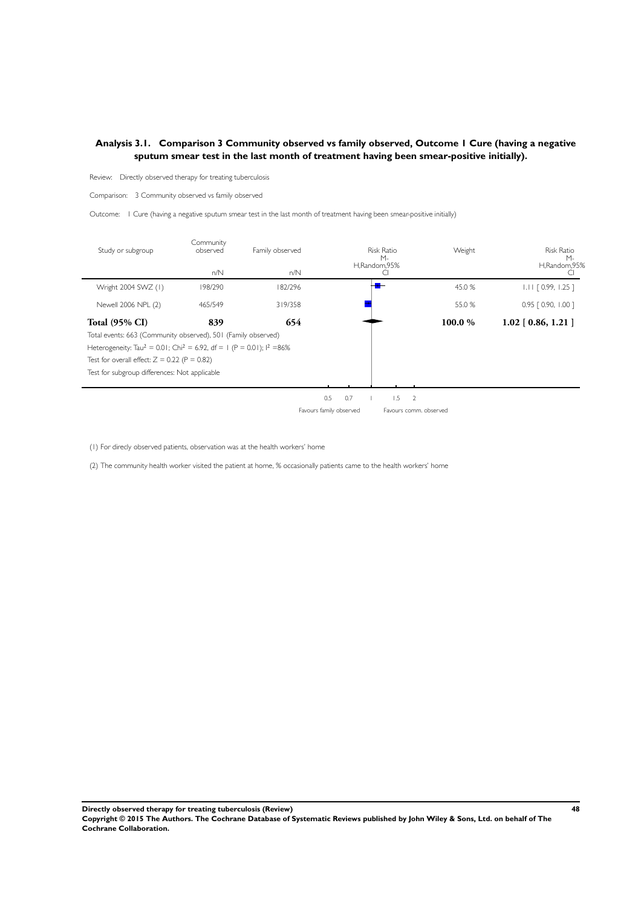## <span id="page-49-0"></span>**Analysis 3.1. Comparison 3 Community observed vs family observed, Outcome 1 Cure (having a negative sputum smear test in the last month of treatment having been smear-positive initially).**

Review: Directly observed therapy for treating tuberculosis

Comparison: 3 Community observed vs family observed

Outcome: 1 Cure (having a negative sputum smear test in the last month of treatment having been smear-positive initially)

| Study or subgroup                                                                              | Community<br>observed | Family observed |                         | <b>Risk Ratio</b><br>$M -$<br>H,Random,95% | Weight | <b>Risk Ratio</b><br>$M -$<br>H,Random,95% |
|------------------------------------------------------------------------------------------------|-----------------------|-----------------|-------------------------|--------------------------------------------|--------|--------------------------------------------|
|                                                                                                | n/N                   | n/N             |                         |                                            |        |                                            |
| Wright 2004 SWZ (1)                                                                            | 198/290               | 182/296         |                         | $\blacksquare$                             | 45.0 % | $1.11$ $[0.99, 1.25]$                      |
| Newell 2006 NPL (2)                                                                            | 465/549               | 319/358         |                         |                                            | 55.0 % | $0.95$ $[0.90, 1.00]$                      |
| <b>Total (95% CI)</b>                                                                          | 839                   | 654             |                         |                                            | 100.0% | $1.02$ [ 0.86, 1.21 ]                      |
| Total events: 663 (Community observed), 501 (Family observed)                                  |                       |                 |                         |                                            |        |                                            |
| Heterogeneity: Tau <sup>2</sup> = 0.01; Chi <sup>2</sup> = 6.92, df = 1 (P = 0.01); $1^2$ =86% |                       |                 |                         |                                            |        |                                            |
| Test for overall effect: $Z = 0.22$ (P = 0.82)                                                 |                       |                 |                         |                                            |        |                                            |
| Test for subgroup differences: Not applicable                                                  |                       |                 |                         |                                            |        |                                            |
|                                                                                                |                       |                 |                         |                                            |        |                                            |
|                                                                                                |                       |                 | 0.7<br>0.5              | 1.5<br>2                                   |        |                                            |
|                                                                                                |                       |                 | Favours family observed | Favours comm, observed                     |        |                                            |

(1) For direcly observed patients, observation was at the health workers' home

(2) The community health worker visited the patient at home, % occasionally patients came to the health workers' home

**Directly observed therapy for treating tuberculosis (Review) 48**

**Copyright © 2015 The Authors. The Cochrane Database of Systematic Reviews published by John Wiley & Sons, Ltd. on behalf of The Cochrane Collaboration.**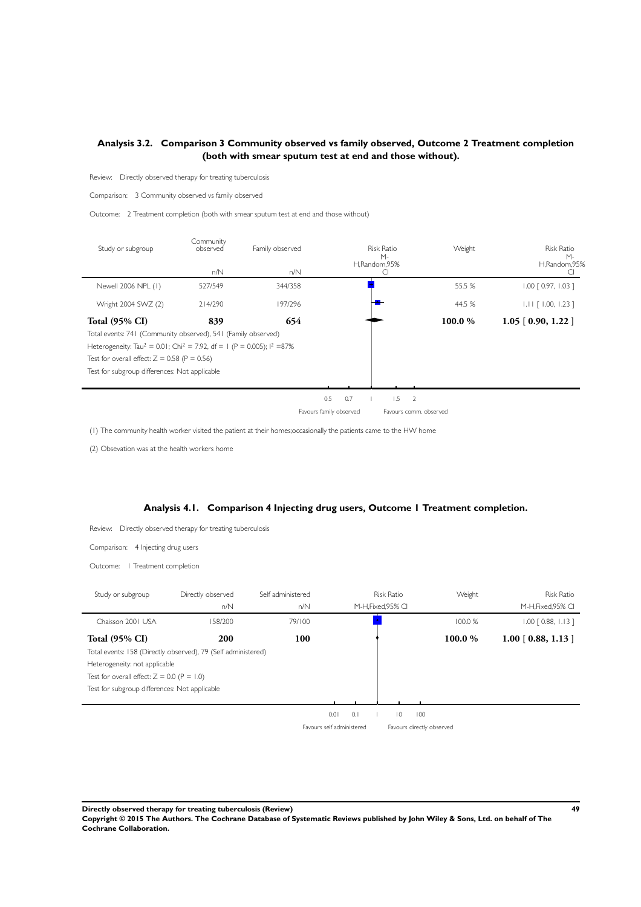## <span id="page-50-0"></span>**Analysis 3.2. Comparison 3 Community observed vs family observed, Outcome 2 Treatment completion (both with smear sputum test at end and those without).**

Review: Directly observed therapy for treating tuberculosis

Comparison: 3 Community observed vs family observed

Outcome: 2 Treatment completion (both with smear sputum test at end and those without)

| Study or subgroup                                                                                        | Community<br>observed | Family observed |                         | <b>Risk Ratio</b><br>$M -$<br>H,Random,95% | Weight  | <b>Risk Ratio</b><br>$M -$<br>H,Random,95% |
|----------------------------------------------------------------------------------------------------------|-----------------------|-----------------|-------------------------|--------------------------------------------|---------|--------------------------------------------|
|                                                                                                          | n/N                   | n/N             |                         |                                            |         |                                            |
| Newell 2006 NPL (1)                                                                                      | 527/549               | 344/358         |                         |                                            | 55.5 %  | $1.00$ $[0.97, 1.03]$                      |
| Wright 2004 SWZ (2)                                                                                      | 214/290               | 197/296         |                         |                                            | 44.5 %  | $1.11$ $[1.00, 1.23]$                      |
| <b>Total (95% CI)</b>                                                                                    | 839                   | 654             |                         |                                            | 100.0 % | $1.05$ [ 0.90, 1.22 ]                      |
| Total events: 741 (Community observed), 541 (Family observed)                                            |                       |                 |                         |                                            |         |                                            |
| Heterogeneity: Tau <sup>2</sup> = 0.01; Chi <sup>2</sup> = 7.92, df = 1 (P = 0.005); l <sup>2</sup> =87% |                       |                 |                         |                                            |         |                                            |
| Test for overall effect: $Z = 0.58$ (P = 0.56)                                                           |                       |                 |                         |                                            |         |                                            |
| Test for subgroup differences: Not applicable                                                            |                       |                 |                         |                                            |         |                                            |
|                                                                                                          |                       |                 |                         |                                            |         |                                            |
|                                                                                                          |                       |                 | 0.7<br>0.5              | $\overline{.5}$<br>2                       |         |                                            |
|                                                                                                          |                       |                 | Favours family observed | Favours comm, observed                     |         |                                            |

(1) The community health worker visited the patient at their homes;occasionally the patients came to the HW home

(2) Obsevation was at the health workers home

## **Analysis 4.1. Comparison 4 Injecting drug users, Outcome 1 Treatment completion.**

| Review:                                                       | Directly observed therapy for treating tuberculosis |                          |                                          |                                                    |         |                                       |
|---------------------------------------------------------------|-----------------------------------------------------|--------------------------|------------------------------------------|----------------------------------------------------|---------|---------------------------------------|
| Comparison:<br>4 Injecting drug users                         |                                                     |                          |                                          |                                                    |         |                                       |
| Treatment completion<br>Outcome:                              |                                                     |                          |                                          |                                                    |         |                                       |
| Study or subgroup                                             | Directly observed<br>n/N                            | Self administered<br>n/N |                                          | <b>Risk Ratio</b><br>M-H, Fixed, 95% CI            | Weight  | <b>Risk Ratio</b><br>M-H,Fixed,95% Cl |
| Chaisson 2001 USA                                             | 158/200                                             | 79/100                   |                                          |                                                    | 100.0 % | $1.00$ $[0.88, 1.13]$                 |
| <b>Total (95% CI)</b>                                         | <b>200</b>                                          | 100                      |                                          |                                                    | 100.0 % | $1.00$ [ 0.88, 1.13 ]                 |
| Total events: 158 (Directly observed), 79 (Self administered) |                                                     |                          |                                          |                                                    |         |                                       |
| Heterogeneity: not applicable                                 |                                                     |                          |                                          |                                                    |         |                                       |
| Test for overall effect: $Z = 0.0$ (P = 1.0)                  |                                                     |                          |                                          |                                                    |         |                                       |
| Test for subgroup differences: Not applicable                 |                                                     |                          |                                          |                                                    |         |                                       |
|                                                               |                                                     |                          |                                          |                                                    |         |                                       |
|                                                               |                                                     |                          | 0.01<br>0.1<br>Favours self administered | $\overline{0}$<br>100<br>Favours directly observed |         |                                       |

**Directly observed therapy for treating tuberculosis (Review) 49**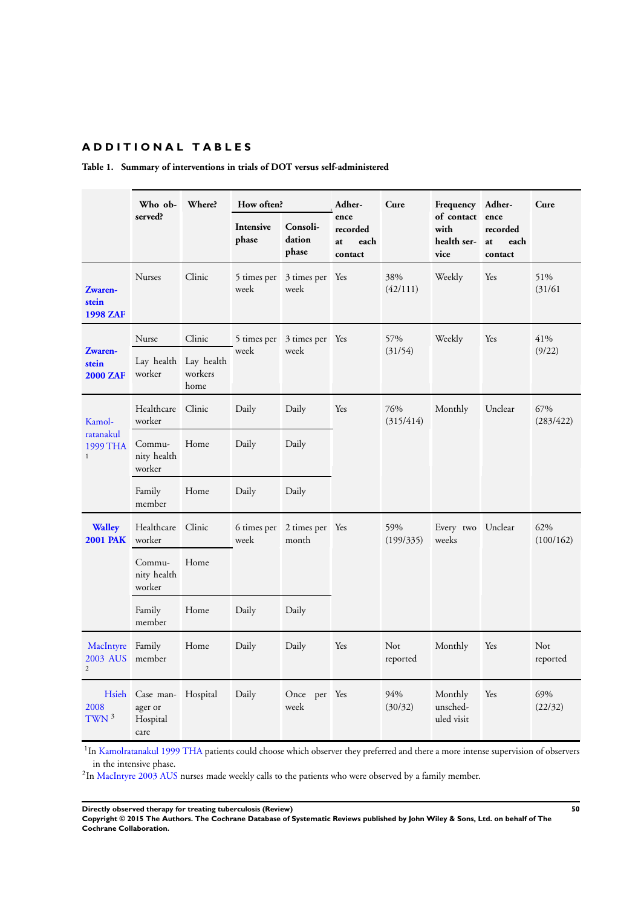## <span id="page-51-0"></span>**A D D I T I O N A L T A B L E S**

|                                                | Who ob-                                  | Where?                        | How often?                |                             | Adher-                                    | Cure                        | Frequency Adher-                               |                                   | Cure             |
|------------------------------------------------|------------------------------------------|-------------------------------|---------------------------|-----------------------------|-------------------------------------------|-----------------------------|------------------------------------------------|-----------------------------------|------------------|
|                                                | served?                                  |                               | <b>Intensive</b><br>phase | Consoli-<br>dation<br>phase | ence<br>recorded<br>each<br>at<br>contact |                             | of contact ence<br>with<br>health ser-<br>vice | recorded<br>each<br>at<br>contact |                  |
| Zwaren-<br>stein<br><b>1998 ZAF</b>            | <b>Nurses</b>                            | Clinic                        | 5 times per<br>week       | 3 times per Yes<br>week     |                                           | 38%<br>(42/111)             | Weekly                                         | Yes                               | 51%<br>(31/61)   |
|                                                | Nurse                                    | Clinic                        |                           | 5 times per 3 times per Yes |                                           | 57%                         | Weekly                                         | Yes                               | 41%              |
| Zwaren-<br>stein<br><b>2000 ZAF</b>            | Lay health<br>worker                     | Lay health<br>workers<br>home | week                      | week                        |                                           | (31/54)                     |                                                |                                   | (9/22)           |
| Kamol-                                         | Healthcare<br>worker                     | Clinic                        | Daily                     | Daily                       | Yes                                       | 76%<br>Monthly<br>(315/414) |                                                | Unclear                           | 67%<br>(283/422) |
| ratanakul<br>1999 THA<br>$\mathbf{1}$          | Commu-<br>nity health<br>worker          | Home<br>Daily<br>Daily        |                           |                             |                                           |                             |                                                |                                   |                  |
|                                                | Family<br>member                         | Home                          | Daily                     | Daily                       |                                           |                             |                                                |                                   |                  |
| <b>Walley</b><br><b>2001 PAK</b>               | Healthcare<br>worker                     | Clinic                        | 6 times per<br>week       | 2 times per Yes<br>month    |                                           | 59%<br>(199/335)            | Every two<br>weeks                             | Unclear                           | 62%<br>(100/162) |
|                                                | Commu-<br>nity health<br>worker          | Home                          |                           |                             |                                           |                             |                                                |                                   |                  |
|                                                | Family<br>member                         | Home                          | Daily                     | Daily                       |                                           |                             |                                                |                                   |                  |
| MacIntyre<br><b>2003 AUS</b><br>$\overline{c}$ | Family<br>member                         | Home                          | Daily                     | Daily                       | Yes                                       | Not<br>reported             | Monthly                                        | Yes                               | Not<br>reported  |
| Hsieh<br>2008<br>$TWN$ <sup>3</sup>            | Case man-<br>ager or<br>Hospital<br>care | Hospital                      | Daily                     | Once per Yes<br>week        |                                           | 94%<br>(30/32)              | Monthly<br>unsched-<br>uled visit              | Yes                               | 69%<br>(22/32)   |

**Table 1. Summary of interventions in trials of DOT versus self-administered**

<sup>1</sup>In [Kamolratanakul 1999 THA](#page-21-0) patients could choose which observer they preferred and there a more intense supervision of observers in the intensive phase.

<sup>2</sup>In [MacIntyre 2003 AUS](#page-21-0) nurses made weekly calls to the patients who were observed by a family member.

**Directly observed therapy for treating tuberculosis (Review) 50**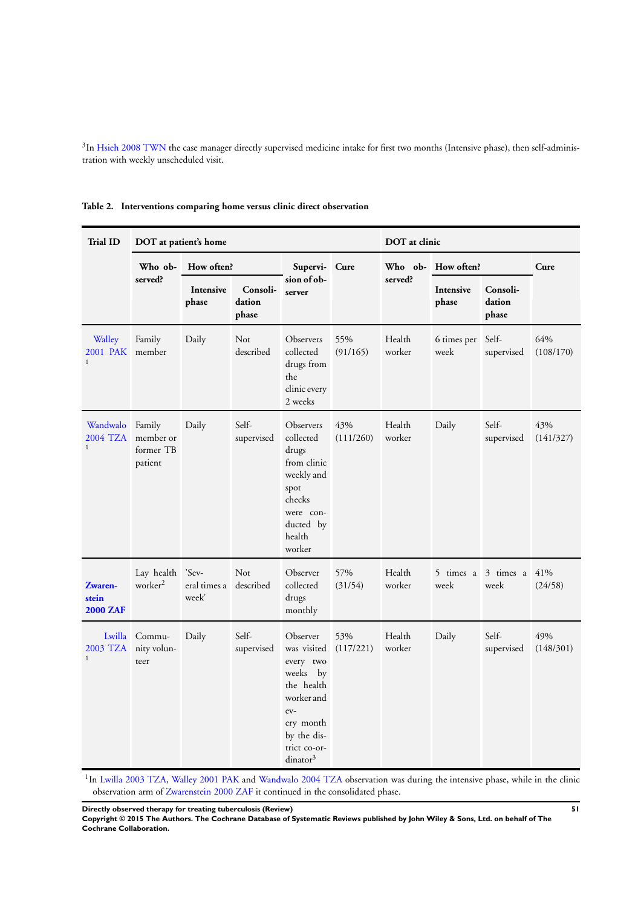<span id="page-52-0"></span> ${}^{3}$ In [Hsieh 2008 TWN](#page-21-0) the case manager directly supervised medicine intake for first two months (Intensive phase), then self-administration with weekly unscheduled visit.

| <b>Trial ID</b>                      | DOT at patient's home                       |                                |                             |                                                                                                                                                         |                  | DOT at clinic    |                     |                             |                  |  |
|--------------------------------------|---------------------------------------------|--------------------------------|-----------------------------|---------------------------------------------------------------------------------------------------------------------------------------------------------|------------------|------------------|---------------------|-----------------------------|------------------|--|
|                                      | Who ob-                                     | How often?                     |                             | Supervi- Cure                                                                                                                                           |                  | Who ob-          | How often?          |                             | Cure             |  |
|                                      | served?                                     | Intensive<br>phase             | Consoli-<br>dation<br>phase | sion of ob-<br>server                                                                                                                                   |                  | served?          | Intensive<br>phase  | Consoli-<br>dation<br>phase |                  |  |
| Walley<br>2001 PAK<br>1              | Family<br>member                            | Daily                          | Not<br>described            | Observers<br>collected<br>drugs from<br>the<br>clinic every<br>2 weeks                                                                                  | 55%<br>(91/165)  | Health<br>worker | 6 times per<br>week | Self-<br>supervised         | 64%<br>(108/170) |  |
| Wandwalo<br>2004 TZA<br>$\mathbf{1}$ | Family<br>member or<br>former TB<br>patient | Daily                          | Self-<br>supervised         | Observers<br>collected<br>drugs<br>from clinic<br>weekly and<br>spot<br>checks<br>were con-<br>ducted by<br>health<br>worker                            | 43%<br>(111/260) | Health<br>worker | Daily               | Self-<br>supervised         | 43%<br>(141/327) |  |
| Zwaren-<br>stein<br><b>2000 ZAF</b>  | Lay health<br>worker <sup>2</sup>           | 'Sev-<br>eral times a<br>week' | Not<br>described            | Observer<br>collected<br>drugs<br>monthly                                                                                                               | 57%<br>(31/54)   | Health<br>worker | 5 times a<br>week   | 3 times a<br>week           | 41%<br>(24/58)   |  |
| Lwilla<br>2003 TZA<br>$\mathbf{1}$   | Commu-<br>nity volun-<br>teer               | Daily                          | Self-<br>supervised         | Observer<br>was visited<br>every two<br>weeks by<br>the health<br>worker and<br>ev-<br>ery month<br>by the dis-<br>trict co-or-<br>dinator <sup>3</sup> | 53%<br>(117/221) | Health<br>worker | Daily               | Self-<br>supervised         | 49%<br>(148/301) |  |

## **Table 2. Interventions comparing home versus clinic direct observation**

<sup>1</sup>In [Lwilla 2003 TZA](#page-21-0), [Walley 2001 PAK](#page-21-0) and [Wandwalo 2004 TZA](#page-21-0) observation was during the intensive phase, while in the clinic observation arm of [Zwarenstein 2000 ZAF](#page-21-0) it continued in the consolidated phase.

**Directly observed therapy for treating tuberculosis (Review) 51**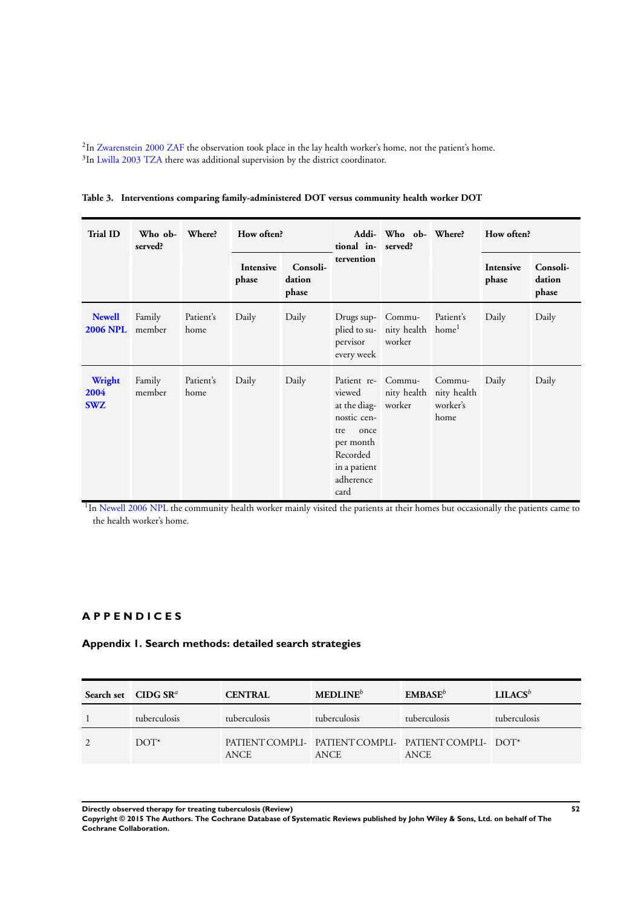<span id="page-53-0"></span><sup>2</sup>In [Zwarenstein 2000 ZAF](#page-21-0) the observation took place in the lay health worker's home, not the patient's home. <sup>3</sup>In [Lwilla 2003 TZA](#page-21-0) there was additional supervision by the district coordinator.

| <b>Trial ID</b>                  | Who ob-<br>served? | Where?            | How often?                |                             |                                                                                                                                                 |                                                      |                                           |                           | tional in- served?          | Addi- Who ob- Where? |  | How often? |  |
|----------------------------------|--------------------|-------------------|---------------------------|-----------------------------|-------------------------------------------------------------------------------------------------------------------------------------------------|------------------------------------------------------|-------------------------------------------|---------------------------|-----------------------------|----------------------|--|------------|--|
|                                  |                    |                   | <b>Intensive</b><br>phase | Consoli-<br>dation<br>phase | tervention                                                                                                                                      |                                                      |                                           | <b>Intensive</b><br>phase | Consoli-<br>dation<br>phase |                      |  |            |  |
| <b>Newell</b><br><b>2006 NPL</b> | Family<br>member   | Patient's<br>home | Daily                     | Daily                       | Drugs sup- Commu-<br>pervisor<br>every week                                                                                                     | plied to su- nity health home <sup>1</sup><br>worker | Patient's                                 | Daily                     | Daily                       |                      |  |            |  |
| Wright<br>2004<br><b>SWZ</b>     | Family<br>member   | Patient's<br>home | Daily                     | Daily                       | Patient re- Commu-<br>viewed<br>at the diag- worker<br>nostic cen-<br>once<br>tre<br>per month<br>Recorded<br>in a patient<br>adherence<br>card | nity health                                          | Commu-<br>nity health<br>worker's<br>home | Daily                     | Daily                       |                      |  |            |  |

**Table 3. Interventions comparing family-administered DOT versus community health worker DOT**

<sup>1</sup>In [Newell 2006 NPL](#page-21-0) the community health worker mainly visited the patients at their homes but occasionally the patients came to the health worker's home.

## **A P P E N D I C E S**

## **Appendix 1. Search methods: detailed search strategies**

|               | Search set CIDG SR <sup>a</sup> | <b>CENTRAL</b> | $\mathbf{MEDLINE}^b$                                         | $EMBASE^b$   | <b>LILACS</b> <sup><math>b</math></sup> |
|---------------|---------------------------------|----------------|--------------------------------------------------------------|--------------|-----------------------------------------|
|               | tuberculosis                    | tuberculosis   | tuberculosis                                                 | tuberculosis | tuberculosis                            |
| $\mathcal{L}$ | $DOT^*$                         | ANCE           | PATIENT COMPLI- PATIENT COMPLI- PATIENT COMPLI- DOT*<br>ANCE | <b>ANCE</b>  |                                         |

**Directly observed therapy for treating tuberculosis (Review) 52**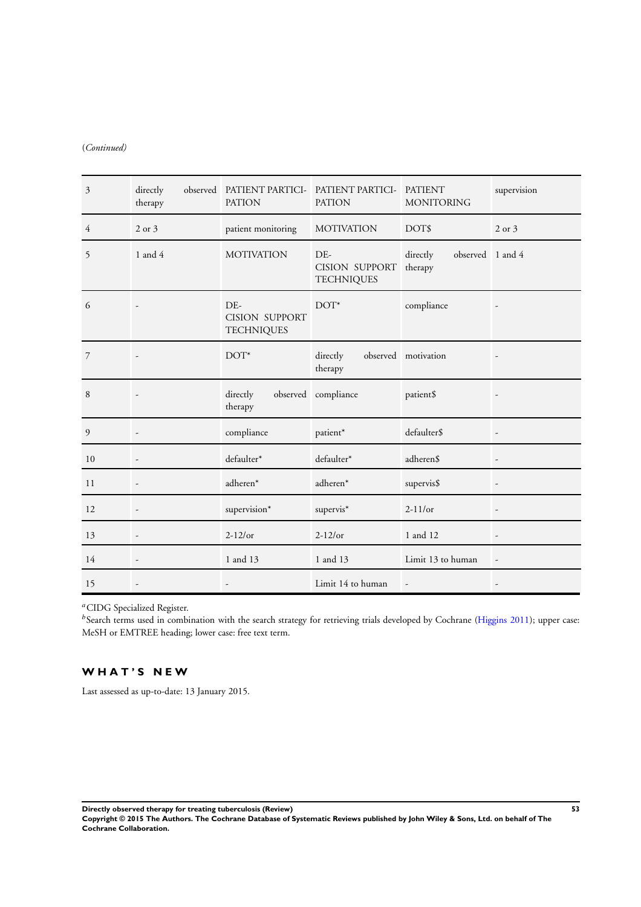## (*Continued)*

| 3  | directly<br>therapy      | observed PATIENT PARTICI-<br><b>PATION</b>        | PATIENT PARTICI-<br><b>PATION</b>                 | <b>PATIENT</b><br><b>MONITORING</b>     | supervision              |
|----|--------------------------|---------------------------------------------------|---------------------------------------------------|-----------------------------------------|--------------------------|
| 4  | $2$ or $3$               | patient monitoring                                | <b>MOTIVATION</b>                                 | DOT\$                                   | $2$ or $3$               |
| 5  | 1 and $4$                | <b>MOTIVATION</b>                                 | DE-<br><b>CISION SUPPORT</b><br><b>TECHNIQUES</b> | observed 1 and 4<br>directly<br>therapy |                          |
| 6  |                          | DE-<br><b>CISION SUPPORT</b><br><b>TECHNIQUES</b> | $DOT^*$                                           | compliance                              |                          |
| 7  |                          | $DOT^*$                                           | directly<br>therapy                               | observed motivation                     |                          |
| 8  |                          | directly<br>therapy                               | observed compliance                               | patient\$                               | $\overline{\phantom{a}}$ |
| 9  | L,                       | compliance                                        | patient*                                          | defaulter\$                             | $\frac{1}{2}$            |
| 10 | $\overline{a}$           | defaulter*                                        | defaulter*                                        | adheren\$                               | $\overline{\phantom{a}}$ |
| 11 | $\overline{a}$           | adheren*                                          | adheren*                                          | supervis\$                              | $\overline{\phantom{a}}$ |
| 12 | $\frac{1}{2}$            | supervision*                                      | supervis*                                         | $2-11$ /or                              | $\overline{\phantom{a}}$ |
| 13 | L,                       | $2-12$ /or                                        | $2-12$ /or                                        | 1 and 12                                | $\frac{1}{2}$            |
| 14 |                          | 1 and 13                                          | 1 and 13                                          | Limit 13 to human                       | $\overline{\phantom{a}}$ |
| 15 | $\overline{\phantom{a}}$ | $\overline{\phantom{a}}$                          | Limit 14 to human                                 | $\overline{\phantom{a}}$                | $\overline{\phantom{a}}$ |

<sup>a</sup>CIDG Specialized Register.

 $b$ Search terms used in combination with the search strategy for retrieving trials developed by Cochrane [\(Higgins 2011\)](#page-21-0); upper case: MeSH or EMTREE heading; lower case: free text term.

## **W H A T ' S N E W**

Last assessed as up-to-date: 13 January 2015.

**Directly observed therapy for treating tuberculosis (Review) 53**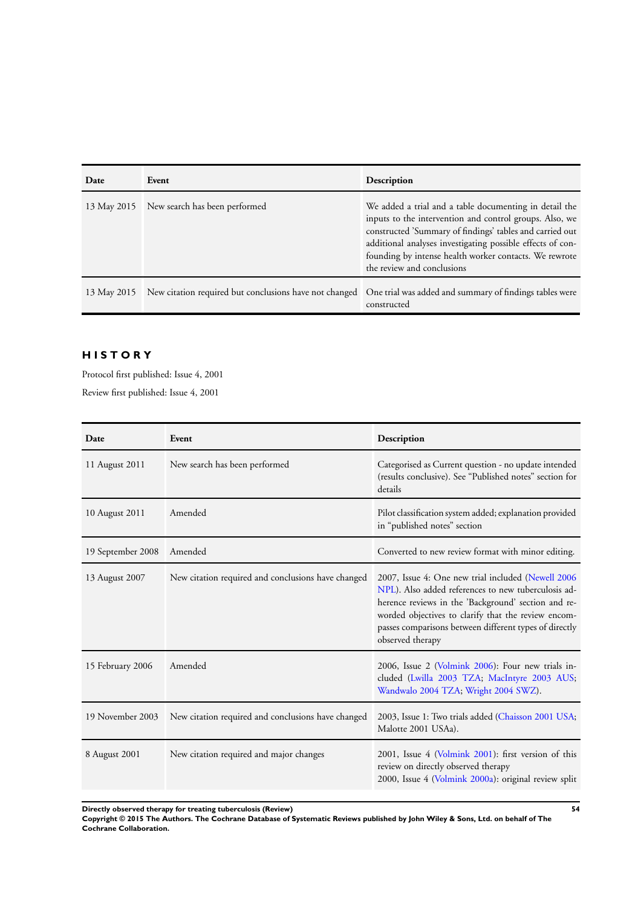| Date        | Event                         | Description                                                                                                                                                                                                                                                                                                                         |
|-------------|-------------------------------|-------------------------------------------------------------------------------------------------------------------------------------------------------------------------------------------------------------------------------------------------------------------------------------------------------------------------------------|
| 13 May 2015 | New search has been performed | We added a trial and a table documenting in detail the<br>inputs to the intervention and control groups. Also, we<br>constructed 'Summary of findings' tables and carried out<br>additional analyses investigating possible effects of con-<br>founding by intense health worker contacts. We rewrote<br>the review and conclusions |
| 13 May 2015 |                               | New citation required but conclusions have not changed One trial was added and summary of findings tables were<br>constructed                                                                                                                                                                                                       |

## **H I S T O R Y**

Protocol first published: Issue 4, 2001 Review first published: Issue 4, 2001

| Date              | Event                                              | Description                                                                                                                                                                                                                                                                                            |
|-------------------|----------------------------------------------------|--------------------------------------------------------------------------------------------------------------------------------------------------------------------------------------------------------------------------------------------------------------------------------------------------------|
| 11 August 2011    | New search has been performed                      | Categorised as Current question - no update intended<br>(results conclusive). See "Published notes" section for<br>details                                                                                                                                                                             |
| 10 August 2011    | Amended                                            | Pilot classification system added; explanation provided<br>in "published notes" section                                                                                                                                                                                                                |
| 19 September 2008 | Amended                                            | Converted to new review format with minor editing.                                                                                                                                                                                                                                                     |
| 13 August 2007    | New citation required and conclusions have changed | 2007, Issue 4: One new trial included (Newell 2006)<br>NPL). Also added references to new tuberculosis ad-<br>herence reviews in the 'Background' section and re-<br>worded objectives to clarify that the review encom-<br>passes comparisons between different types of directly<br>observed therapy |
| 15 February 2006  | Amended                                            | 2006, Issue 2 (Volmink 2006): Four new trials in-<br>cluded (Lwilla 2003 TZA; MacIntyre 2003 AUS;<br>Wandwalo 2004 TZA; Wright 2004 SWZ).                                                                                                                                                              |
| 19 November 2003  | New citation required and conclusions have changed | 2003, Issue 1: Two trials added (Chaisson 2001 USA;<br>Malotte 2001 USAa).                                                                                                                                                                                                                             |
| 8 August 2001     | New citation required and major changes            | 2001, Issue 4 (Volmink 2001): first version of this<br>review on directly observed therapy<br>2000, Issue 4 (Volmink 2000a): original review split                                                                                                                                                     |

**Directly observed therapy for treating tuberculosis (Review) 54**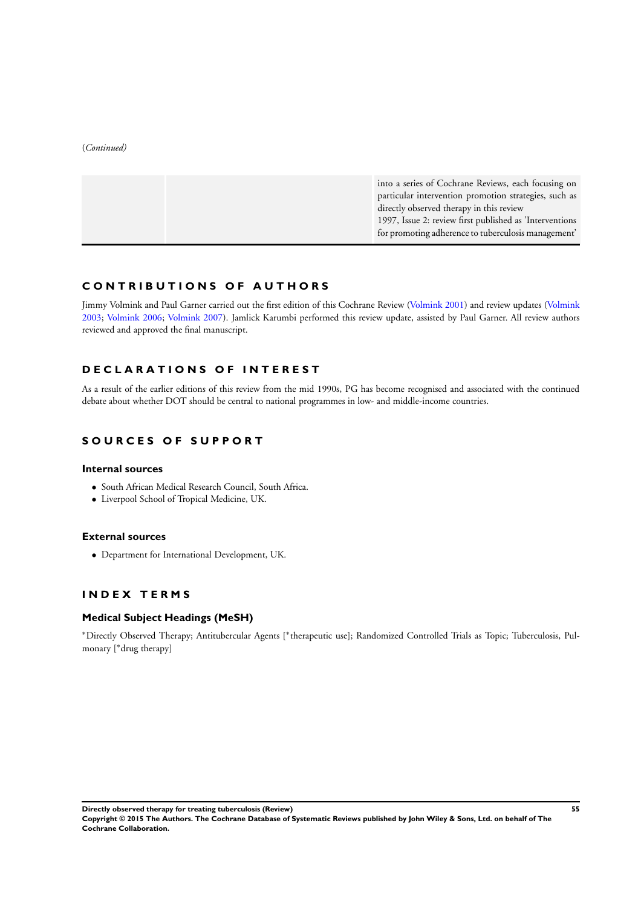(*Continued)*

into a series of Cochrane Reviews, each focusing on particular intervention promotion strategies, such as directly observed therapy in this review 1997, Issue 2: review first published as 'Interventions for promoting adherence to tuberculosis management'

## **C O N T R I B U T I O N S O F A U T H O R S**

Jimmy Volmink and Paul Garner carried out the first edition of this Cochrane Review ([Volmink 2001](#page-21-0)) and review updates ([Volmink](#page-21-0) [2003](#page-21-0); [Volmink 2006;](#page-21-0) [Volmink 2007\)](#page-21-0). Jamlick Karumbi performed this review update, assisted by Paul Garner. All review authors reviewed and approved the final manuscript.

## **D E C L A R A T I O N S O F I N T E R E S T**

As a result of the earlier editions of this review from the mid 1990s, PG has become recognised and associated with the continued debate about whether DOT should be central to national programmes in low- and middle-income countries.

## **S O U R C E S O F S U P P O R T**

### **Internal sources**

- South African Medical Research Council, South Africa.
- Liverpool School of Tropical Medicine, UK.

## **External sources**

• Department for International Development, UK.

## **I N D E X T E R M S**

## **Medical Subject Headings (MeSH)**

<sup>∗</sup>Directly Observed Therapy; Antitubercular Agents [<sup>∗</sup> therapeutic use]; Randomized Controlled Trials as Topic; Tuberculosis, Pulmonary [∗drug therapy]